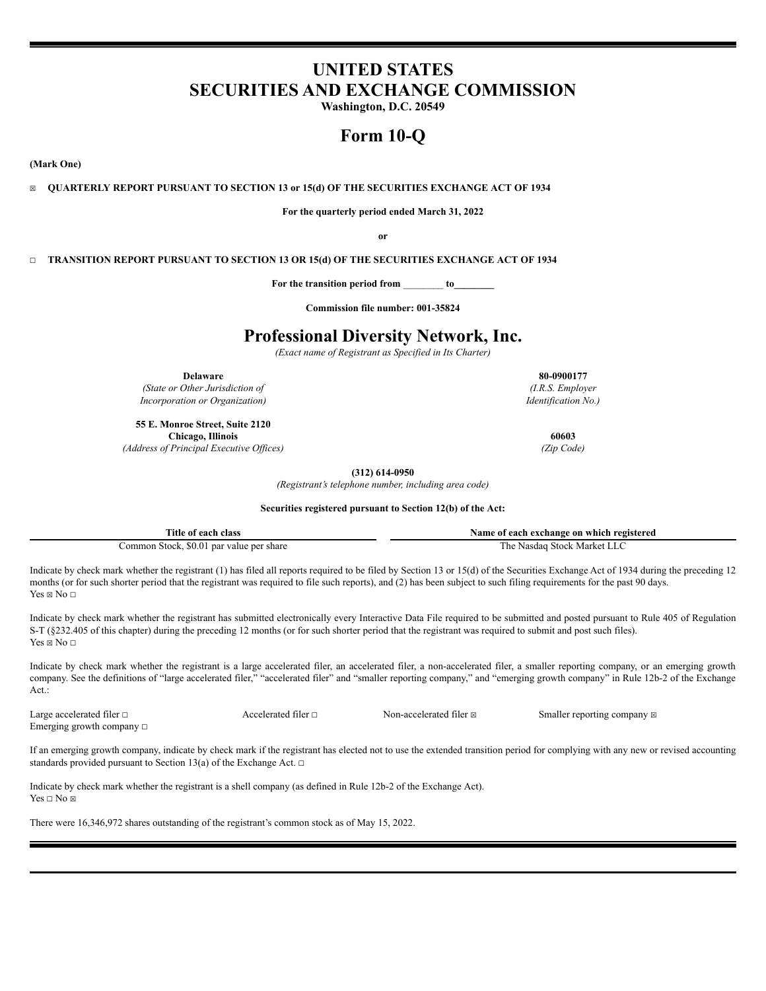# **UNITED STATES SECURITIES AND EXCHANGE COMMISSION**

**Washington, D.C. 20549**

# **Form 10-Q**

**(Mark One)**

☒ **QUARTERLY REPORT PURSUANT TO SECTION 13 or 15(d) OF THE SECURITIES EXCHANGE ACT OF 1934**

**For the quarterly period ended March 31, 2022**

**or**

☐ **TRANSITION REPORT PURSUANT TO SECTION 13 OR 15(d) OF THE SECURITIES EXCHANGE ACT OF 1934**

**For the transition period from** \_\_\_\_\_\_\_\_ **to\_\_\_\_\_\_\_\_**

**Commission file number: 001-35824**

# **Professional Diversity Network, Inc.**

*(Exact name of Registrant as Specified in Its Charter)*

**Delaware 80-0900177**

*(State or Other Jurisdiction of Incorporation or Organization)*

**55 E. Monroe Street, Suite 2120 Chicago, Illinois 60603** *(Address of Principal Executive Of ices) (Zip Code)*

*(I.R.S. Employer Identification No.)*

**(312) 614-0950**

*(Registrant's telephone number, including area code)*

**Securities registered pursuant to Section 12(b) of the Act:**

| Title of each class                      | Name of each exchange on which registered |
|------------------------------------------|-------------------------------------------|
| Common Stock, \$0.01 par value per share | The .<br>∙ Nasdaq Stock Market L          |

Indicate by check mark whether the registrant (1) has filed all reports required to be filed by Section 13 or 15(d) of the Securities Exchange Act of 1934 during the preceding 12 months (or for such shorter period that the registrant was required to file such reports), and (2) has been subject to such filing requirements for the past 90 days. Yes  $\boxtimes$  No  $\Box$ 

Indicate by check mark whether the registrant has submitted electronically every Interactive Data File required to be submitted and posted pursuant to Rule 405 of Regulation S-T (§232.405 of this chapter) during the preceding 12 months (or for such shorter period that the registrant was required to submit and post such files). Yes  $\boxtimes$  No  $\Box$ 

Indicate by check mark whether the registrant is a large accelerated filer, an accelerated filer, a non-accelerated filer, a smaller reporting company, or an emerging growth company. See the definitions of "large accelerated filer," "accelerated filer" and "smaller reporting company," and "emerging growth company" in Rule 12b-2 of the Exchange Act.:

Large accelerated filer □ Accelerated filer □ Non-accelerated filer ⊠ Smaller reporting company ⊠ Emerging growth company  $□$ 

If an emerging growth company, indicate by check mark if the registrant has elected not to use the extended transition period for complying with any new or revised accounting standards provided pursuant to Section 13(a) of the Exchange Act.  $□$ 

Indicate by check mark whether the registrant is a shell company (as defined in Rule 12b-2 of the Exchange Act).  $Yes \sqcap No \boxtimes$ 

There were 16,346,972 shares outstanding of the registrant's common stock as of May 15, 2022.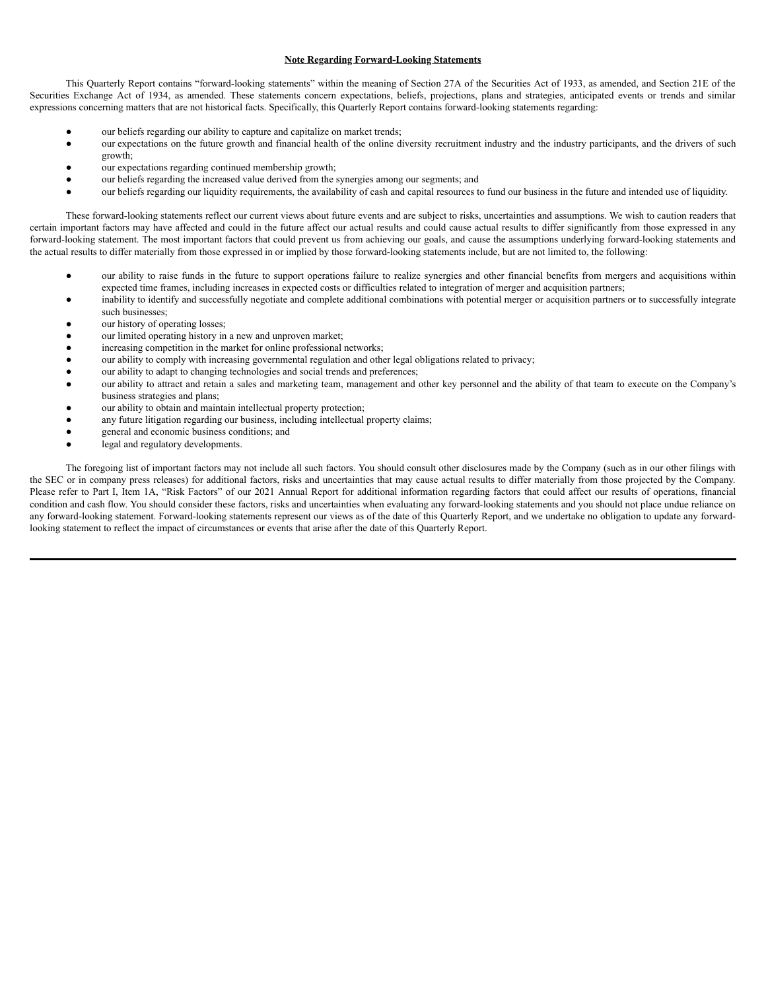## **Note Regarding Forward-Looking Statements**

This Quarterly Report contains "forward-looking statements" within the meaning of Section 27A of the Securities Act of 1933, as amended, and Section 21E of the Securities Exchange Act of 1934, as amended. These statements concern expectations, beliefs, projections, plans and strategies, anticipated events or trends and similar expressions concerning matters that are not historical facts. Specifically, this Quarterly Report contains forward-looking statements regarding:

- our beliefs regarding our ability to capture and capitalize on market trends;
- our expectations on the future growth and financial health of the online diversity recruitment industry and the industry participants, and the drivers of such growth;
- our expectations regarding continued membership growth;
- our beliefs regarding the increased value derived from the synergies among our segments; and
- our beliefs regarding our liquidity requirements, the availability of cash and capital resources to fund our business in the future and intended use of liquidity.

These forward-looking statements reflect our current views about future events and are subject to risks, uncertainties and assumptions. We wish to caution readers that certain important factors may have affected and could in the future affect our actual results and could cause actual results to differ significantly from those expressed in any forward-looking statement. The most important factors that could prevent us from achieving our goals, and cause the assumptions underlying forward-looking statements and the actual results to differ materially from those expressed in or implied by those forward-looking statements include, but are not limited to, the following:

- our ability to raise funds in the future to support operations failure to realize synergies and other financial benefits from mergers and acquisitions within expected time frames, including increases in expected costs or difficulties related to integration of merger and acquisition partners;
- inability to identify and successfully negotiate and complete additional combinations with potential merger or acquisition partners or to successfully integrate such businesses;
- our history of operating losses;
- our limited operating history in a new and unproven market;
- increasing competition in the market for online professional networks;
- our ability to comply with increasing governmental regulation and other legal obligations related to privacy;
- our ability to adapt to changing technologies and social trends and preferences;
- our ability to attract and retain a sales and marketing team, management and other key personnel and the ability of that team to execute on the Company's business strategies and plans;
- our ability to obtain and maintain intellectual property protection;
- any future litigation regarding our business, including intellectual property claims;
- general and economic business conditions; and
- legal and regulatory developments.

The foregoing list of important factors may not include all such factors. You should consult other disclosures made by the Company (such as in our other filings with the SEC or in company press releases) for additional factors, risks and uncertainties that may cause actual results to differ materially from those projected by the Company. Please refer to Part I, Item 1A, "Risk Factors" of our 2021 Annual Report for additional information regarding factors that could affect our results of operations, financial condition and cash flow. You should consider these factors, risks and uncertainties when evaluating any forward-looking statements and you should not place undue reliance on any forward-looking statement. Forward-looking statements represent our views as of the date of this Quarterly Report, and we undertake no obligation to update any forwardlooking statement to reflect the impact of circumstances or events that arise after the date of this Quarterly Report.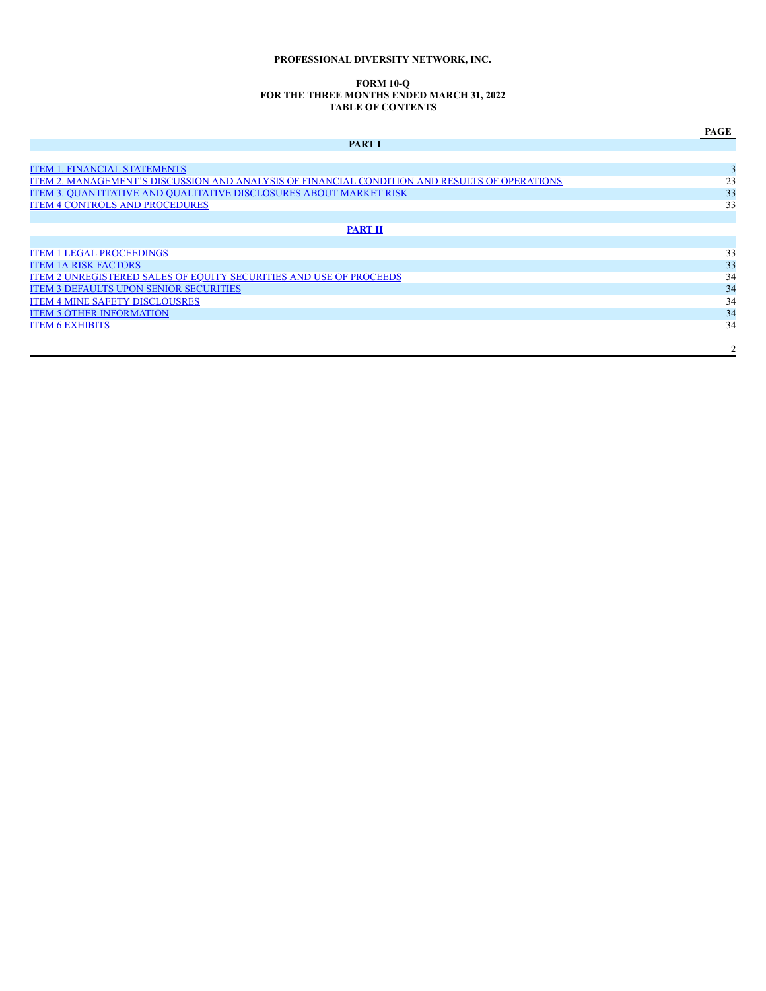# **PROFESSIONAL DIVERSITY NETWORK, INC.**

#### **FORM 10-Q FOR THE THREE MONTHS ENDED MARCH 31, 2022 TABLE OF CONTENTS**

|                                                                                               | <b>PAGE</b>             |
|-----------------------------------------------------------------------------------------------|-------------------------|
| <b>PART I</b>                                                                                 |                         |
|                                                                                               |                         |
| <b>ITEM 1. FINANCIAL STATEMENTS</b>                                                           | 3                       |
| ITEM 2. MANAGEMENT'S DISCUSSION AND ANALYSIS OF FINANCIAL CONDITION AND RESULTS OF OPERATIONS | 23                      |
| <b>ITEM 3. QUANTITATIVE AND QUALITATIVE DISCLOSURES ABOUT MARKET RISK</b>                     | 33                      |
| <b>ITEM 4 CONTROLS AND PROCEDURES</b>                                                         | 33                      |
|                                                                                               |                         |
| <b>PART II</b>                                                                                |                         |
|                                                                                               |                         |
| <b>ITEM 1 LEGAL PROCEEDINGS</b>                                                               | 33                      |
| <b>ITEM 1A RISK FACTORS</b>                                                                   | 33                      |
| ITEM 2 UNREGISTERED SALES OF EQUITY SECURITIES AND USE OF PROCEEDS                            | 34                      |
| <b>ITEM 3 DEFAULTS UPON SENIOR SECURITIES</b>                                                 | 34                      |
| <b>ITEM 4 MINE SAFETY DISCLOUSRES</b>                                                         | 34                      |
| <b>ITEM 5 OTHER INFORMATION</b>                                                               | 34                      |
| <b>ITEM 6 EXHIBITS</b>                                                                        | 34                      |
|                                                                                               |                         |
|                                                                                               | $\overline{\mathbf{c}}$ |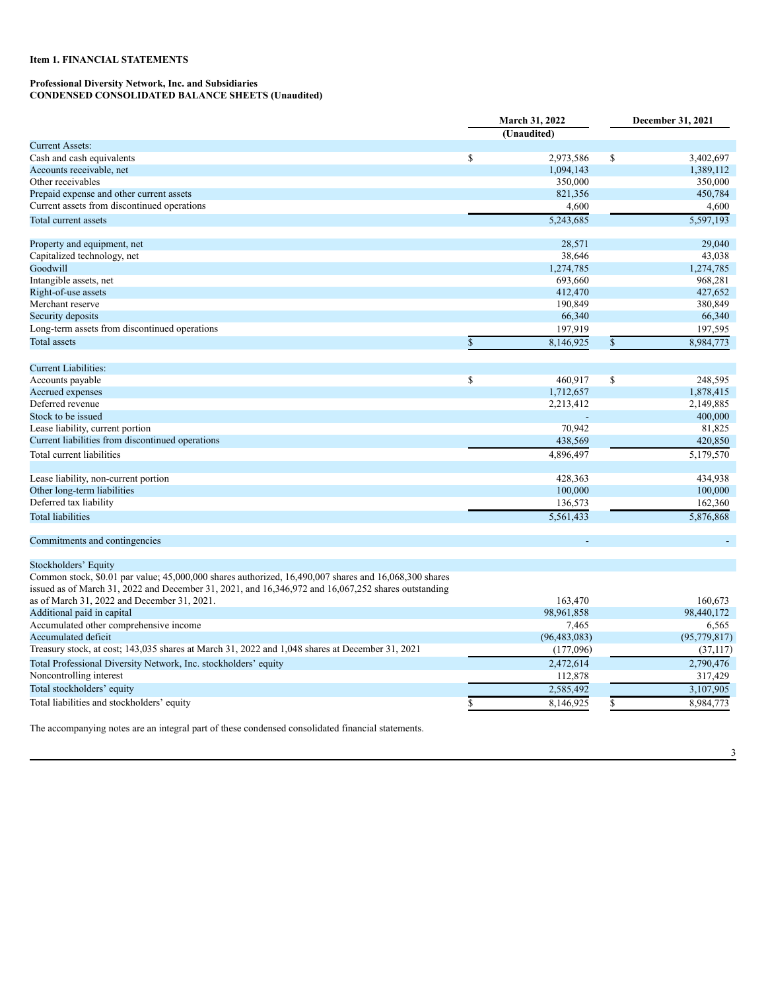# <span id="page-3-0"></span>**Item 1. FINANCIAL STATEMENTS**

#### **Professional Diversity Network, Inc. and Subsidiaries CONDENSED CONSOLIDATED BALANCE SHEETS (Unaudited)**

| (Unaudited)                                                                                                                                                                                                  |                |
|--------------------------------------------------------------------------------------------------------------------------------------------------------------------------------------------------------------|----------------|
| <b>Current Assets:</b>                                                                                                                                                                                       |                |
| \$<br>Cash and cash equivalents<br>2,973,586<br>\$                                                                                                                                                           | 3,402,697      |
| Accounts receivable, net<br>1,094,143                                                                                                                                                                        | 1,389,112      |
| Other receivables<br>350,000                                                                                                                                                                                 | 350,000        |
| Prepaid expense and other current assets<br>821,356                                                                                                                                                          | 450,784        |
| Current assets from discontinued operations<br>4,600                                                                                                                                                         | 4,600          |
| 5,243,685<br>Total current assets                                                                                                                                                                            | 5,597,193      |
| Property and equipment, net<br>28,571                                                                                                                                                                        | 29,040         |
| Capitalized technology, net<br>38,646                                                                                                                                                                        | 43,038         |
| Goodwill<br>1,274,785                                                                                                                                                                                        | 1,274,785      |
| Intangible assets, net<br>693,660                                                                                                                                                                            | 968,281        |
| Right-of-use assets<br>412,470                                                                                                                                                                               | 427,652        |
| Merchant reserve<br>190,849                                                                                                                                                                                  | 380,849        |
| Security deposits<br>66,340                                                                                                                                                                                  | 66,340         |
| Long-term assets from discontinued operations<br>197,919                                                                                                                                                     | 197,595        |
| <b>Total</b> assets<br>8,146,925<br>$\mathbb{S}$                                                                                                                                                             | 8,984,773      |
| <b>Current Liabilities:</b>                                                                                                                                                                                  |                |
| <sup>\$</sup><br>460.917<br>\$<br>Accounts payable                                                                                                                                                           | 248,595        |
| Accrued expenses<br>1,712,657                                                                                                                                                                                | 1,878,415      |
| Deferred revenue<br>2,213,412                                                                                                                                                                                | 2,149,885      |
| Stock to be issued                                                                                                                                                                                           | 400,000        |
| 70,942<br>Lease liability, current portion                                                                                                                                                                   | 81,825         |
| Current liabilities from discontinued operations<br>438,569                                                                                                                                                  | 420,850        |
| Total current liabilities<br>4,896,497                                                                                                                                                                       | 5,179,570      |
| 428,363<br>Lease liability, non-current portion                                                                                                                                                              | 434,938        |
| Other long-term liabilities<br>100,000                                                                                                                                                                       | 100,000        |
| Deferred tax liability<br>136,573                                                                                                                                                                            | 162,360        |
| 5,561,433<br><b>Total liabilities</b>                                                                                                                                                                        | 5,876,868      |
| Commitments and contingencies                                                                                                                                                                                |                |
|                                                                                                                                                                                                              |                |
| Stockholders' Equity                                                                                                                                                                                         |                |
| Common stock, \$0.01 par value; 45,000,000 shares authorized, 16,490,007 shares and 16,068,300 shares<br>issued as of March 31, 2022 and December 31, 2021, and 16,346,972 and 16,067,252 shares outstanding |                |
| as of March 31, 2022 and December 31, 2021.<br>163,470                                                                                                                                                       | 160,673        |
| 98,961,858<br>Additional paid in capital                                                                                                                                                                     | 98,440,172     |
| Accumulated other comprehensive income<br>7,465                                                                                                                                                              | 6,565          |
| Accumulated deficit<br>(96, 483, 083)                                                                                                                                                                        | (95, 779, 817) |
| Treasury stock, at cost; 143,035 shares at March 31, 2022 and 1,048 shares at December 31, 2021<br>(177,096)                                                                                                 | (37, 117)      |
| 2,472,614<br>Total Professional Diversity Network, Inc. stockholders' equity                                                                                                                                 | 2,790,476      |
| Noncontrolling interest<br>112,878                                                                                                                                                                           | 317,429        |
| Total stockholders' equity<br>2,585,492                                                                                                                                                                      | 3,107,905      |
| Total liabilities and stockholders' equity<br>8,146,925<br>S<br>\$                                                                                                                                           | 8,984,773      |

The accompanying notes are an integral part of these condensed consolidated financial statements.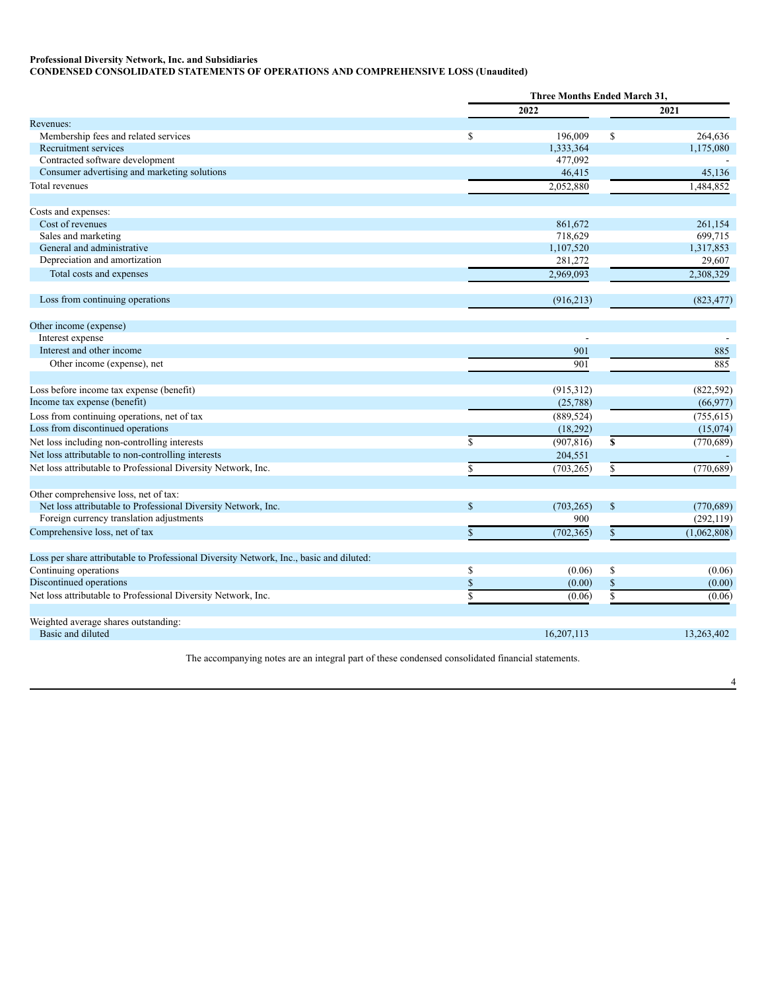#### **Professional Diversity Network, Inc. and Subsidiaries**

**CONDENSED CONSOLIDATED STATEMENTS OF OPERATIONS AND COMPREHENSIVE LOSS (Unaudited)**

|                                                                                                   |                 | <b>Three Months Ended March 31,</b> |                         |             |
|---------------------------------------------------------------------------------------------------|-----------------|-------------------------------------|-------------------------|-------------|
|                                                                                                   |                 | 2022                                |                         | 2021        |
| Revenues:                                                                                         |                 |                                     |                         |             |
| Membership fees and related services                                                              | \$              | 196,009                             | <sup>\$</sup>           | 264.636     |
| Recruitment services                                                                              |                 | 1,333,364                           |                         | 1,175,080   |
| Contracted software development                                                                   |                 | 477,092                             |                         |             |
| Consumer advertising and marketing solutions                                                      |                 | 46,415                              |                         | 45,136      |
| Total revenues                                                                                    |                 | 2,052,880                           |                         | 1,484,852   |
| Costs and expenses:                                                                               |                 |                                     |                         |             |
| Cost of revenues                                                                                  |                 | 861,672                             |                         | 261,154     |
| Sales and marketing                                                                               |                 | 718,629                             |                         | 699,715     |
| General and administrative                                                                        |                 | 1,107,520                           |                         | 1,317,853   |
| Depreciation and amortization                                                                     |                 | 281,272                             |                         | 29,607      |
| Total costs and expenses                                                                          |                 | 2,969,093                           |                         | 2,308,329   |
| Loss from continuing operations                                                                   |                 | (916,213)                           |                         | (823, 477)  |
| Other income (expense)                                                                            |                 |                                     |                         |             |
| Interest expense                                                                                  |                 |                                     |                         |             |
| Interest and other income                                                                         |                 | 901                                 |                         | 885         |
| Other income (expense), net                                                                       |                 | 901                                 |                         | 885         |
| Loss before income tax expense (benefit)                                                          |                 | (915,312)                           |                         | (822, 592)  |
| Income tax expense (benefit)                                                                      |                 | (25,788)                            |                         | (66, 977)   |
| Loss from continuing operations, net of tax                                                       |                 | (889, 524)                          |                         | (755, 615)  |
| Loss from discontinued operations                                                                 |                 | (18,292)                            |                         | (15,074)    |
| Net loss including non-controlling interests                                                      | $\mathbf S$     | (907, 816)                          | $\mathbf S$             | (770, 689)  |
| Net loss attributable to non-controlling interests                                                |                 | 204,551                             |                         |             |
| Net loss attributable to Professional Diversity Network, Inc.                                     | S               | (703, 265)                          | \$                      | (770, 689)  |
| Other comprehensive loss, net of tax:                                                             |                 |                                     |                         |             |
| Net loss attributable to Professional Diversity Network, Inc.                                     | $\mathcal{S}$   | (703, 265)                          | $\mathcal{S}$           | (770, 689)  |
| Foreign currency translation adjustments                                                          |                 | 900                                 |                         | (292, 119)  |
| Comprehensive loss, net of tax                                                                    | \$              | (702, 365)                          | $\overline{\mathbb{S}}$ | (1,062,808) |
| Loss per share attributable to Professional Diversity Network, Inc., basic and diluted:           |                 |                                     |                         |             |
| Continuing operations                                                                             | \$              | (0.06)                              | \$                      | (0.06)      |
| Discontinued operations                                                                           | $\mathbb{S}$    | (0.00)                              | $\mathbb{S}$            | (0.00)      |
| Net loss attributable to Professional Diversity Network, Inc.                                     | $\overline{\$}$ | (0.06)                              | $\overline{\$}$         | (0.06)      |
| Weighted average shares outstanding:                                                              |                 |                                     |                         |             |
| Basic and diluted                                                                                 |                 | 16,207,113                          |                         | 13,263,402  |
| The accompanying notes are an integral part of these condensed consolidated financial statements. |                 |                                     |                         |             |

4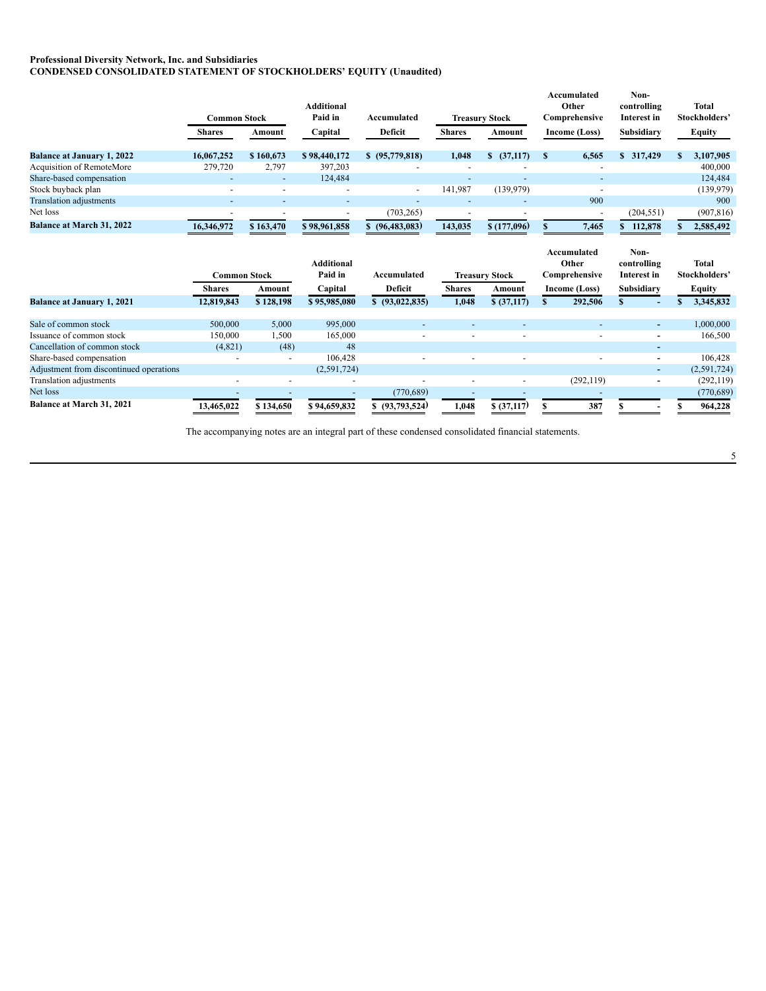## **Professional Diversity Network, Inc. and Subsidiaries CONDENSED CONSOLIDATED STATEMENT OF STOCKHOLDERS' EQUITY (Unaudited)**

|                                         | <b>Common Stock</b> |               | <b>Additional</b><br>Paid in | Accumulated      |               | <b>Treasury Stock</b>    | Accumulated<br>Other<br>Comprehensive | Non-<br>controlling<br><b>Interest in</b> | <b>Total</b><br>Stockholders' |
|-----------------------------------------|---------------------|---------------|------------------------------|------------------|---------------|--------------------------|---------------------------------------|-------------------------------------------|-------------------------------|
|                                         | <b>Shares</b>       | Amount        | Capital                      | Deficit          | <b>Shares</b> | Amount                   | Income (Loss)                         | Subsidiary                                | Equity                        |
| <b>Balance at January 1, 2022</b>       | 16,067,252          | \$160,673     | \$98,440,172                 | \$ (95,779,818)  | 1.048         | \$ (37.117)              | 6,565<br>S                            | \$ 317,429                                | 3.107.905                     |
| Acquisition of RemoteMore               | 279,720             | 2,797         | 397,203                      |                  |               |                          | $\overline{\phantom{a}}$              |                                           | 400,000                       |
| Share-based compensation                |                     |               | 124,484                      |                  |               |                          |                                       |                                           | 124,484                       |
| Stock buyback plan                      |                     |               |                              |                  | 141,987       | (139,979)                |                                       |                                           | (139, 979)                    |
| Translation adjustments                 |                     |               |                              |                  |               |                          | 900                                   |                                           | 900                           |
| Net loss                                |                     |               |                              | (703, 265)       |               |                          | ٠                                     | (204, 551)                                | (907, 816)                    |
| Balance at March 31, 2022               | 16,346,972          | \$163,470     | \$98,961,858                 | \$(96, 483, 083) | 143,035       | \$(177,096)              | 7,465                                 | 112,878                                   | 2,585,492                     |
|                                         | <b>Common Stock</b> |               | <b>Additional</b><br>Paid in | Accumulated      |               | <b>Treasury Stock</b>    | Accumulated<br>Other<br>Comprehensive | Non-<br>controlling<br>Interest in        | <b>Total</b><br>Stockholders' |
|                                         | <b>Shares</b>       | <b>Amount</b> | Capital                      | Deficit          | <b>Shares</b> | <b>Amount</b>            | Income (Loss)                         | Subsidiary                                | <b>Equity</b>                 |
| <b>Balance at January 1, 2021</b>       | 12.819.843          | \$128,198     | \$95,985,080                 | \$ (93,022,835)  | 1.048         | \$ (37,117)              | 292,506<br>\$                         |                                           | 3,345,832                     |
| Sale of common stock                    | 500,000             | 5,000         | 995,000                      |                  |               |                          |                                       |                                           | 1,000,000                     |
| Issuance of common stock                | 150,000             | 1,500         | 165,000                      |                  |               |                          |                                       |                                           | 166,500                       |
| Cancellation of common stock            | (4,821)             | (48)          | 48                           |                  |               |                          |                                       |                                           |                               |
| Share-based compensation                |                     |               | 106,428                      |                  |               |                          |                                       |                                           | 106,428                       |
| Adjustment from discontinued operations |                     |               | (2,591,724)                  |                  |               |                          |                                       | $\blacksquare$                            | (2,591,724)                   |
| Translation adjustments                 |                     |               |                              |                  |               | $\overline{\phantom{a}}$ | (292, 119)                            | $\blacksquare$                            | (292, 119)                    |
| Net loss                                |                     |               |                              | (770, 689)       |               |                          |                                       |                                           | (770, 689)                    |
| Balance at March 31, 2021               | 13,465,022          | \$134,650     | \$94,659,832                 | \$ (93,793,524)  | 1,048         | \$(37,117)               | 387<br>S                              |                                           | 964,228                       |

The accompanying notes are an integral part of these condensed consolidated financial statements.

5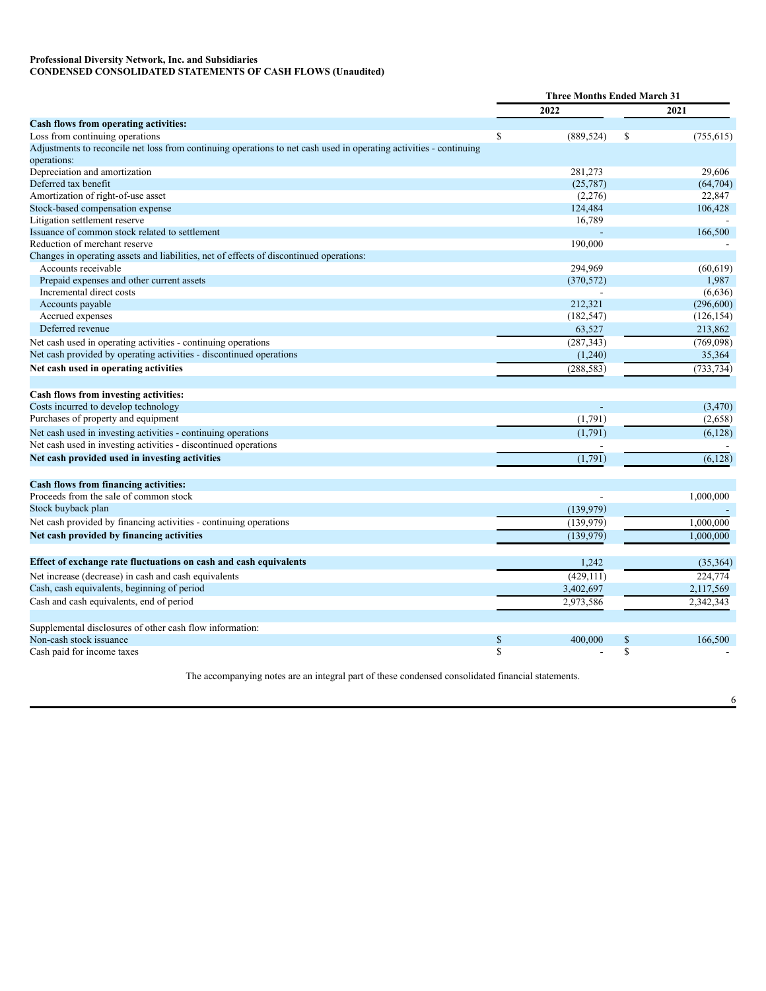#### **Professional Diversity Network, Inc. and Subsidiaries CONDENSED CONSOLIDATED STATEMENTS OF CASH FLOWS (Unaudited)**

|                                                                                                                    |    | <b>Three Months Ended March 31</b> |    |            |
|--------------------------------------------------------------------------------------------------------------------|----|------------------------------------|----|------------|
|                                                                                                                    |    | 2022                               |    | 2021       |
| Cash flows from operating activities:                                                                              |    |                                    |    |            |
| Loss from continuing operations                                                                                    | \$ | (889, 524)                         | \$ | (755, 615) |
| Adjustments to reconcile net loss from continuing operations to net cash used in operating activities - continuing |    |                                    |    |            |
| operations:                                                                                                        |    |                                    |    |            |
| Depreciation and amortization                                                                                      |    | 281,273                            |    | 29,606     |
| Deferred tax benefit                                                                                               |    | (25, 787)                          |    | (64, 704)  |
| Amortization of right-of-use asset                                                                                 |    | (2,276)                            |    | 22,847     |
| Stock-based compensation expense                                                                                   |    | 124,484                            |    | 106,428    |
| Litigation settlement reserve                                                                                      |    | 16,789                             |    |            |
| Issuance of common stock related to settlement                                                                     |    |                                    |    | 166.500    |
| Reduction of merchant reserve                                                                                      |    | 190.000                            |    |            |
| Changes in operating assets and liabilities, net of effects of discontinued operations:                            |    |                                    |    |            |
| Accounts receivable                                                                                                |    | 294,969                            |    | (60, 619)  |
| Prepaid expenses and other current assets                                                                          |    | (370, 572)                         |    | 1,987      |
| Incremental direct costs                                                                                           |    | $\overline{\phantom{a}}$           |    | (6,636)    |
| Accounts payable                                                                                                   |    | 212,321                            |    | (296, 600) |
| Accrued expenses                                                                                                   |    | (182, 547)                         |    | (126, 154) |
| Deferred revenue                                                                                                   |    | 63,527                             |    | 213,862    |
| Net cash used in operating activities - continuing operations                                                      |    | (287, 343)                         |    | (769,098)  |
| Net cash provided by operating activities - discontinued operations                                                |    | (1,240)                            |    | 35,364     |
| Net cash used in operating activities                                                                              |    | (288, 583)                         |    | (733, 734) |
|                                                                                                                    |    |                                    |    |            |
| Cash flows from investing activities:                                                                              |    |                                    |    |            |
| Costs incurred to develop technology                                                                               |    | $\sim$                             |    | (3, 470)   |
| Purchases of property and equipment                                                                                |    | (1,791)                            |    | (2,658)    |
| Net cash used in investing activities - continuing operations                                                      |    | (1,791)                            |    | (6,128)    |
| Net cash used in investing activities - discontinued operations                                                    |    |                                    |    |            |
| Net cash provided used in investing activities                                                                     |    | (1,791)                            |    | (6, 128)   |
|                                                                                                                    |    |                                    |    |            |
| <b>Cash flows from financing activities:</b>                                                                       |    |                                    |    |            |
| Proceeds from the sale of common stock                                                                             |    |                                    |    | 1,000,000  |
| Stock buyback plan                                                                                                 |    | (139,979)                          |    |            |
| Net cash provided by financing activities - continuing operations                                                  |    | (139, 979)                         |    | 1.000.000  |
| Net cash provided by financing activities                                                                          |    | (139,979)                          |    | 1.000.000  |
| Effect of exchange rate fluctuations on cash and cash equivalents                                                  |    | 1,242                              |    | (35, 364)  |
|                                                                                                                    |    |                                    |    |            |
| Net increase (decrease) in cash and cash equivalents                                                               |    | (429,111)                          |    | 224,774    |
| Cash, cash equivalents, beginning of period                                                                        |    | 3,402,697                          |    | 2,117,569  |
| Cash and cash equivalents, end of period                                                                           |    | 2,973,586                          |    | 2,342,343  |
| Supplemental disclosures of other cash flow information:                                                           |    |                                    |    |            |
| Non-cash stock issuance                                                                                            | \$ | 400,000                            | \$ | 166,500    |
| Cash paid for income taxes                                                                                         | \$ |                                    | \$ |            |
|                                                                                                                    |    |                                    |    |            |

The accompanying notes are an integral part of these condensed consolidated financial statements.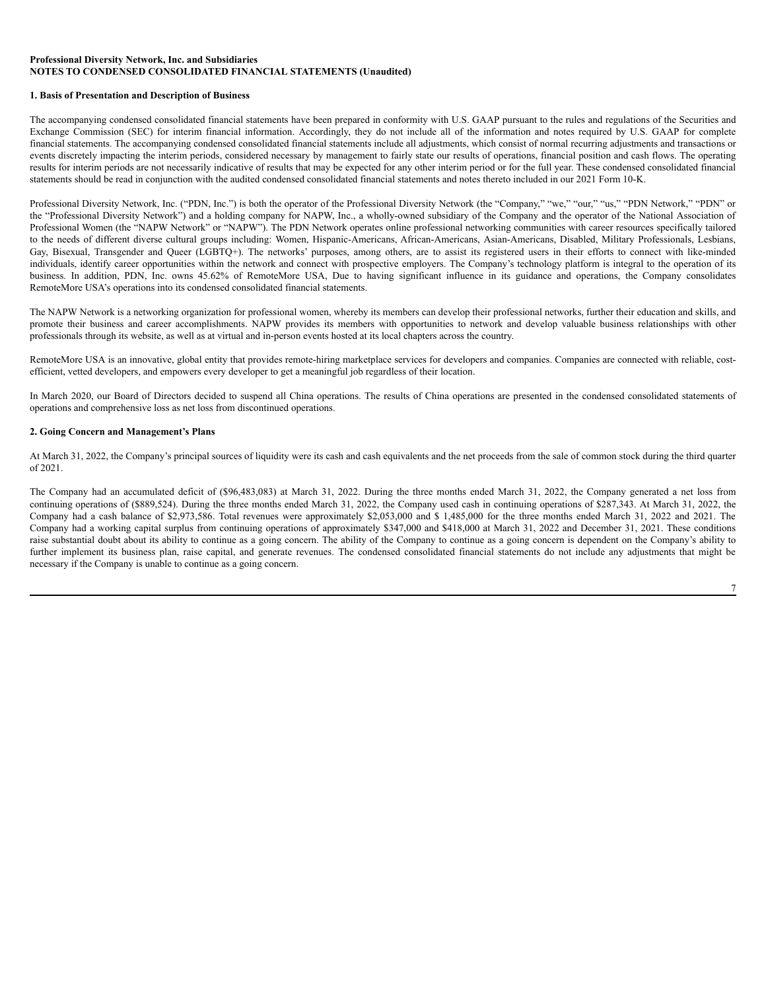## **Professional Diversity Network, Inc. and Subsidiaries NOTES TO CONDENSED CONSOLIDATED FINANCIAL STATEMENTS (Unaudited)**

## **1. Basis of Presentation and Description of Business**

The accompanying condensed consolidated financial statements have been prepared in conformity with U.S. GAAP pursuant to the rules and regulations of the Securities and Exchange Commission (SEC) for interim financial information. Accordingly, they do not include all of the information and notes required by U.S. GAAP for complete financial statements. The accompanying condensed consolidated financial statements include all adjustments, which consist of normal recurring adjustments and transactions or events discretely impacting the interim periods, considered necessary by management to fairly state our results of operations, financial position and cash flows. The operating results for interim periods are not necessarily indicative of results that may be expected for any other interim period or for the full year. These condensed consolidated financial statements should be read in conjunction with the audited condensed consolidated financial statements and notes thereto included in our 2021 Form 10-K.

Professional Diversity Network, Inc. ("PDN, Inc.") is both the operator of the Professional Diversity Network (the "Company," "we," "our," "us," "PDN Network," "PDN" or the "Professional Diversity Network") and a holding company for NAPW, Inc., a wholly-owned subsidiary of the Company and the operator of the National Association of Professional Women (the "NAPW Network" or "NAPW"). The PDN Network operates online professional networking communities with career resources specifically tailored to the needs of different diverse cultural groups including: Women, Hispanic-Americans, African-Americans, Asian-Americans, Disabled, Military Professionals, Lesbians, Gay, Bisexual, Transgender and Queer (LGBTQ+). The networks' purposes, among others, are to assist its registered users in their efforts to connect with like-minded individuals, identify career opportunities within the network and connect with prospective employers. The Company's technology platform is integral to the operation of its business. In addition, PDN, Inc. owns 45.62% of RemoteMore USA, Due to having significant influence in its guidance and operations, the Company consolidates RemoteMore USA's operations into its condensed consolidated financial statements.

The NAPW Network is a networking organization for professional women, whereby its members can develop their professional networks, further their education and skills, and promote their business and career accomplishments. NAPW provides its members with opportunities to network and develop valuable business relationships with other professionals through its website, as well as at virtual and in-person events hosted at its local chapters across the country.

RemoteMore USA is an innovative, global entity that provides remote-hiring marketplace services for developers and companies. Companies are connected with reliable, costefficient, vetted developers, and empowers every developer to get a meaningful job regardless of their location.

In March 2020, our Board of Directors decided to suspend all China operations. The results of China operations are presented in the condensed consolidated statements of operations and comprehensive loss as net loss from discontinued operations.

### **2. Going Concern and Management's Plans**

At March 31, 2022, the Company's principal sources of liquidity were its cash and cash equivalents and the net proceeds from the sale of common stock during the third quarter of 2021.

The Company had an accumulated deficit of (\$96,483,083) at March 31, 2022. During the three months ended March 31, 2022, the Company generated a net loss from continuing operations of (\$889,524). During the three months ended March 31, 2022, the Company used cash in continuing operations of \$287,343. At March 31, 2022, the Company had a cash balance of \$2,973,586. Total revenues were approximately \$2,053,000 and \$ 1,485,000 for the three months ended March 31, 2022 and 2021. The Company had a working capital surplus from continuing operations of approximately \$347,000 and \$418,000 at March 31, 2022 and December 31, 2021. These conditions raise substantial doubt about its ability to continue as a going concern. The ability of the Company to continue as a going concern is dependent on the Company's ability to further implement its business plan, raise capital, and generate revenues. The condensed consolidated financial statements do not include any adjustments that might be necessary if the Company is unable to continue as a going concern.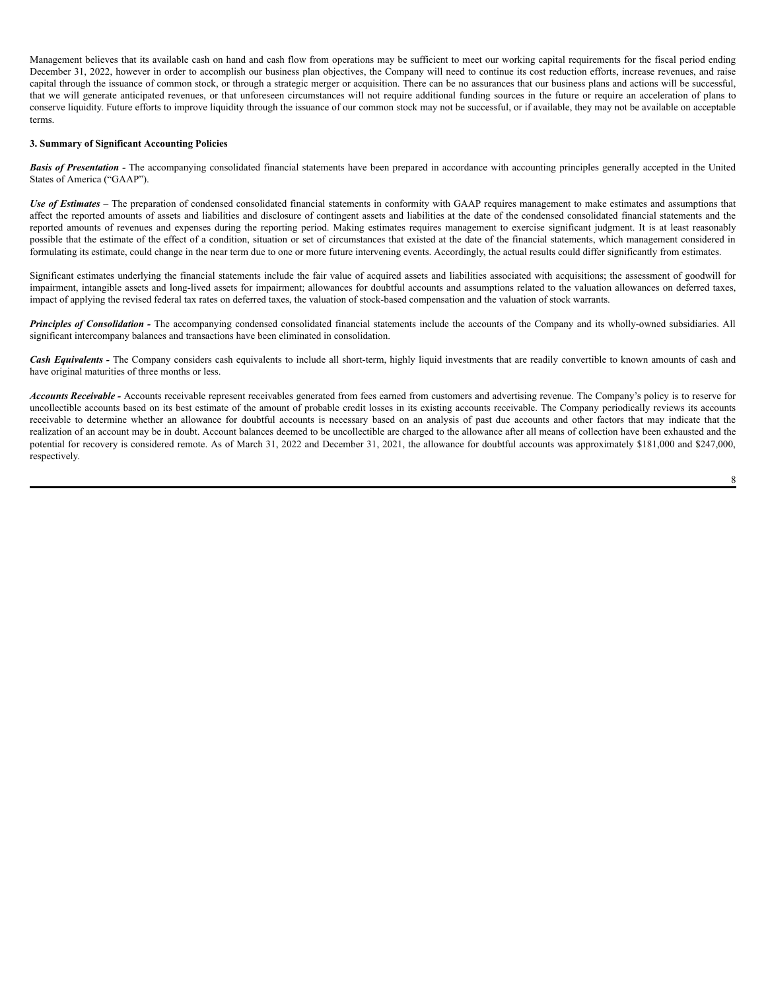Management believes that its available cash on hand and cash flow from operations may be sufficient to meet our working capital requirements for the fiscal period ending December 31, 2022, however in order to accomplish our business plan objectives, the Company will need to continue its cost reduction efforts, increase revenues, and raise capital through the issuance of common stock, or through a strategic merger or acquisition. There can be no assurances that our business plans and actions will be successful, that we will generate anticipated revenues, or that unforeseen circumstances will not require additional funding sources in the future or require an acceleration of plans to conserve liquidity. Future efforts to improve liquidity through the issuance of our common stock may not be successful, or if available, they may not be available on acceptable terms.

#### **3. Summary of Significant Accounting Policies**

**Basis of Presentation -** The accompanying consolidated financial statements have been prepared in accordance with accounting principles generally accepted in the United States of America ("GAAP").

Use of Estimates – The preparation of condensed consolidated financial statements in conformity with GAAP requires management to make estimates and assumptions that affect the reported amounts of assets and liabilities and disclosure of contingent assets and liabilities at the date of the condensed consolidated financial statements and the reported amounts of revenues and expenses during the reporting period. Making estimates requires management to exercise significant judgment. It is at least reasonably possible that the estimate of the effect of a condition, situation or set of circumstances that existed at the date of the financial statements, which management considered in formulating its estimate, could change in the near term due to one or more future intervening events. Accordingly, the actual results could differ significantly from estimates.

Significant estimates underlying the financial statements include the fair value of acquired assets and liabilities associated with acquisitions; the assessment of goodwill for impairment, intangible assets and long-lived assets for impairment; allowances for doubtful accounts and assumptions related to the valuation allowances on deferred taxes, impact of applying the revised federal tax rates on deferred taxes, the valuation of stock-based compensation and the valuation of stock warrants.

*Principles of Consolidation* - The accompanying condensed consolidated financial statements include the accounts of the Company and its wholly-owned subsidiaries. All significant intercompany balances and transactions have been eliminated in consolidation.

*Cash Equivalents -* The Company considers cash equivalents to include all short-term, highly liquid investments that are readily convertible to known amounts of cash and have original maturities of three months or less.

*Accounts Receivable -* Accounts receivable represent receivables generated from fees earned from customers and advertising revenue. The Company's policy is to reserve for uncollectible accounts based on its best estimate of the amount of probable credit losses in its existing accounts receivable. The Company periodically reviews its accounts receivable to determine whether an allowance for doubtful accounts is necessary based on an analysis of past due accounts and other factors that may indicate that the realization of an account may be in doubt. Account balances deemed to be uncollectible are charged to the allowance after all means of collection have been exhausted and the potential for recovery is considered remote. As of March 31, 2022 and December 31, 2021, the allowance for doubtful accounts was approximately \$181,000 and \$247,000, respectively.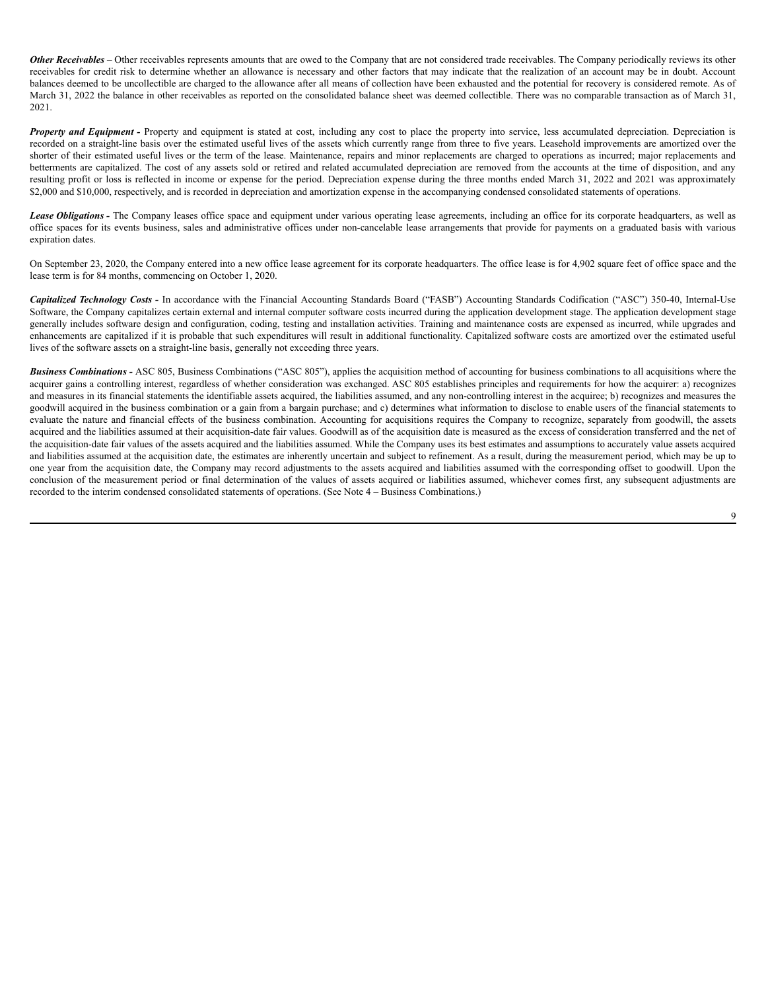*Other Receivables* – Other receivables represents amounts that are owed to the Company that are not considered trade receivables. The Company periodically reviews its other receivables for credit risk to determine whether an allowance is necessary and other factors that may indicate that the realization of an account may be in doubt. Account balances deemed to be uncollectible are charged to the allowance after all means of collection have been exhausted and the potential for recovery is considered remote. As of March 31, 2022 the balance in other receivables as reported on the consolidated balance sheet was deemed collectible. There was no comparable transaction as of March 31, 2021.

*Property and Equipment -* Property and equipment is stated at cost, including any cost to place the property into service, less accumulated depreciation. Depreciation is recorded on a straight-line basis over the estimated useful lives of the assets which currently range from three to five years. Leasehold improvements are amortized over the shorter of their estimated useful lives or the term of the lease. Maintenance, repairs and minor replacements are charged to operations as incurred; major replacements and betterments are capitalized. The cost of any assets sold or retired and related accumulated depreciation are removed from the accounts at the time of disposition, and any resulting profit or loss is reflected in income or expense for the period. Depreciation expense during the three months ended March 31, 2022 and 2021 was approximately \$2,000 and \$10,000, respectively, and is recorded in depreciation and amortization expense in the accompanying condensed consolidated statements of operations.

*Lease Obligations* - The Company leases office space and equipment under various operating lease agreements, including an office for its corporate headquarters, as well as office spaces for its events business, sales and administrative offices under non-cancelable lease arrangements that provide for payments on a graduated basis with various expiration dates.

On September 23, 2020, the Company entered into a new office lease agreement for its corporate headquarters. The office lease is for 4,902 square feet of office space and the lease term is for 84 months, commencing on October 1, 2020.

*Capitalized Technology Costs -* In accordance with the Financial Accounting Standards Board ("FASB") Accounting Standards Codification ("ASC") 350-40, Internal-Use Software, the Company capitalizes certain external and internal computer software costs incurred during the application development stage. The application development stage generally includes software design and configuration, coding, testing and installation activities. Training and maintenance costs are expensed as incurred, while upgrades and enhancements are capitalized if it is probable that such expenditures will result in additional functionality. Capitalized software costs are amortized over the estimated useful lives of the software assets on a straight-line basis, generally not exceeding three years.

*Business Combinations* - ASC 805, Business Combinations ("ASC 805"), applies the acquisition method of accounting for business combinations to all acquisitions where the acquirer gains a controlling interest, regardless of whether consideration was exchanged. ASC 805 establishes principles and requirements for how the acquirer: a) recognizes and measures in its financial statements the identifiable assets acquired, the liabilities assumed, and any non-controlling interest in the acquiree; b) recognizes and measures the goodwill acquired in the business combination or a gain from a bargain purchase; and c) determines what information to disclose to enable users of the financial statements to evaluate the nature and financial effects of the business combination. Accounting for acquisitions requires the Company to recognize, separately from goodwill, the assets acquired and the liabilities assumed at their acquisition-date fair values. Goodwill as of the acquisition date is measured as the excess of consideration transferred and the net of the acquisition-date fair values of the assets acquired and the liabilities assumed. While the Company uses its best estimates and assumptions to accurately value assets acquired and liabilities assumed at the acquisition date, the estimates are inherently uncertain and subject to refinement. As a result, during the measurement period, which may be up to one year from the acquisition date, the Company may record adjustments to the assets acquired and liabilities assumed with the corresponding offset to goodwill. Upon the conclusion of the measurement period or final determination of the values of assets acquired or liabilities assumed, whichever comes first, any subsequent adjustments are recorded to the interim condensed consolidated statements of operations. (See Note 4 – Business Combinations.)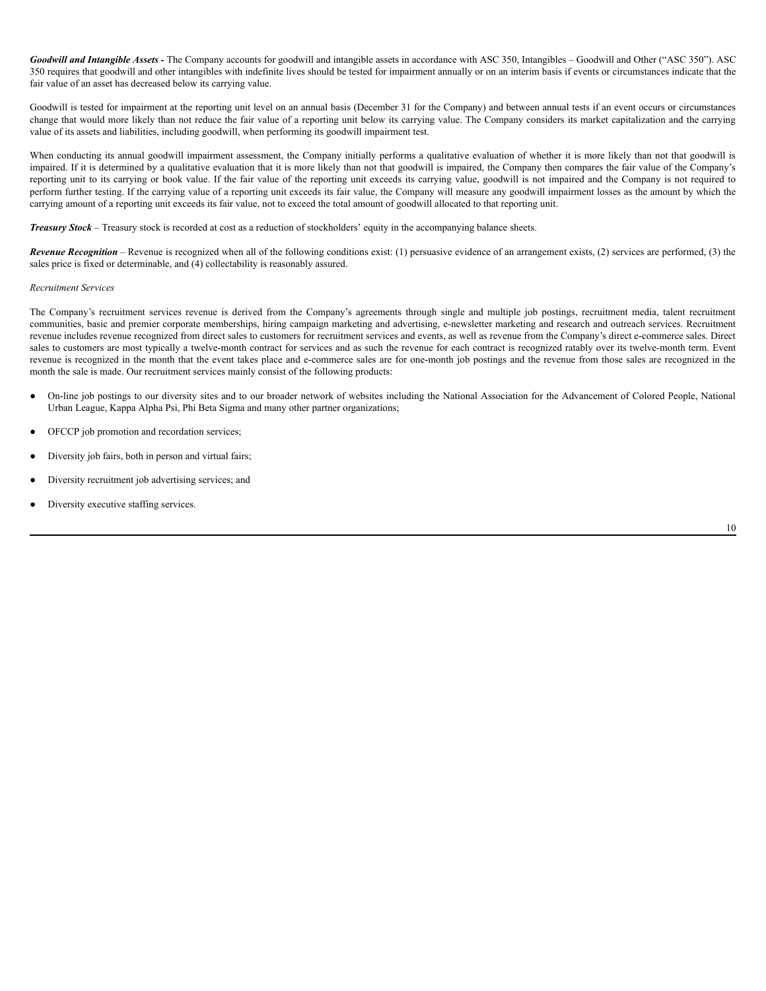Goodwill and Intangible Assets - The Company accounts for goodwill and intangible assets in accordance with ASC 350, Intangibles – Goodwill and Other ("ASC 350"). ASC 350 requires that goodwill and other intangibles with indefinite lives should be tested for impairment annually or on an interim basis if events or circumstances indicate that the fair value of an asset has decreased below its carrying value.

Goodwill is tested for impairment at the reporting unit level on an annual basis (December 31 for the Company) and between annual tests if an event occurs or circumstances change that would more likely than not reduce the fair value of a reporting unit below its carrying value. The Company considers its market capitalization and the carrying value of its assets and liabilities, including goodwill, when performing its goodwill impairment test.

When conducting its annual goodwill impairment assessment, the Company initially performs a qualitative evaluation of whether it is more likely than not that goodwill is impaired. If it is determined by a qualitative evaluation that it is more likely than not that goodwill is impaired, the Company then compares the fair value of the Company's reporting unit to its carrying or book value. If the fair value of the reporting unit exceeds its carrying value, goodwill is not impaired and the Company is not required to perform further testing. If the carrying value of a reporting unit exceeds its fair value, the Company will measure any goodwill impairment losses as the amount by which the carrying amount of a reporting unit exceeds its fair value, not to exceed the total amount of goodwill allocated to that reporting unit.

*Treasury Stock* – Treasury stock is recorded at cost as a reduction of stockholders' equity in the accompanying balance sheets.

*Revenue Recognition* – Revenue is recognized when all of the following conditions exist: (1) persuasive evidence of an arrangement exists, (2) services are performed, (3) the sales price is fixed or determinable, and (4) collectability is reasonably assured.

#### *Recruitment Services*

The Company's recruitment services revenue is derived from the Company's agreements through single and multiple job postings, recruitment media, talent recruitment communities, basic and premier corporate memberships, hiring campaign marketing and advertising, e-newsletter marketing and research and outreach services. Recruitment revenue includes revenue recognized from direct sales to customers for recruitment services and events, as well as revenue from the Company's direct e-commerce sales. Direct sales to customers are most typically a twelve-month contract for services and as such the revenue for each contract is recognized ratably over its twelve-month term. Event revenue is recognized in the month that the event takes place and e-commerce sales are for one-month job postings and the revenue from those sales are recognized in the month the sale is made. Our recruitment services mainly consist of the following products:

- On-line job postings to our diversity sites and to our broader network of websites including the National Association for the Advancement of Colored People, National Urban League, Kappa Alpha Psi, Phi Beta Sigma and many other partner organizations;
- OFCCP job promotion and recordation services;
- Diversity job fairs, both in person and virtual fairs;
- Diversity recruitment job advertising services; and
- Diversity executive staffing services.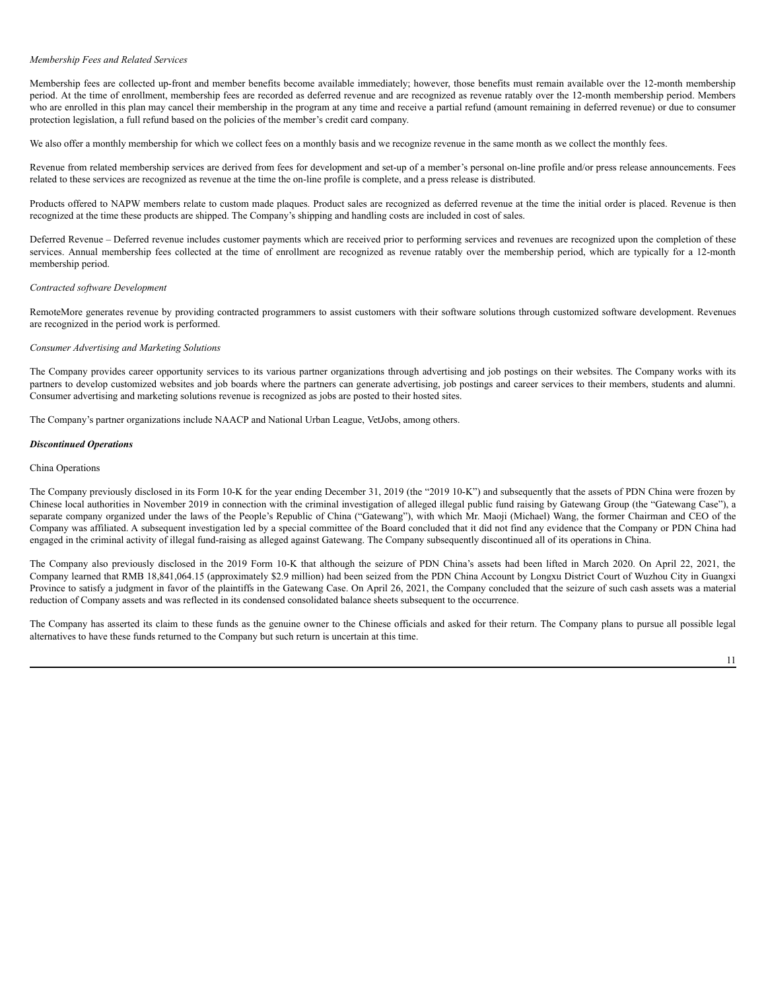## *Membership Fees and Related Services*

Membership fees are collected up-front and member benefits become available immediately; however, those benefits must remain available over the 12-month membership period. At the time of enrollment, membership fees are recorded as deferred revenue and are recognized as revenue ratably over the 12-month membership period. Members who are enrolled in this plan may cancel their membership in the program at any time and receive a partial refund (amount remaining in deferred revenue) or due to consumer protection legislation, a full refund based on the policies of the member's credit card company.

We also offer a monthly membership for which we collect fees on a monthly basis and we recognize revenue in the same month as we collect the monthly fees.

Revenue from related membership services are derived from fees for development and set-up of a member's personal on-line profile and/or press release announcements. Fees related to these services are recognized as revenue at the time the on-line profile is complete, and a press release is distributed.

Products offered to NAPW members relate to custom made plaques. Product sales are recognized as deferred revenue at the time the initial order is placed. Revenue is then recognized at the time these products are shipped. The Company's shipping and handling costs are included in cost of sales.

Deferred Revenue *–* Deferred revenue includes customer payments which are received prior to performing services and revenues are recognized upon the completion of these services. Annual membership fees collected at the time of enrollment are recognized as revenue ratably over the membership period, which are typically for a 12-month membership period.

## *Contracted software Development*

RemoteMore generates revenue by providing contracted programmers to assist customers with their software solutions through customized software development. Revenues are recognized in the period work is performed.

## *Consumer Advertising and Marketing Solutions*

The Company provides career opportunity services to its various partner organizations through advertising and job postings on their websites. The Company works with its partners to develop customized websites and job boards where the partners can generate advertising, job postings and career services to their members, students and alumni. Consumer advertising and marketing solutions revenue is recognized as jobs are posted to their hosted sites.

The Company's partner organizations include NAACP and National Urban League, VetJobs, among others.

## *Discontinued Operations*

#### China Operations

The Company previously disclosed in its Form 10-K for the year ending December 31, 2019 (the "2019 10-K") and subsequently that the assets of PDN China were frozen by Chinese local authorities in November 2019 in connection with the criminal investigation of alleged illegal public fund raising by Gatewang Group (the "Gatewang Case"), a separate company organized under the laws of the People's Republic of China ("Gatewang"), with which Mr. Maoji (Michael) Wang, the former Chairman and CEO of the Company was affiliated. A subsequent investigation led by a special committee of the Board concluded that it did not find any evidence that the Company or PDN China had engaged in the criminal activity of illegal fund-raising as alleged against Gatewang. The Company subsequently discontinued all of its operations in China.

The Company also previously disclosed in the 2019 Form 10-K that although the seizure of PDN China's assets had been lifted in March 2020. On April 22, 2021, the Company learned that RMB 18,841,064.15 (approximately \$2.9 million) had been seized from the PDN China Account by Longxu District Court of Wuzhou City in Guangxi Province to satisfy a judgment in favor of the plaintiffs in the Gatewang Case. On April 26, 2021, the Company concluded that the seizure of such cash assets was a material reduction of Company assets and was reflected in its condensed consolidated balance sheets subsequent to the occurrence.

The Company has asserted its claim to these funds as the genuine owner to the Chinese officials and asked for their return. The Company plans to pursue all possible legal alternatives to have these funds returned to the Company but such return is uncertain at this time.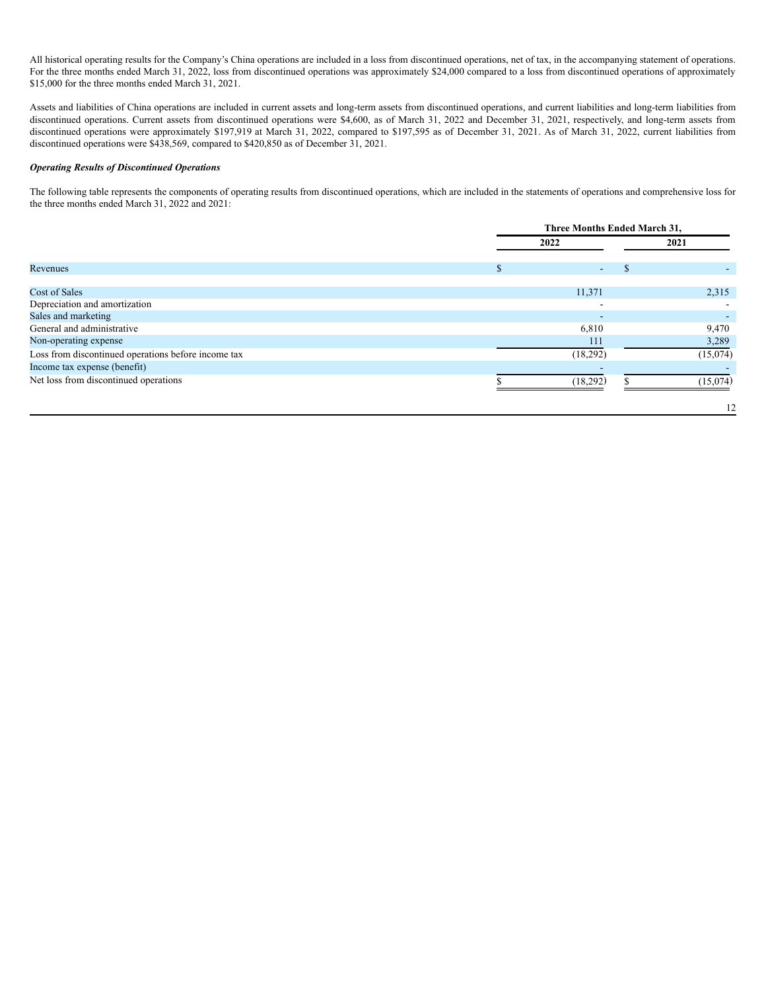All historical operating results for the Company's China operations are included in a loss from discontinued operations, net of tax, in the accompanying statement of operations. For the three months ended March 31, 2022, loss from discontinued operations was approximately \$24,000 compared to a loss from discontinued operations of approximately \$15,000 for the three months ended March 31, 2021.

Assets and liabilities of China operations are included in current assets and long-term assets from discontinued operations, and current liabilities and long-term liabilities from discontinued operations. Current assets from discontinued operations were \$4,600, as of March 31, 2022 and December 31, 2021, respectively, and long-term assets from discontinued operations were approximately \$197,919 at March 31, 2022, compared to \$197,595 as of December 31, 2021. As of March 31, 2022, current liabilities from discontinued operations were \$438,569, compared to \$420,850 as of December 31, 2021.

## *Operating Results of Discontinued Operations*

The following table represents the components of operating results from discontinued operations, which are included in the statements of operations and comprehensive loss for the three months ended March 31, 2022 and 2021:

|                                                     |      | <b>Three Months Ended March 31,</b> |          |  |  |  |  |  |
|-----------------------------------------------------|------|-------------------------------------|----------|--|--|--|--|--|
|                                                     | 2022 |                                     | 2021     |  |  |  |  |  |
|                                                     |      |                                     |          |  |  |  |  |  |
| Revenues                                            | ж    | $\overline{\phantom{a}}$<br>ъ       |          |  |  |  |  |  |
| <b>Cost of Sales</b>                                |      | 11,371                              | 2,315    |  |  |  |  |  |
| Depreciation and amortization                       |      | $\overline{\phantom{a}}$            |          |  |  |  |  |  |
| Sales and marketing                                 |      |                                     |          |  |  |  |  |  |
| General and administrative                          |      | 6,810                               | 9,470    |  |  |  |  |  |
| Non-operating expense                               |      | 111                                 | 3,289    |  |  |  |  |  |
| Loss from discontinued operations before income tax |      | (18,292)                            | (15,074) |  |  |  |  |  |
| Income tax expense (benefit)                        |      |                                     |          |  |  |  |  |  |
| Net loss from discontinued operations               |      | (18,292)                            | (15,074) |  |  |  |  |  |
|                                                     |      |                                     | 12       |  |  |  |  |  |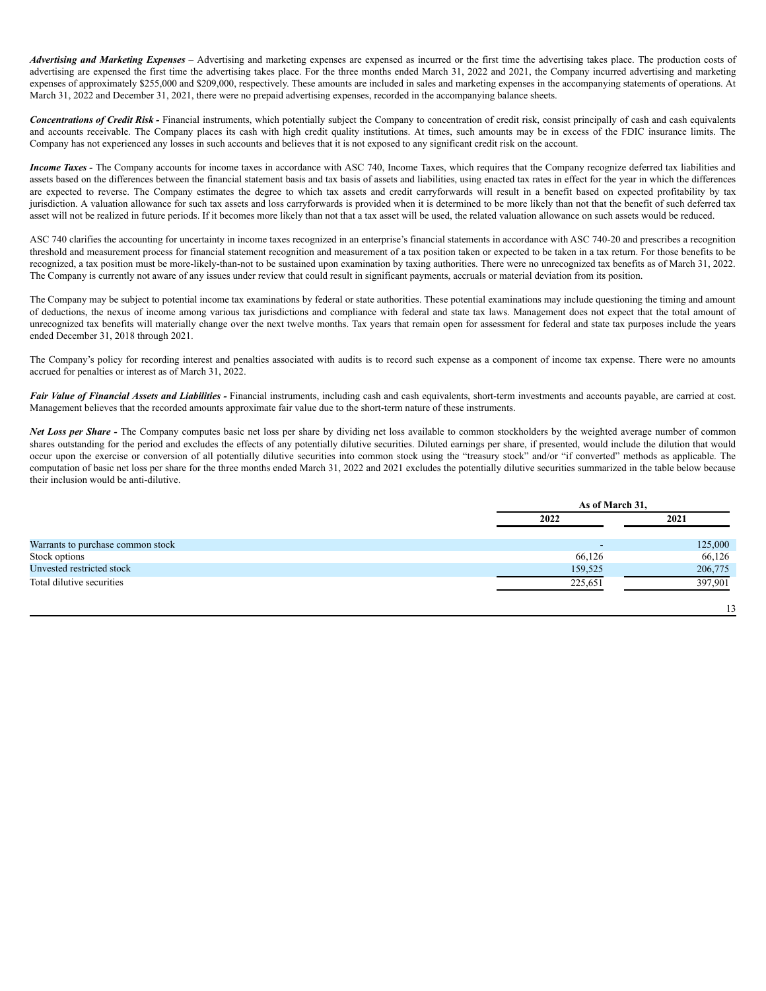*Advertising and Marketing Expenses* – Advertising and marketing expenses are expensed as incurred or the first time the advertising takes place. The production costs of advertising are expensed the first time the advertising takes place. For the three months ended March 31, 2022 and 2021, the Company incurred advertising and marketing expenses of approximately \$255,000 and \$209,000, respectively. These amounts are included in sales and marketing expenses in the accompanying statements of operations. At March 31, 2022 and December 31, 2021, there were no prepaid advertising expenses, recorded in the accompanying balance sheets.

*Concentrations of Credit Risk -* Financial instruments, which potentially subject the Company to concentration of credit risk, consist principally of cash and cash equivalents and accounts receivable. The Company places its cash with high credit quality institutions. At times, such amounts may be in excess of the FDIC insurance limits. The Company has not experienced any losses in such accounts and believes that it is not exposed to any significant credit risk on the account.

*Income Taxes* - The Company accounts for income taxes in accordance with ASC 740, Income Taxes, which requires that the Company recognize deferred tax liabilities and assets based on the differences between the financial statement basis and tax basis of assets and liabilities, using enacted tax rates in effect for the year in which the differences are expected to reverse. The Company estimates the degree to which tax assets and credit carryforwards will result in a benefit based on expected profitability by tax jurisdiction. A valuation allowance for such tax assets and loss carryforwards is provided when it is determined to be more likely than not that the benefit of such deferred tax asset will not be realized in future periods. If it becomes more likely than not that a tax asset will be used, the related valuation allowance on such assets would be reduced.

ASC 740 clarifies the accounting for uncertainty in income taxes recognized in an enterprise's financial statements in accordance with ASC 740-20 and prescribes a recognition threshold and measurement process for financial statement recognition and measurement of a tax position taken or expected to be taken in a tax return. For those benefits to be recognized, a tax position must be more-likely-than-not to be sustained upon examination by taxing authorities. There were no unrecognized tax benefits as of March 31, 2022. The Company is currently not aware of any issues under review that could result in significant payments, accruals or material deviation from its position.

The Company may be subject to potential income tax examinations by federal or state authorities. These potential examinations may include questioning the timing and amount of deductions, the nexus of income among various tax jurisdictions and compliance with federal and state tax laws. Management does not expect that the total amount of unrecognized tax benefits will materially change over the next twelve months. Tax years that remain open for assessment for federal and state tax purposes include the years ended December 31, 2018 through 2021.

The Company's policy for recording interest and penalties associated with audits is to record such expense as a component of income tax expense. There were no amounts accrued for penalties or interest as of March 31, 2022.

Fair Value of Financial Assets and Liabilities - Financial instruments, including cash and cash equivalents, short-term investments and accounts payable, are carried at cost. Management believes that the recorded amounts approximate fair value due to the short-term nature of these instruments.

*Net Loss per Share* - The Company computes basic net loss per share by dividing net loss available to common stockholders by the weighted average number of common shares outstanding for the period and excludes the effects of any potentially dilutive securities. Diluted earnings per share, if presented, would include the dilution that would occur upon the exercise or conversion of all potentially dilutive securities into common stock using the "treasury stock" and/or "if converted" methods as applicable. The computation of basic net loss per share for the three months ended March 31, 2022 and 2021 excludes the potentially dilutive securities summarized in the table below because their inclusion would be anti-dilutive.

|                                   | As of March 31,          |         |
|-----------------------------------|--------------------------|---------|
|                                   | 2022                     | 2021    |
| Warrants to purchase common stock | $\overline{\phantom{0}}$ | 125,000 |
| Stock options                     | 66,126                   | 66,126  |
| Unvested restricted stock         | 159,525                  | 206,775 |
| Total dilutive securities         | 225,651                  | 397,901 |
|                                   |                          |         |

13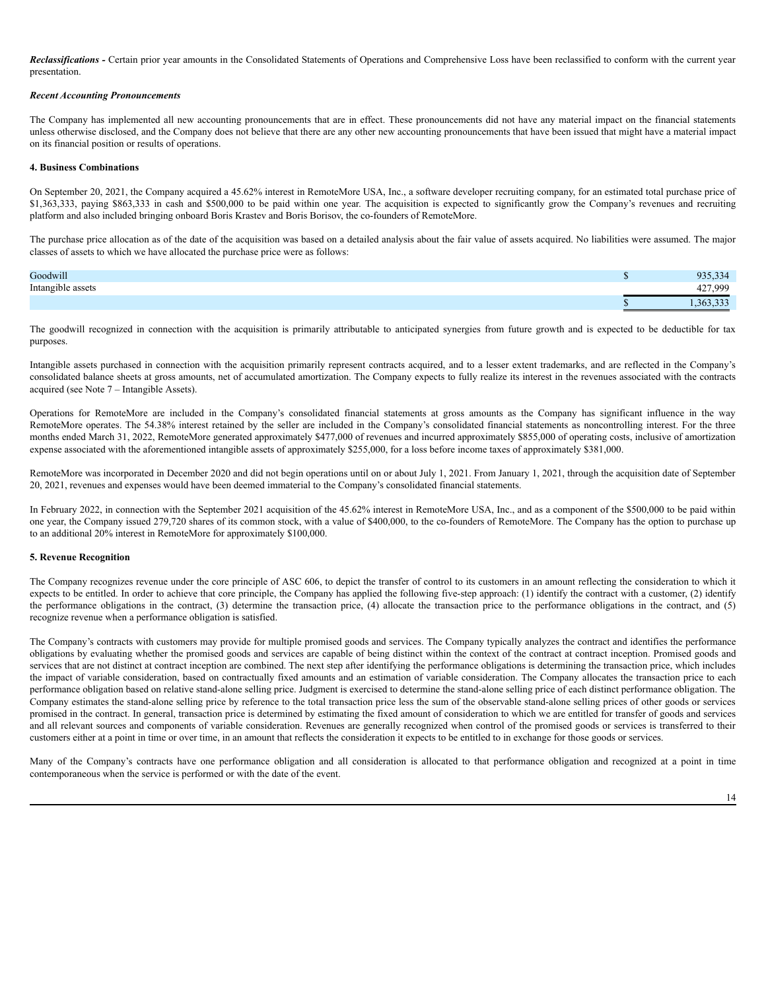*Reclassifications -* Certain prior year amounts in the Consolidated Statements of Operations and Comprehensive Loss have been reclassified to conform with the current year presentation.

## *Recent Accounting Pronouncements*

The Company has implemented all new accounting pronouncements that are in effect. These pronouncements did not have any material impact on the financial statements unless otherwise disclosed, and the Company does not believe that there are any other new accounting pronouncements that have been issued that might have a material impact on its financial position or results of operations.

#### **4. Business Combinations**

On September 20, 2021, the Company acquired a 45.62% interest in RemoteMore USA, Inc., a software developer recruiting company, for an estimated total purchase price of \$1,363,333, paying \$863,333 in cash and \$500,000 to be paid within one year. The acquisition is expected to significantly grow the Company's revenues and recruiting platform and also included bringing onboard Boris Krastev and Boris Borisov, the co-founders of RemoteMore.

The purchase price allocation as of the date of the acquisition was based on a detailed analysis about the fair value of assets acquired. No liabilities were assumed. The major classes of assets to which we have allocated the purchase price were as follows:

| Goodwill          | 935,334                  |
|-------------------|--------------------------|
| Intangible assets | 427 999<br><u>д</u><br>. |
|                   | 363,333                  |

The goodwill recognized in connection with the acquisition is primarily attributable to anticipated synergies from future growth and is expected to be deductible for tax purposes.

Intangible assets purchased in connection with the acquisition primarily represent contracts acquired, and to a lesser extent trademarks, and are reflected in the Company's consolidated balance sheets at gross amounts, net of accumulated amortization. The Company expects to fully realize its interest in the revenues associated with the contracts acquired (see Note 7 – Intangible Assets).

Operations for RemoteMore are included in the Company's consolidated financial statements at gross amounts as the Company has significant influence in the way RemoteMore operates. The 54.38% interest retained by the seller are included in the Company's consolidated financial statements as noncontrolling interest. For the three months ended March 31, 2022, RemoteMore generated approximately \$477,000 of revenues and incurred approximately \$855,000 of operating costs, inclusive of amortization expense associated with the aforementioned intangible assets of approximately \$255,000, for a loss before income taxes of approximately \$381,000.

RemoteMore was incorporated in December 2020 and did not begin operations until on or about July 1, 2021. From January 1, 2021, through the acquisition date of September 20, 2021, revenues and expenses would have been deemed immaterial to the Company's consolidated financial statements.

In February 2022, in connection with the September 2021 acquisition of the 45.62% interest in RemoteMore USA, Inc., and as a component of the \$500,000 to be paid within one year, the Company issued 279,720 shares of its common stock, with a value of \$400,000, to the co-founders of RemoteMore. The Company has the option to purchase up to an additional 20% interest in RemoteMore for approximately \$100,000.

## **5. Revenue Recognition**

The Company recognizes revenue under the core principle of ASC 606, to depict the transfer of control to its customers in an amount reflecting the consideration to which it expects to be entitled. In order to achieve that core principle, the Company has applied the following five-step approach: (1) identify the contract with a customer, (2) identify the performance obligations in the contract, (3) determine the transaction price, (4) allocate the transaction price to the performance obligations in the contract, and (5) recognize revenue when a performance obligation is satisfied.

The Company's contracts with customers may provide for multiple promised goods and services. The Company typically analyzes the contract and identifies the performance obligations by evaluating whether the promised goods and services are capable of being distinct within the context of the contract at contract inception. Promised goods and services that are not distinct at contract inception are combined. The next step after identifying the performance obligations is determining the transaction price, which includes the impact of variable consideration, based on contractually fixed amounts and an estimation of variable consideration. The Company allocates the transaction price to each performance obligation based on relative stand-alone selling price. Judgment is exercised to determine the stand-alone selling price of each distinct performance obligation. The Company estimates the stand-alone selling price by reference to the total transaction price less the sum of the observable stand-alone selling prices of other goods or services promised in the contract. In general, transaction price is determined by estimating the fixed amount of consideration to which we are entitled for transfer of goods and services and all relevant sources and components of variable consideration. Revenues are generally recognized when control of the promised goods or services is transferred to their customers either at a point in time or over time, in an amount that reflects the consideration it expects to be entitled to in exchange for those goods or services.

Many of the Company's contracts have one performance obligation and all consideration is allocated to that performance obligation and recognized at a point in time contemporaneous when the service is performed or with the date of the event.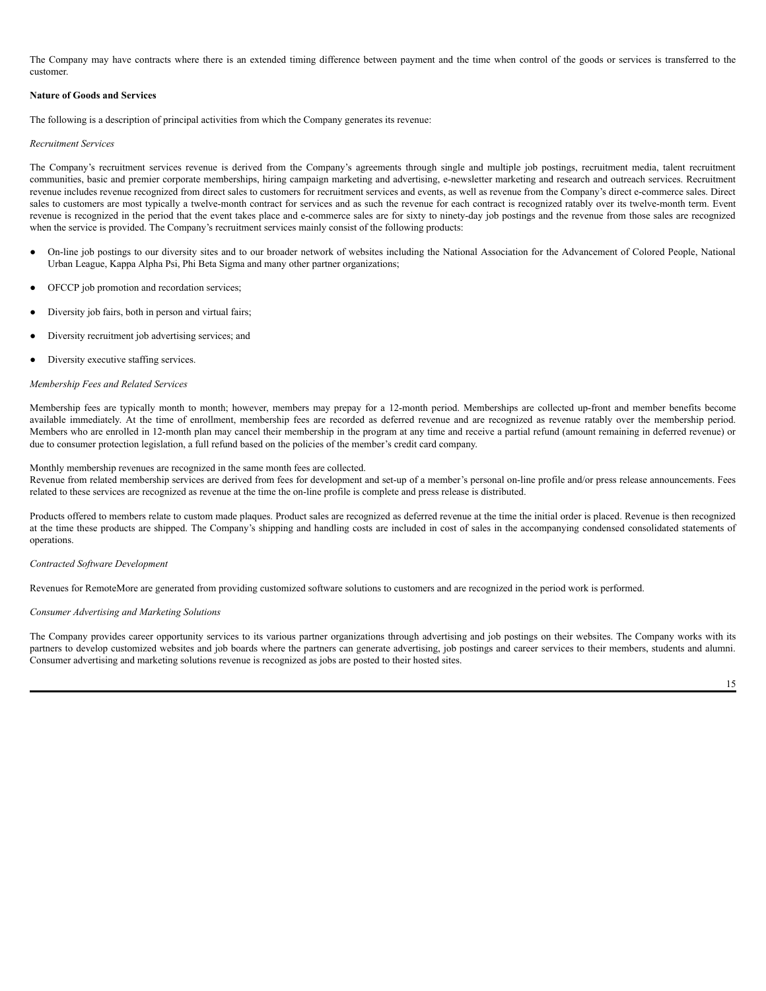The Company may have contracts where there is an extended timing difference between payment and the time when control of the goods or services is transferred to the customer.

## **Nature of Goods and Services**

The following is a description of principal activities from which the Company generates its revenue:

#### *Recruitment Services*

The Company's recruitment services revenue is derived from the Company's agreements through single and multiple job postings, recruitment media, talent recruitment communities, basic and premier corporate memberships, hiring campaign marketing and advertising, e-newsletter marketing and research and outreach services. Recruitment revenue includes revenue recognized from direct sales to customers for recruitment services and events, as well as revenue from the Company's direct e-commerce sales. Direct sales to customers are most typically a twelve-month contract for services and as such the revenue for each contract is recognized ratably over its twelve-month term. Event revenue is recognized in the period that the event takes place and e-commerce sales are for sixty to ninety-day job postings and the revenue from those sales are recognized when the service is provided. The Company's recruitment services mainly consist of the following products:

- On-line job postings to our diversity sites and to our broader network of websites including the National Association for the Advancement of Colored People, National Urban League, Kappa Alpha Psi, Phi Beta Sigma and many other partner organizations;
- OFCCP job promotion and recordation services;
- Diversity job fairs, both in person and virtual fairs;
- Diversity recruitment job advertising services; and
- Diversity executive staffing services.

#### *Membership Fees and Related Services*

Membership fees are typically month to month; however, members may prepay for a 12-month period. Memberships are collected up-front and member benefits become available immediately. At the time of enrollment, membership fees are recorded as deferred revenue and are recognized as revenue ratably over the membership period. Members who are enrolled in 12-month plan may cancel their membership in the program at any time and receive a partial refund (amount remaining in deferred revenue) or due to consumer protection legislation, a full refund based on the policies of the member's credit card company.

#### Monthly membership revenues are recognized in the same month fees are collected.

Revenue from related membership services are derived from fees for development and set-up of a member's personal on-line profile and/or press release announcements. Fees related to these services are recognized as revenue at the time the on-line profile is complete and press release is distributed.

Products offered to members relate to custom made plaques. Product sales are recognized as deferred revenue at the time the initial order is placed. Revenue is then recognized at the time these products are shipped. The Company's shipping and handling costs are included in cost of sales in the accompanying condensed consolidated statements of operations.

#### *Contracted Software Development*

Revenues for RemoteMore are generated from providing customized software solutions to customers and are recognized in the period work is performed.

#### *Consumer Advertising and Marketing Solutions*

The Company provides career opportunity services to its various partner organizations through advertising and job postings on their websites. The Company works with its partners to develop customized websites and job boards where the partners can generate advertising, job postings and career services to their members, students and alumni. Consumer advertising and marketing solutions revenue is recognized as jobs are posted to their hosted sites.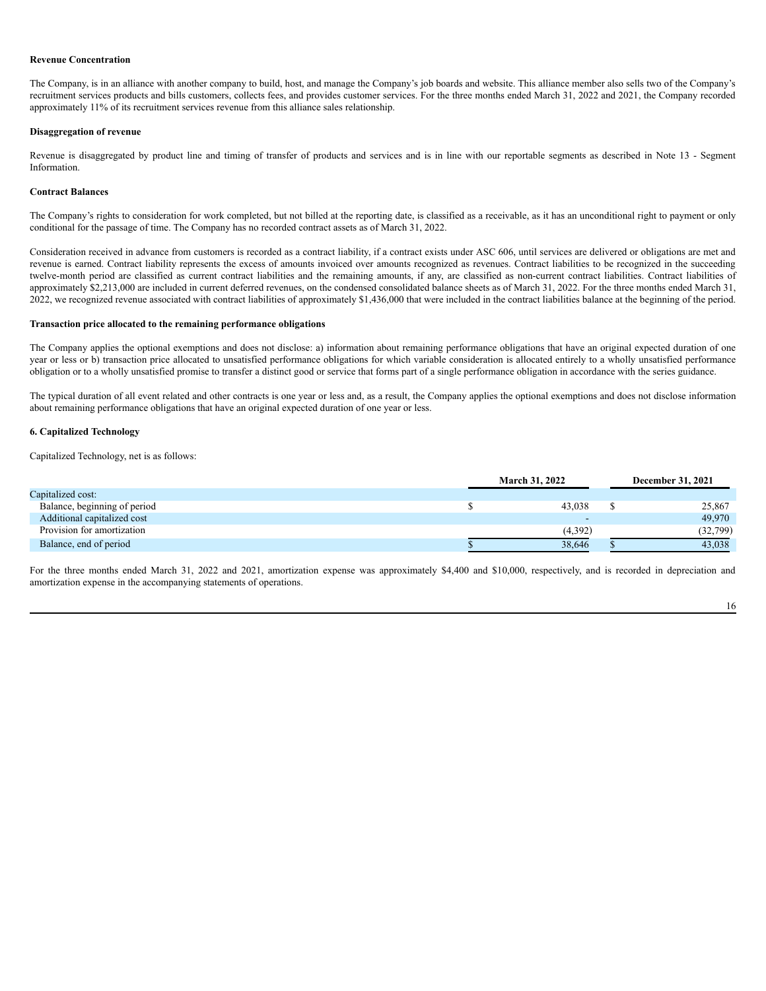#### **Revenue Concentration**

The Company, is in an alliance with another company to build, host, and manage the Company's job boards and website. This alliance member also sells two of the Company's recruitment services products and bills customers, collects fees, and provides customer services. For the three months ended March 31, 2022 and 2021, the Company recorded approximately 11% of its recruitment services revenue from this alliance sales relationship.

#### **Disaggregation of revenue**

Revenue is disaggregated by product line and timing of transfer of products and services and is in line with our reportable segments as described in Note 13 - Segment Information.

# **Contract Balances**

The Company's rights to consideration for work completed, but not billed at the reporting date, is classified as a receivable, as it has an unconditional right to payment or only conditional for the passage of time. The Company has no recorded contract assets as of March 31, 2022.

Consideration received in advance from customers is recorded as a contract liability, if a contract exists under ASC 606, until services are delivered or obligations are met and revenue is earned. Contract liability represents the excess of amounts invoiced over amounts recognized as revenues. Contract liabilities to be recognized in the succeeding twelve-month period are classified as current contract liabilities and the remaining amounts, if any, are classified as non-current contract liabilities. Contract liabilities of approximately \$2,213,000 are included in current deferred revenues, on the condensed consolidated balance sheets as of March 31, 2022. For the three months ended March 31, 2022, we recognized revenue associated with contract liabilities of approximately \$1,436,000 that were included in the contract liabilities balance at the beginning of the period.

## **Transaction price allocated to the remaining performance obligations**

The Company applies the optional exemptions and does not disclose: a) information about remaining performance obligations that have an original expected duration of one year or less or b) transaction price allocated to unsatisfied performance obligations for which variable consideration is allocated entirely to a wholly unsatisfied performance obligation or to a wholly unsatisfied promise to transfer a distinct good or service that forms part of a single performance obligation in accordance with the series guidance.

The typical duration of all event related and other contracts is one year or less and, as a result, the Company applies the optional exemptions and does not disclose information about remaining performance obligations that have an original expected duration of one year or less.

## **6. Capitalized Technology**

Capitalized Technology, net is as follows:

|                              | <b>March 31, 2022</b> | <b>December 31, 2021</b> |  |  |
|------------------------------|-----------------------|--------------------------|--|--|
| Capitalized cost:            |                       |                          |  |  |
| Balance, beginning of period | 43.038                | 25,867                   |  |  |
| Additional capitalized cost  |                       | 49,970                   |  |  |
| Provision for amortization   | (4,392)               | (32,799)                 |  |  |
| Balance, end of period       | 38,646                | 43,038                   |  |  |

For the three months ended March 31, 2022 and 2021, amortization expense was approximately \$4,400 and \$10,000, respectively, and is recorded in depreciation and amortization expense in the accompanying statements of operations.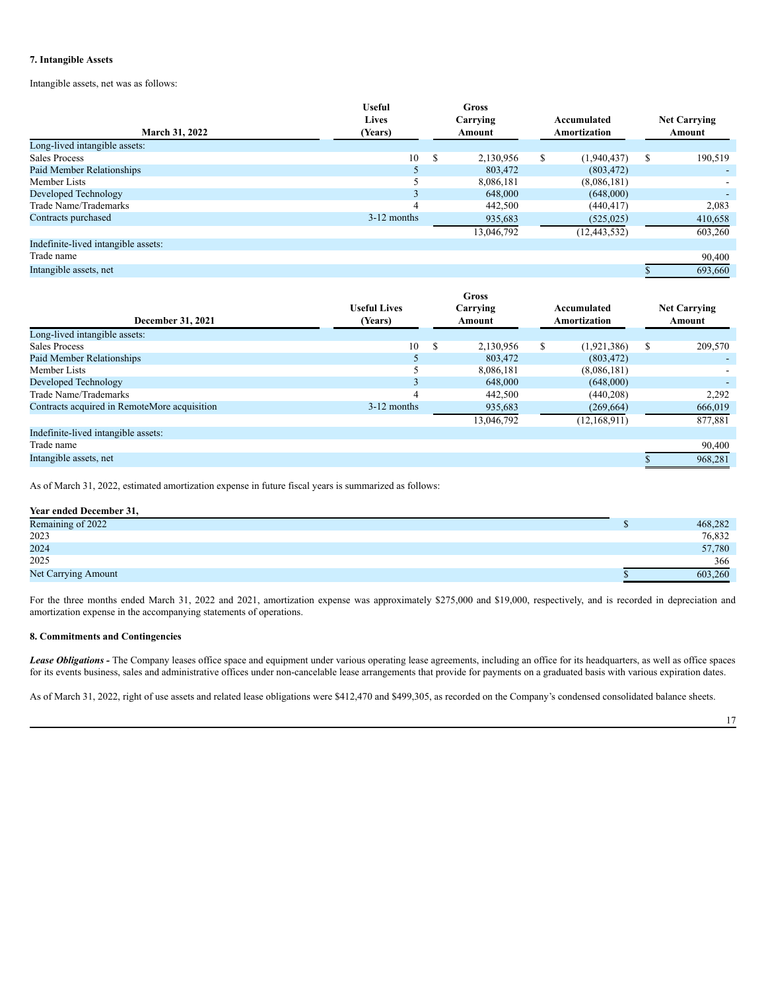## **7. Intangible Assets**

Intangible assets, net was as follows:

| <b>March 31, 2022</b>               | <b>Useful</b><br><b>Lives</b><br>(Years) | <b>Gross</b><br>Carrying<br>Amount | Accumulated<br>Amortization | <b>Net Carrying</b><br>Amount |
|-------------------------------------|------------------------------------------|------------------------------------|-----------------------------|-------------------------------|
| Long-lived intangible assets:       |                                          |                                    |                             |                               |
| <b>Sales Process</b>                | 10                                       | \$<br>2,130,956                    | \$<br>(1,940,437)           | \$<br>190,519                 |
| Paid Member Relationships           |                                          | 803,472                            | (803, 472)                  |                               |
| Member Lists                        |                                          | 8,086,181                          | (8,086,181)                 |                               |
| Developed Technology                |                                          | 648,000                            | (648,000)                   |                               |
| Trade Name/Trademarks               | 4                                        | 442,500                            | (440, 417)                  | 2,083                         |
| Contracts purchased                 | $3-12$ months                            | 935,683                            | (525, 025)                  | 410,658                       |
|                                     |                                          | 13,046,792                         | (12, 443, 532)              | 603,260                       |
| Indefinite-lived intangible assets: |                                          |                                    |                             |                               |
| Trade name                          |                                          |                                    |                             | 90,400                        |
| Intangible assets, net              |                                          |                                    |                             | 693,660                       |

|                     |         | <b>Gross</b> |                     |              |                             |                               |
|---------------------|---------|--------------|---------------------|--------------|-----------------------------|-------------------------------|
| <b>Useful Lives</b> |         | Carrying     |                     |              |                             | <b>Net Carrying</b><br>Amount |
|                     |         |              |                     |              |                             |                               |
|                     |         |              |                     |              |                             |                               |
| 10                  | ъ       |              | \$                  | (1,921,386)  | S                           | 209,570                       |
|                     |         | 803,472      |                     | (803, 472)   |                             |                               |
|                     |         | 8,086,181    |                     | (8,086,181)  |                             |                               |
|                     |         | 648,000      |                     | (648,000)    |                             |                               |
|                     |         | 442,500      |                     | (440, 208)   |                             | 2,292                         |
| $3-12$ months       |         | 935,683      |                     | (269, 664)   |                             | 666,019                       |
|                     |         | 13,046,792   |                     | (12,168,911) |                             | 877,881                       |
|                     |         |              |                     |              |                             |                               |
|                     |         |              |                     |              |                             | 90,400                        |
|                     |         |              |                     |              |                             | 968,281                       |
|                     | (Years) |              | Amount<br>2,130,956 |              | Accumulated<br>Amortization |                               |

As of March 31, 2022, estimated amortization expense in future fiscal years is summarized as follows:

#### **Year ended December 31,**

| Remaining of 2022   | 468,282 |
|---------------------|---------|
| 2023                | 76,832  |
| 2024                | 57,780  |
| 2025                | 366     |
| Net Carrying Amount | 603,260 |

For the three months ended March 31, 2022 and 2021, amortization expense was approximately \$275,000 and \$19,000, respectively, and is recorded in depreciation and amortization expense in the accompanying statements of operations.

## **8. Commitments and Contingencies**

Lease Obligations - The Company leases office space and equipment under various operating lease agreements, including an office for its headquarters, as well as office spaces for its events business, sales and administrative offices under non-cancelable lease arrangements that provide for payments on a graduated basis with various expiration dates.

As of March 31, 2022, right of use assets and related lease obligations were \$412,470 and \$499,305, as recorded on the Company's condensed consolidated balance sheets.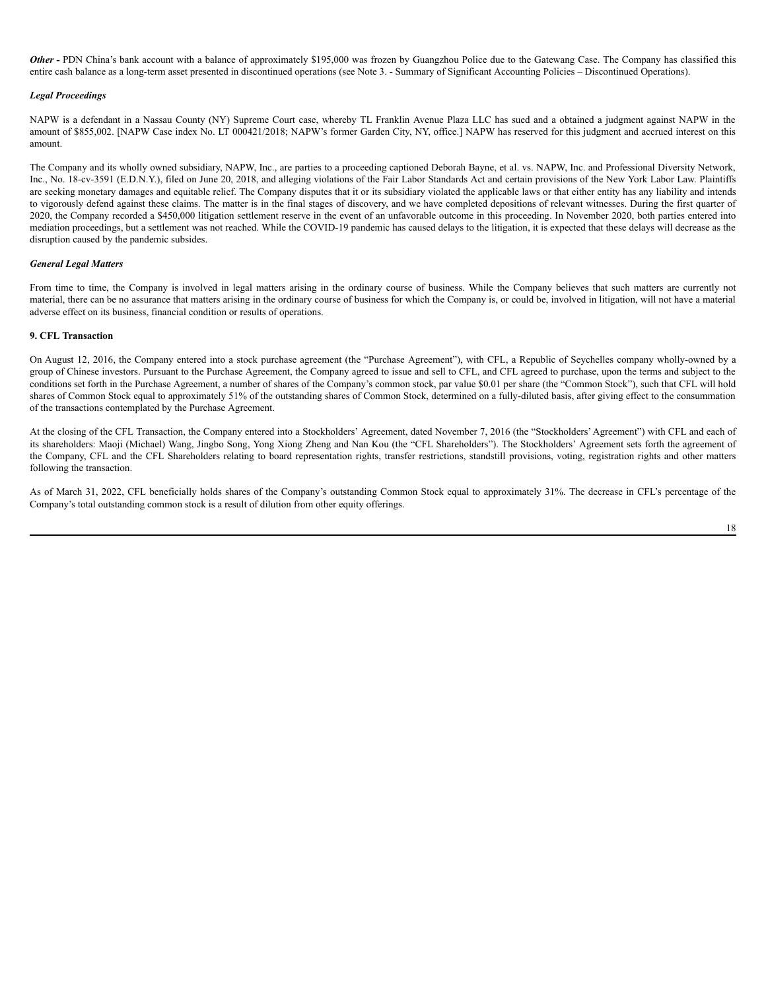*Other* - PDN China's bank account with a balance of approximately \$195,000 was frozen by Guangzhou Police due to the Gatewang Case. The Company has classified this entire cash balance as a long-term asset presented in discontinued operations (see Note 3. - Summary of Significant Accounting Policies – Discontinued Operations).

#### *Legal Proceedings*

NAPW is a defendant in a Nassau County (NY) Supreme Court case, whereby TL Franklin Avenue Plaza LLC has sued and a obtained a judgment against NAPW in the amount of \$855,002. [NAPW Case index No. LT 000421/2018; NAPW's former Garden City, NY, office.] NAPW has reserved for this judgment and accrued interest on this amount.

The Company and its wholly owned subsidiary, NAPW, Inc., are parties to a proceeding captioned Deborah Bayne, et al. vs. NAPW, Inc. and Professional Diversity Network, Inc., No. 18-cv-3591 (E.D.N.Y.), filed on June 20, 2018, and alleging violations of the Fair Labor Standards Act and certain provisions of the New York Labor Law. Plaintiffs are seeking monetary damages and equitable relief. The Company disputes that it or its subsidiary violated the applicable laws or that either entity has any liability and intends to vigorously defend against these claims. The matter is in the final stages of discovery, and we have completed depositions of relevant witnesses. During the first quarter of 2020, the Company recorded a \$450,000 litigation settlement reserve in the event of an unfavorable outcome in this proceeding. In November 2020, both parties entered into mediation proceedings, but a settlement was not reached. While the COVID-19 pandemic has caused delays to the litigation, it is expected that these delays will decrease as the disruption caused by the pandemic subsides.

#### *General Legal Matters*

From time to time, the Company is involved in legal matters arising in the ordinary course of business. While the Company believes that such matters are currently not material, there can be no assurance that matters arising in the ordinary course of business for which the Company is, or could be, involved in litigation, will not have a material adverse effect on its business, financial condition or results of operations.

## **9. CFL Transaction**

On August 12, 2016, the Company entered into a stock purchase agreement (the "Purchase Agreement"), with CFL, a Republic of Seychelles company wholly-owned by a group of Chinese investors. Pursuant to the Purchase Agreement, the Company agreed to issue and sell to CFL, and CFL agreed to purchase, upon the terms and subject to the conditions set forth in the Purchase Agreement, a number of shares of the Company's common stock, par value \$0.01 per share (the "Common Stock"), such that CFL will hold shares of Common Stock equal to approximately 51% of the outstanding shares of Common Stock, determined on a fully-diluted basis, after giving effect to the consummation of the transactions contemplated by the Purchase Agreement.

At the closing of the CFL Transaction, the Company entered into a Stockholders' Agreement, dated November 7, 2016 (the "Stockholders' Agreement") with CFL and each of its shareholders: Maoji (Michael) Wang, Jingbo Song, Yong Xiong Zheng and Nan Kou (the "CFL Shareholders"). The Stockholders' Agreement sets forth the agreement of the Company, CFL and the CFL Shareholders relating to board representation rights, transfer restrictions, standstill provisions, voting, registration rights and other matters following the transaction.

As of March 31, 2022, CFL beneficially holds shares of the Company's outstanding Common Stock equal to approximately 31%. The decrease in CFL's percentage of the Company's total outstanding common stock is a result of dilution from other equity offerings.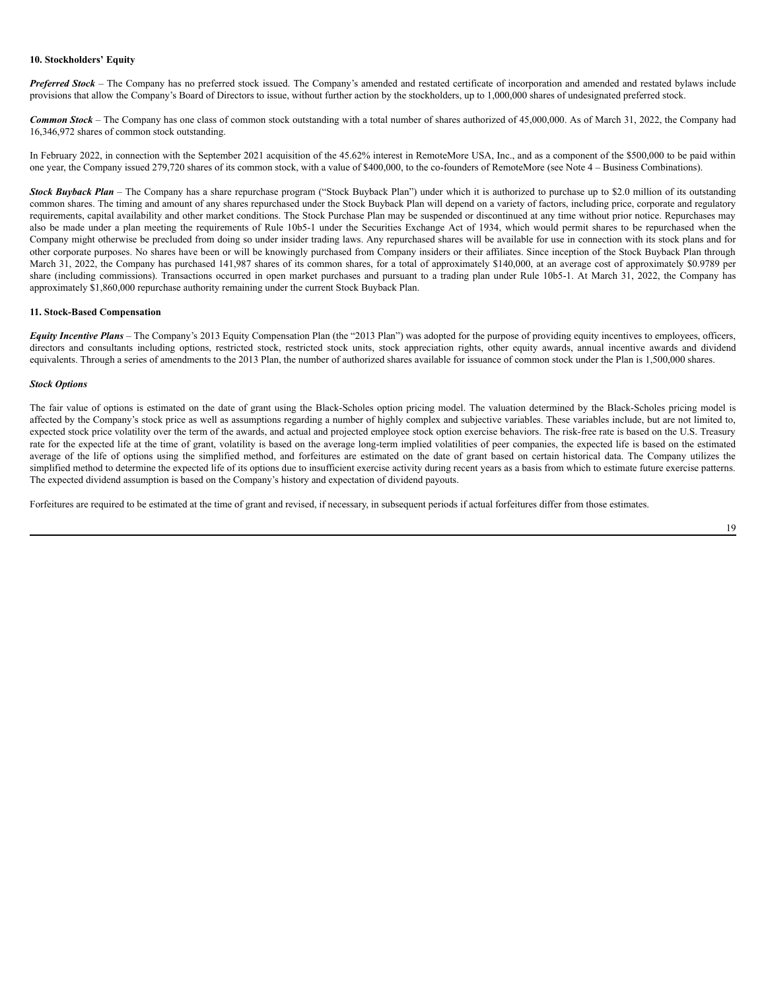## **10. Stockholders' Equity**

*Preferred Stock* – The Company has no preferred stock issued. The Company's amended and restated certificate of incorporation and amended and restated bylaws include provisions that allow the Company's Board of Directors to issue, without further action by the stockholders, up to 1,000,000 shares of undesignated preferred stock.

*Common Stock* – The Company has one class of common stock outstanding with a total number of shares authorized of 45,000,000. As of March 31, 2022, the Company had 16,346,972 shares of common stock outstanding.

In February 2022, in connection with the September 2021 acquisition of the 45.62% interest in RemoteMore USA, Inc., and as a component of the \$500,000 to be paid within one year, the Company issued 279,720 shares of its common stock, with a value of \$400,000, to the co-founders of RemoteMore (see Note 4 – Business Combinations).

*Stock Buyback Plan* – The Company has a share repurchase program ("Stock Buyback Plan") under which it is authorized to purchase up to \$2.0 million of its outstanding common shares. The timing and amount of any shares repurchased under the Stock Buyback Plan will depend on a variety of factors, including price, corporate and regulatory requirements, capital availability and other market conditions. The Stock Purchase Plan may be suspended or discontinued at any time without prior notice. Repurchases may also be made under a plan meeting the requirements of Rule 10b5-1 under the Securities Exchange Act of 1934, which would permit shares to be repurchased when the Company might otherwise be precluded from doing so under insider trading laws. Any repurchased shares will be available for use in connection with its stock plans and for other corporate purposes. No shares have been or will be knowingly purchased from Company insiders or their affiliates. Since inception of the Stock Buyback Plan through March 31, 2022, the Company has purchased 141,987 shares of its common shares, for a total of approximately \$140,000, at an average cost of approximately \$0.9789 per share (including commissions). Transactions occurred in open market purchases and pursuant to a trading plan under Rule 10b5-1. At March 31, 2022, the Company has approximately \$1,860,000 repurchase authority remaining under the current Stock Buyback Plan.

#### **11. Stock-Based Compensation**

*Equity Incentive Plans* – The Company's 2013 Equity Compensation Plan (the "2013 Plan") was adopted for the purpose of providing equity incentives to employees, officers, directors and consultants including options, restricted stock, restricted stock units, stock appreciation rights, other equity awards, annual incentive awards and dividend equivalents. Through a series of amendments to the 2013 Plan, the number of authorized shares available for issuance of common stock under the Plan is 1,500,000 shares.

## *Stock Options*

The fair value of options is estimated on the date of grant using the Black-Scholes option pricing model. The valuation determined by the Black-Scholes pricing model is affected by the Company's stock price as well as assumptions regarding a number of highly complex and subjective variables. These variables include, but are not limited to, expected stock price volatility over the term of the awards, and actual and projected employee stock option exercise behaviors. The risk-free rate is based on the U.S. Treasury rate for the expected life at the time of grant, volatility is based on the average long-term implied volatilities of peer companies, the expected life is based on the estimated average of the life of options using the simplified method, and forfeitures are estimated on the date of grant based on certain historical data. The Company utilizes the simplified method to determine the expected life of its options due to insufficient exercise activity during recent years as a basis from which to estimate future exercise patterns. The expected dividend assumption is based on the Company's history and expectation of dividend payouts.

Forfeitures are required to be estimated at the time of grant and revised, if necessary, in subsequent periods if actual forfeitures differ from those estimates.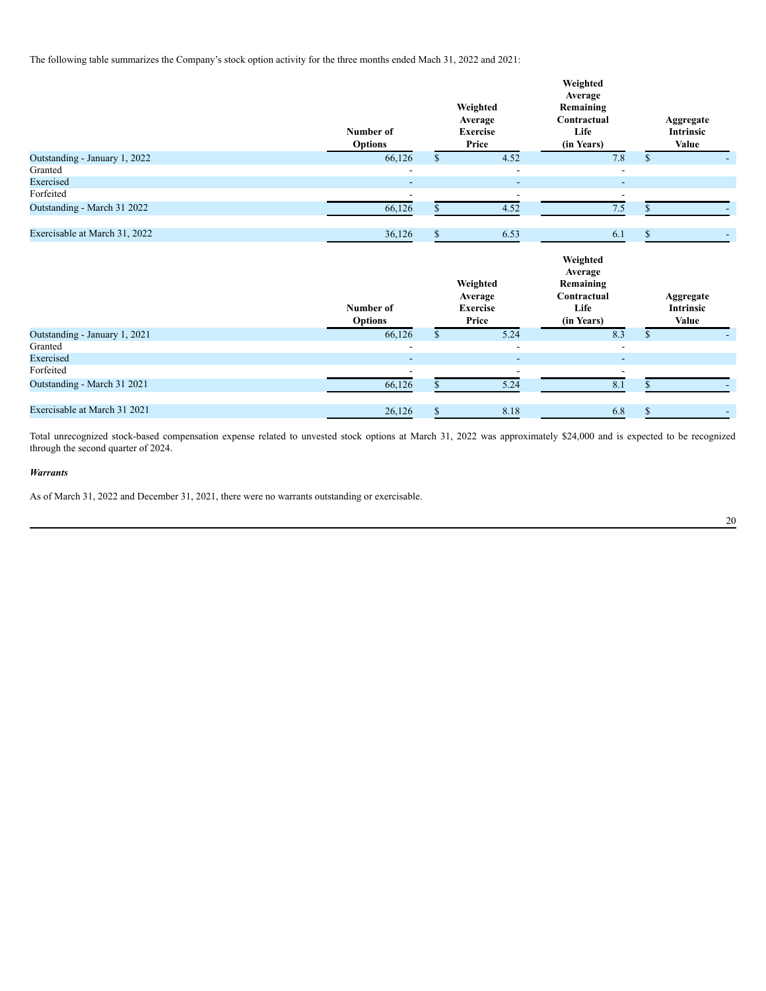The following table summarizes the Company's stock option activity for the three months ended Mach 31, 2022 and 2021:

|                               | Number of<br><b>Options</b> | Weighted<br>Average<br><b>Exercise</b><br>Price | Weighted<br>Average<br>Remaining<br>Contractual<br>Life<br>(in Years) |              | Aggregate<br><b>Intrinsic</b><br>Value |
|-------------------------------|-----------------------------|-------------------------------------------------|-----------------------------------------------------------------------|--------------|----------------------------------------|
| Outstanding - January 1, 2022 | 66,126                      | \$<br>4.52                                      | 7.8                                                                   | $\mathbb{S}$ |                                        |
| Granted                       |                             |                                                 |                                                                       |              |                                        |
| Exercised                     | $\overline{\phantom{a}}$    | $\overline{\phantom{a}}$                        | $\sim$                                                                |              |                                        |
| Forfeited                     |                             |                                                 |                                                                       |              |                                        |
| Outstanding - March 31 2022   | 66,126                      | \$<br>4.52                                      | $7.5$                                                                 | $\mathbb{S}$ |                                        |
| Exercisable at March 31, 2022 | 36,126                      | \$<br>6.53                                      | 6.1                                                                   | $\mathbb{S}$ |                                        |
|                               | Number of<br><b>Options</b> | Weighted<br>Average<br><b>Exercise</b><br>Price | Weighted<br>Average<br>Remaining<br>Contractual<br>Life<br>(in Years) |              | Aggregate<br><b>Intrinsic</b><br>Value |
| Outstanding - January 1, 2021 | 66,126                      | \$<br>5.24                                      | 8.3                                                                   | $\mathbb{S}$ |                                        |
| Granted                       | ۳                           |                                                 |                                                                       |              |                                        |
| Exercised                     |                             |                                                 |                                                                       |              |                                        |
| Forfeited                     |                             |                                                 |                                                                       |              |                                        |
| Outstanding - March 31 2021   | 66,126                      | \$<br>5.24                                      | 8.1                                                                   | $\mathbb{S}$ |                                        |
| Exercisable at March 31 2021  | 26,126                      | \$<br>8.18                                      | 6.8                                                                   | $\$$         |                                        |

Total unrecognized stock-based compensation expense related to unvested stock options at March 31, 2022 was approximately \$24,000 and is expected to be recognized through the second quarter of 2024.

#### *Warrants*

As of March 31, 2022 and December 31, 2021, there were no warrants outstanding or exercisable.

20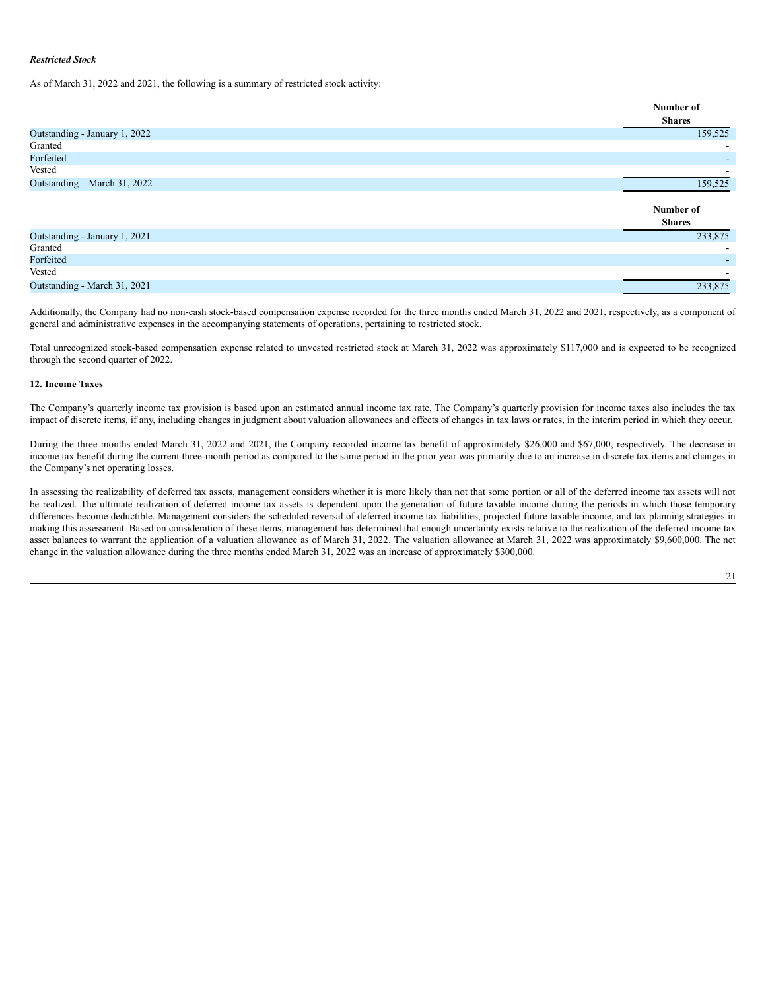## *Restricted Stock*

As of March 31, 2022 and 2021, the following is a summary of restricted stock activity:

|                               | Number of<br><b>Shares</b> |
|-------------------------------|----------------------------|
| Outstanding - January 1, 2022 | 159,525                    |
| Granted                       | $\overline{\phantom{a}}$   |
| Forfeited                     |                            |
| Vested                        |                            |
| Outstanding - March 31, 2022  | 159,525                    |
|                               | Number of<br><b>Shares</b> |
| Outstanding - January 1, 2021 | 233,875                    |
| Granted                       | $\overline{\phantom{a}}$   |
| Forfeited                     | ۰.                         |
| Vested                        |                            |
| Outstanding - March 31, 2021  | 233,875                    |

Additionally, the Company had no non-cash stock-based compensation expense recorded for the three months ended March 31, 2022 and 2021, respectively, as a component of general and administrative expenses in the accompanying statements of operations, pertaining to restricted stock.

Total unrecognized stock-based compensation expense related to unvested restricted stock at March 31, 2022 was approximately \$117,000 and is expected to be recognized through the second quarter of 2022.

## **12. Income Taxes**

The Company's quarterly income tax provision is based upon an estimated annual income tax rate. The Company's quarterly provision for income taxes also includes the tax impact of discrete items, if any, including changes in judgment about valuation allowances and effects of changes in tax laws or rates, in the interim period in which they occur.

During the three months ended March 31, 2022 and 2021, the Company recorded income tax benefit of approximately \$26,000 and \$67,000, respectively. The decrease in income tax benefit during the current three-month period as compared to the same period in the prior year was primarily due to an increase in discrete tax items and changes in the Company's net operating losses.

In assessing the realizability of deferred tax assets, management considers whether it is more likely than not that some portion or all of the deferred income tax assets will not be realized. The ultimate realization of deferred income tax assets is dependent upon the generation of future taxable income during the periods in which those temporary differences become deductible. Management considers the scheduled reversal of deferred income tax liabilities, projected future taxable income, and tax planning strategies in making this assessment. Based on consideration of these items, management has determined that enough uncertainty exists relative to the realization of the deferred income tax asset balances to warrant the application of a valuation allowance as of March 31, 2022. The valuation allowance at March 31, 2022 was approximately \$9,600,000. The net change in the valuation allowance during the three months ended March 31, 2022 was an increase of approximately \$300,000.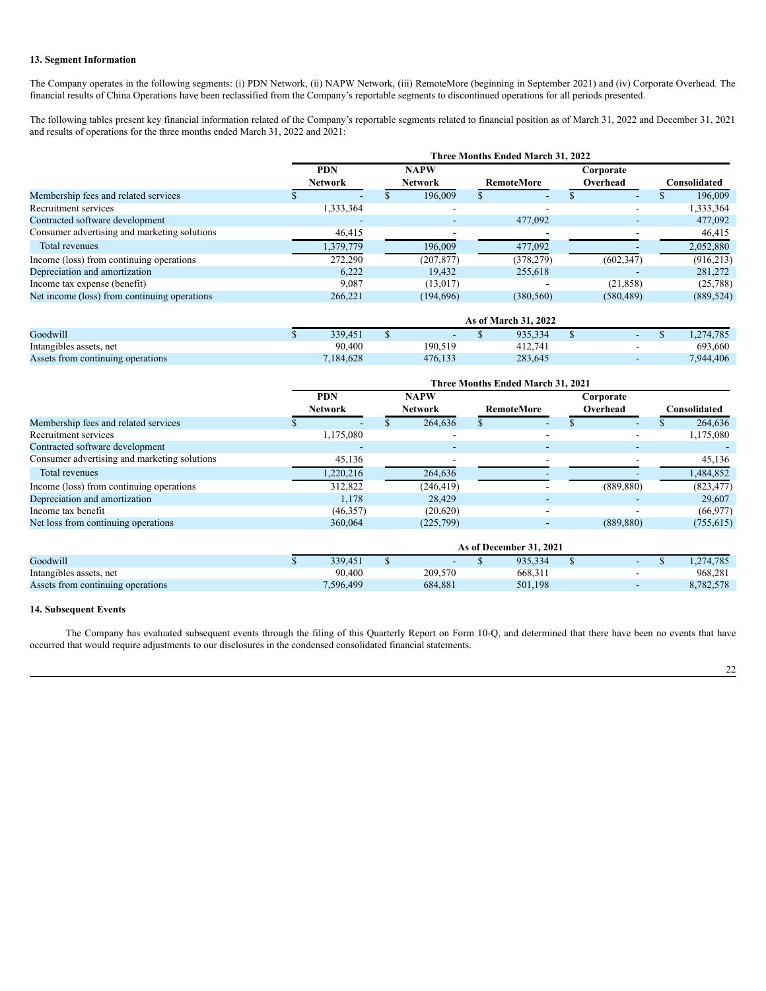## **13. Segment Information**

The Company operates in the following segments: (i) PDN Network, (ii) NAPW Network, (iii) RemoteMore (beginning in September 2021) and (iv) Corporate Overhead. The financial results of China Operations have been reclassified from the Company's reportable segments to discontinued operations for all periods presented.

The following tables present key financial information related of the Company's reportable segments related to financial position as of March 31, 2022 and December 31, 2021 and results of operations for the three months ended March 31, 2022 and 2021:

| Three Months Ended March 31, 2022 |                |            |             |            |  |            |                       |              |  |  |
|-----------------------------------|----------------|------------|-------------|------------|--|------------|-----------------------|--------------|--|--|
| <b>PDN</b>                        |                |            |             |            |  |            |                       |              |  |  |
| Network                           | <b>Network</b> |            |             | RemoteMore |  |            |                       | Consolidated |  |  |
|                                   |                | 196,009    |             | ۰.         |  | ۰.         |                       | 196,009      |  |  |
| 1,333,364                         |                |            |             |            |  |            |                       | 1,333,364    |  |  |
|                                   |                |            |             | 477,092    |  | ٠          |                       | 477,092      |  |  |
| 46,415                            |                |            |             |            |  |            |                       | 46,415       |  |  |
| 1,379,779                         |                | 196,009    |             | 477,092    |  |            |                       | 2,052,880    |  |  |
| 272,290                           |                | (207, 877) |             | (378, 279) |  | (602, 347) |                       | (916, 213)   |  |  |
| 6,222                             |                | 19,432     |             | 255,618    |  |            |                       | 281,272      |  |  |
| 9,087                             |                | (13,017)   |             |            |  | (21,858)   |                       | (25,788)     |  |  |
| 266,221                           |                | (194,696)  |             | (380, 560) |  | (580, 489) |                       | (889, 524)   |  |  |
|                                   |                |            | <b>NAPW</b> |            |  |            | Corporate<br>Overhead |              |  |  |

|                                   |          | As of March 31, 2022 |         |  |         |  |                          |  |           |  |
|-----------------------------------|----------|----------------------|---------|--|---------|--|--------------------------|--|-----------|--|
| Goodwill                          | 339.451  |                      |         |  | 935,334 |  |                          |  | .274,785  |  |
| Intangibles assets, net           | 90.400   |                      | 190.519 |  | 412.741 |  | $\overline{\phantom{0}}$ |  | 693,660   |  |
| Assets from continuing operations | .184.628 |                      | 476.133 |  | 283,645 |  | . .                      |  | 7,944,406 |  |

|                                              | Three Months Ended March 31, 2021 |                              |  |                               |                   |                         |                       |                          |  |              |
|----------------------------------------------|-----------------------------------|------------------------------|--|-------------------------------|-------------------|-------------------------|-----------------------|--------------------------|--|--------------|
|                                              |                                   | <b>PDN</b><br><b>Network</b> |  | <b>NAPW</b><br><b>Network</b> | <b>RemoteMore</b> |                         | Corporate<br>Overhead |                          |  | Consolidated |
| Membership fees and related services         |                                   |                              |  | 264,636                       |                   | ۰.                      |                       | $\overline{\phantom{a}}$ |  | 264,636      |
| Recruitment services                         |                                   | 1,175,080                    |  | -                             |                   | ۰.                      |                       | $\overline{\phantom{a}}$ |  | 1,175,080    |
| Contracted software development              |                                   | ٠                            |  |                               |                   |                         |                       |                          |  |              |
| Consumer advertising and marketing solutions |                                   | 45,136                       |  |                               |                   |                         |                       |                          |  | 45,136       |
| Total revenues                               |                                   | 1,220,216                    |  | 264,636                       |                   |                         |                       |                          |  | 1,484,852    |
| Income (loss) from continuing operations     |                                   | 312,822                      |  | (246, 419)                    |                   |                         |                       | (889, 880)               |  | (823, 477)   |
| Depreciation and amortization                |                                   | 1,178                        |  | 28.429                        |                   |                         |                       |                          |  | 29,607       |
| Income tax benefit                           |                                   | (46, 357)                    |  | (20,620)                      |                   | ۰.                      |                       | $\overline{\phantom{a}}$ |  | (66, 977)    |
| Net loss from continuing operations          |                                   | 360,064                      |  | (225,799)                     |                   |                         |                       | (889, 880)               |  | (755, 615)   |
|                                              |                                   |                              |  |                               |                   | As of December 31, 2021 |                       |                          |  |              |

| Goodwill                          | 339,451   |         | 935334  |  | 1,274,785 |
|-----------------------------------|-----------|---------|---------|--|-----------|
| Intangibles assets, net           | 90.400    | 209,570 | 668,311 |  | 968,281   |
| Assets from continuing operations | 7,596,499 | 684,881 | 501,198 |  | 8,782,578 |

## **14. Subsequent Events**

The Company has evaluated subsequent events through the filing of this Quarterly Report on Form 10-Q, and determined that there have been no events that have occurred that would require adjustments to our disclosures in the condensed consolidated financial statements.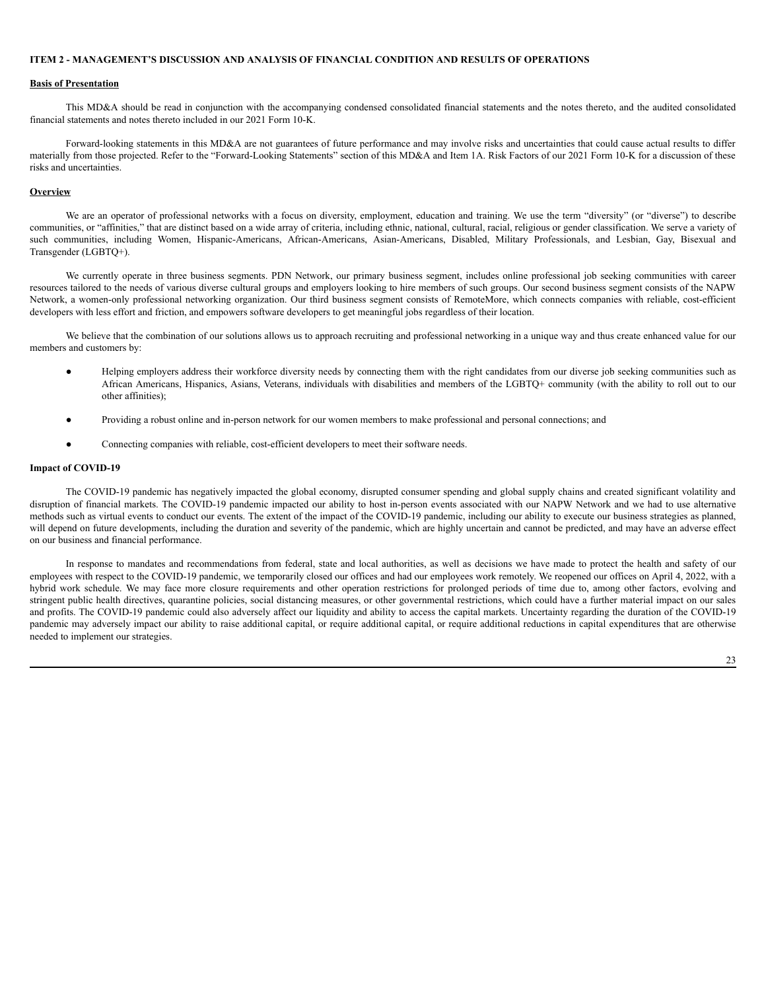#### <span id="page-23-0"></span>**ITEM 2 - MANAGEMENT'S DISCUSSION AND ANALYSIS OF FINANCIAL CONDITION AND RESULTS OF OPERATIONS**

#### **Basis of Presentation**

This MD&A should be read in conjunction with the accompanying condensed consolidated financial statements and the notes thereto, and the audited consolidated financial statements and notes thereto included in our 2021 Form 10-K.

Forward-looking statements in this MD&A are not guarantees of future performance and may involve risks and uncertainties that could cause actual results to differ materially from those projected. Refer to the "Forward-Looking Statements" section of this MD&A and Item 1A. Risk Factors of our 2021 Form 10-K for a discussion of these risks and uncertainties.

#### **Overview**

We are an operator of professional networks with a focus on diversity, employment, education and training. We use the term "diversity" (or "diverse") to describe communities, or "affinities," that are distinct based on a wide array of criteria, including ethnic, national, cultural, racial, religious or gender classification. We serve a variety of such communities, including Women, Hispanic-Americans, African-Americans, Asian-Americans, Disabled, Military Professionals, and Lesbian, Gay, Bisexual and Transgender (LGBTQ+).

We currently operate in three business segments. PDN Network, our primary business segment, includes online professional job seeking communities with career resources tailored to the needs of various diverse cultural groups and employers looking to hire members of such groups. Our second business segment consists of the NAPW Network, a women-only professional networking organization. Our third business segment consists of RemoteMore, which connects companies with reliable, cost-efficient developers with less effort and friction, and empowers software developers to get meaningful jobs regardless of their location.

We believe that the combination of our solutions allows us to approach recruiting and professional networking in a unique way and thus create enhanced value for our members and customers by:

- Helping employers address their workforce diversity needs by connecting them with the right candidates from our diverse job seeking communities such as African Americans, Hispanics, Asians, Veterans, individuals with disabilities and members of the LGBTQ+ community (with the ability to roll out to our other affinities);
- Providing a robust online and in-person network for our women members to make professional and personal connections; and
- Connecting companies with reliable, cost-efficient developers to meet their software needs.

#### **Impact of COVID-19**

The COVID-19 pandemic has negatively impacted the global economy, disrupted consumer spending and global supply chains and created significant volatility and disruption of financial markets. The COVID-19 pandemic impacted our ability to host in-person events associated with our NAPW Network and we had to use alternative methods such as virtual events to conduct our events. The extent of the impact of the COVID-19 pandemic, including our ability to execute our business strategies as planned, will depend on future developments, including the duration and severity of the pandemic, which are highly uncertain and cannot be predicted, and may have an adverse effect on our business and financial performance.

In response to mandates and recommendations from federal, state and local authorities, as well as decisions we have made to protect the health and safety of our employees with respect to the COVID-19 pandemic, we temporarily closed our offices and had our employees work remotely. We reopened our offices on April 4, 2022, with a hybrid work schedule. We may face more closure requirements and other operation restrictions for prolonged periods of time due to, among other factors, evolving and stringent public health directives, quarantine policies, social distancing measures, or other governmental restrictions, which could have a further material impact on our sales and profits. The COVID-19 pandemic could also adversely affect our liquidity and ability to access the capital markets. Uncertainty regarding the duration of the COVID-19 pandemic may adversely impact our ability to raise additional capital, or require additional capital, or require additional reductions in capital expenditures that are otherwise needed to implement our strategies.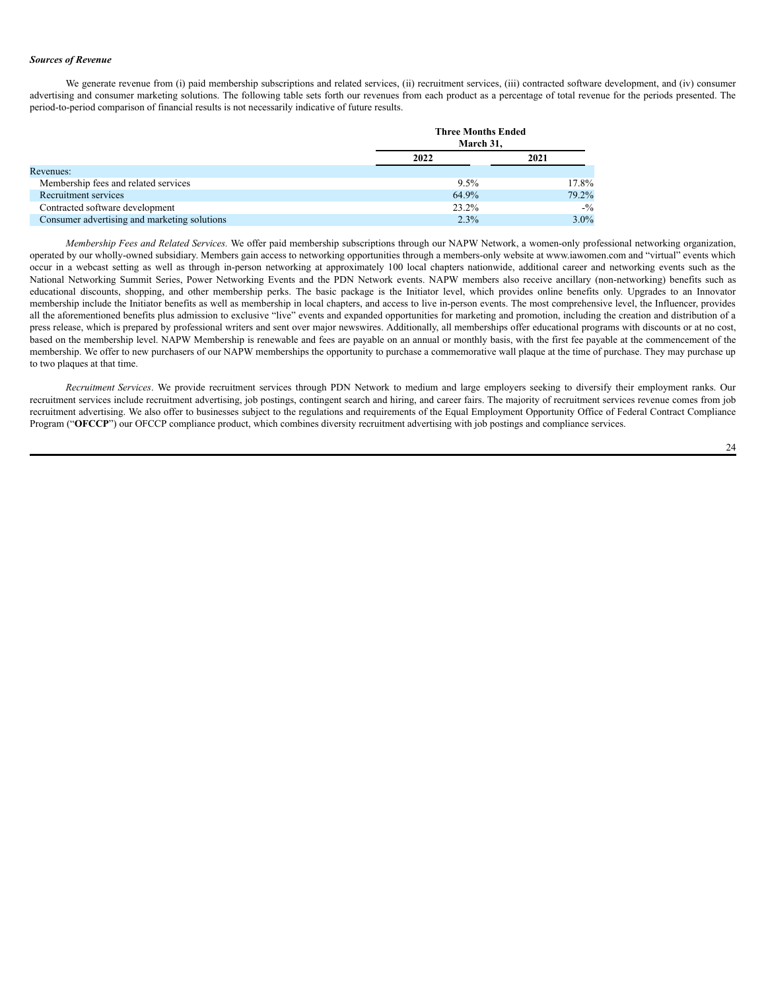## *Sources of Revenue*

We generate revenue from (i) paid membership subscriptions and related services, (ii) recruitment services, (iii) contracted software development, and (iv) consumer advertising and consumer marketing solutions. The following table sets forth our revenues from each product as a percentage of total revenue for the periods presented. The period-to-period comparison of financial results is not necessarily indicative of future results.

|                                              |       | <b>Three Months Ended</b><br>March 31, |  |  |  |  |  |  |
|----------------------------------------------|-------|----------------------------------------|--|--|--|--|--|--|
|                                              | 2022  | 2021                                   |  |  |  |  |  |  |
| Revenues:                                    |       |                                        |  |  |  |  |  |  |
| Membership fees and related services         | 9.5%  | 17.8%                                  |  |  |  |  |  |  |
| Recruitment services                         | 64.9% | 79.2%                                  |  |  |  |  |  |  |
| Contracted software development              | 23.2% | $-9/6$                                 |  |  |  |  |  |  |
| Consumer advertising and marketing solutions | 2.3%  | $3.0\%$                                |  |  |  |  |  |  |

*Membership Fees and Related Services.* We offer paid membership subscriptions through our NAPW Network, a women-only professional networking organization, operated by our wholly-owned subsidiary. Members gain access to networking opportunities through a members-only website at www.iawomen.com and "virtual" events which occur in a webcast setting as well as through in-person networking at approximately 100 local chapters nationwide, additional career and networking events such as the National Networking Summit Series, Power Networking Events and the PDN Network events. NAPW members also receive ancillary (non-networking) benefits such as educational discounts, shopping, and other membership perks. The basic package is the Initiator level, which provides online benefits only. Upgrades to an Innovator membership include the Initiator benefits as well as membership in local chapters, and access to live in-person events. The most comprehensive level, the Influencer, provides all the aforementioned benefits plus admission to exclusive "live" events and expanded opportunities for marketing and promotion, including the creation and distribution of a press release, which is prepared by professional writers and sent over major newswires. Additionally, all memberships offer educational programs with discounts or at no cost, based on the membership level. NAPW Membership is renewable and fees are payable on an annual or monthly basis, with the first fee payable at the commencement of the membership. We offer to new purchasers of our NAPW memberships the opportunity to purchase a commemorative wall plaque at the time of purchase. They may purchase up to two plaques at that time.

*Recruitment Services*. We provide recruitment services through PDN Network to medium and large employers seeking to diversify their employment ranks. Our recruitment services include recruitment advertising, job postings, contingent search and hiring, and career fairs. The majority of recruitment services revenue comes from job recruitment advertising. We also offer to businesses subject to the regulations and requirements of the Equal Employment Opportunity Office of Federal Contract Compliance Program ("**OFCCP**") our OFCCP compliance product, which combines diversity recruitment advertising with job postings and compliance services.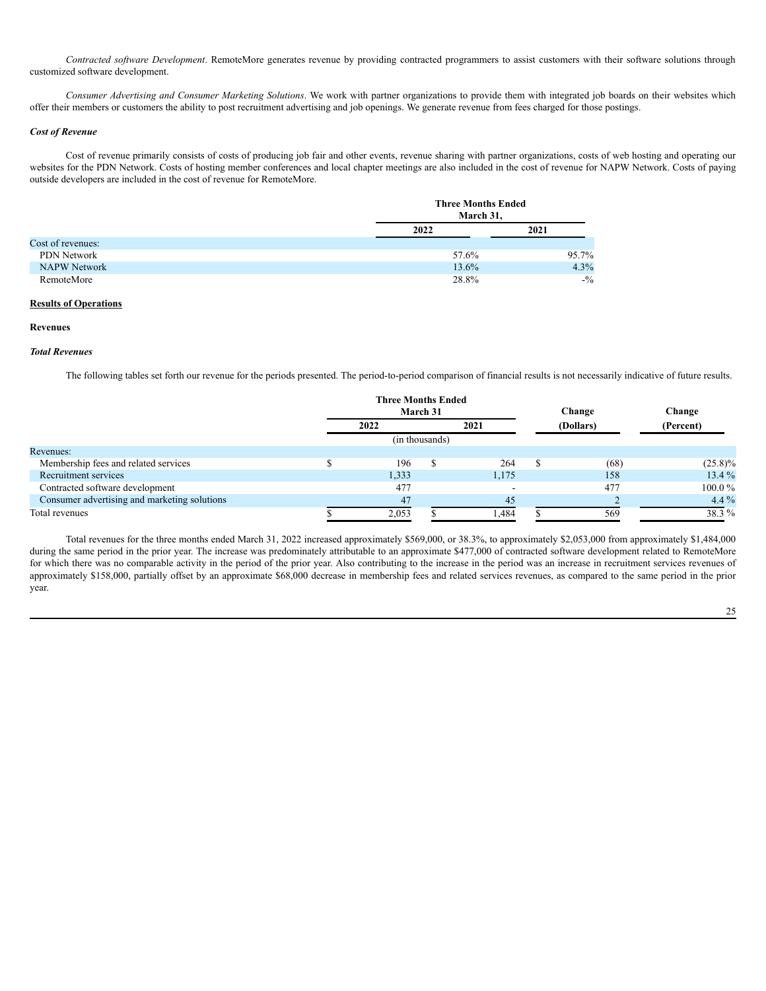*Contracted software Development*. RemoteMore generates revenue by providing contracted programmers to assist customers with their software solutions through customized software development.

*Consumer Advertising and Consumer Marketing Solutions*. We work with partner organizations to provide them with integrated job boards on their websites which offer their members or customers the ability to post recruitment advertising and job openings. We generate revenue from fees charged for those postings.

#### *Cost of Revenue*

Cost of revenue primarily consists of costs of producing job fair and other events, revenue sharing with partner organizations, costs of web hosting and operating our websites for the PDN Network. Costs of hosting member conferences and local chapter meetings are also included in the cost of revenue for NAPW Network. Costs of paying outside developers are included in the cost of revenue for RemoteMore.

|                    | <b>Three Months Ended</b><br>March 31, |        |  |
|--------------------|----------------------------------------|--------|--|
|                    | 2022                                   | 2021   |  |
| Cost of revenues:  |                                        |        |  |
| <b>PDN Network</b> | 57.6%                                  | 95.7%  |  |
| NAPW Network       | 13.6%                                  | 4.3%   |  |
| RemoteMore         | 28.8%                                  | $-1/2$ |  |

## **Results of Operations**

#### **Revenues**

#### *Total Revenues*

The following tables set forth our revenue for the periods presented. The period-to-period comparison of financial results is not necessarily indicative of future results.

|                                              | <b>Three Months Ended</b> | March 31       |       |   | Change    | Change     |
|----------------------------------------------|---------------------------|----------------|-------|---|-----------|------------|
|                                              | 2022                      |                | 2021  |   | (Dollars) | (Percent)  |
|                                              |                           | (in thousands) |       |   |           |            |
| Revenues:                                    |                           |                |       |   |           |            |
| Membership fees and related services         | 196                       |                | 264   | S | (68)      | $(25.8)\%$ |
| Recruitment services                         | 1,333                     |                | 1,175 |   | 158       | 13.4 %     |
| Contracted software development              | 477                       |                |       |   | 477       | 100.0%     |
| Consumer advertising and marketing solutions | 47                        |                | 45    |   |           | $4.4\%$    |
| Total revenues                               | 2,053                     |                | .484  |   | 569       | 38.3%      |

Total revenues for the three months ended March 31, 2022 increased approximately \$569,000, or 38.3%, to approximately \$2,053,000 from approximately \$1,484,000 during the same period in the prior year. The increase was predominately attributable to an approximate \$477,000 of contracted software development related to RemoteMore for which there was no comparable activity in the period of the prior year. Also contributing to the increase in the period was an increase in recruitment services revenues of approximately \$158,000, partially offset by an approximate \$68,000 decrease in membership fees and related services revenues, as compared to the same period in the prior year.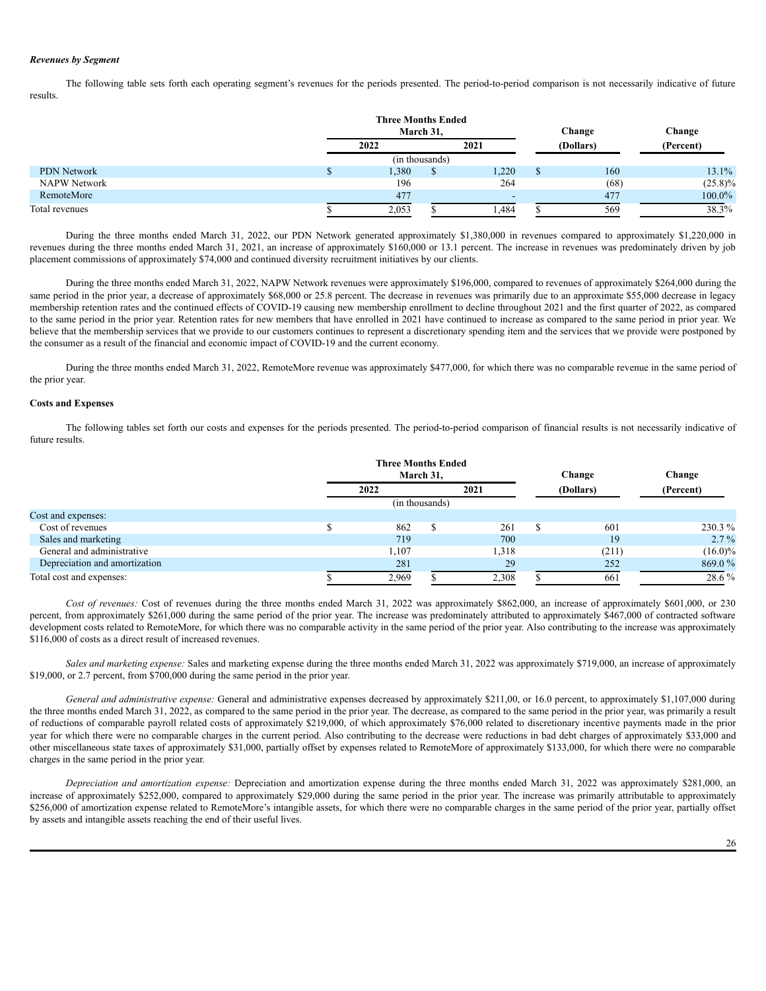## *Revenues by Segment*

The following table sets forth each operating segment's revenues for the periods presented. The period-to-period comparison is not necessarily indicative of future results.

|                     | <b>Three Months Ended</b><br>March 31. |                |  |       |  | Change    | Change     |
|---------------------|----------------------------------------|----------------|--|-------|--|-----------|------------|
|                     |                                        | 2022           |  | 2021  |  | (Dollars) | (Percent)  |
|                     |                                        | (in thousands) |  |       |  |           |            |
| <b>PDN Network</b>  |                                        | 1,380          |  | 1,220 |  | 160       | 13.1%      |
| <b>NAPW Network</b> |                                        | 196            |  | 264   |  | (68)      | $(25.8)\%$ |
| RemoteMore          |                                        | 477            |  | -     |  | 477       | 100.0%     |
| Total revenues      |                                        | 2,053          |  | 1,484 |  | 569       | 38.3%      |

During the three months ended March 31, 2022, our PDN Network generated approximately \$1,380,000 in revenues compared to approximately \$1,220,000 in revenues during the three months ended March 31, 2021, an increase of approximately \$160,000 or 13.1 percent. The increase in revenues was predominately driven by job placement commissions of approximately \$74,000 and continued diversity recruitment initiatives by our clients.

During the three months ended March 31, 2022, NAPW Network revenues were approximately \$196,000, compared to revenues of approximately \$264,000 during the same period in the prior year, a decrease of approximately \$68,000 or 25.8 percent. The decrease in revenues was primarily due to an approximate \$55,000 decrease in legacy membership retention rates and the continued effects of COVID-19 causing new membership enrollment to decline throughout 2021 and the first quarter of 2022, as compared to the same period in the prior year. Retention rates for new members that have enrolled in 2021 have continued to increase as compared to the same period in prior year. We believe that the membership services that we provide to our customers continues to represent a discretionary spending item and the services that we provide were postponed by the consumer as a result of the financial and economic impact of COVID-19 and the current economy.

During the three months ended March 31, 2022, RemoteMore revenue was approximately \$477,000, for which there was no comparable revenue in the same period of the prior year.

## **Costs and Expenses**

The following tables set forth our costs and expenses for the periods presented. The period-to-period comparison of financial results is not necessarily indicative of future results.

|                               |                | <b>Three Months Ended</b><br>March 31, |      |       | Change    | Change |            |  |  |  |
|-------------------------------|----------------|----------------------------------------|------|-------|-----------|--------|------------|--|--|--|
|                               |                | 2022                                   | 2021 |       | (Dollars) |        | (Percent)  |  |  |  |
|                               | (in thousands) |                                        |      |       |           |        |            |  |  |  |
| Cost and expenses:            |                |                                        |      |       |           |        |            |  |  |  |
| Cost of revenues              |                | 862                                    |      | 261   |           | 601    | 230.3 %    |  |  |  |
| Sales and marketing           |                | 719                                    |      | 700   |           | 19     | $2.7\%$    |  |  |  |
| General and administrative    |                | 1,107                                  |      | 1,318 |           | (211)  | $(16.0)\%$ |  |  |  |
| Depreciation and amortization |                | 281                                    |      | 29    |           | 252    | 869.0%     |  |  |  |
| Total cost and expenses:      |                | 2,969                                  |      | 2,308 |           | 661    | 28.6%      |  |  |  |

*Cost of revenues:* Cost of revenues during the three months ended March 31, 2022 was approximately \$862,000, an increase of approximately \$601,000, or 230 percent, from approximately \$261,000 during the same period of the prior year. The increase was predominately attributed to approximately \$467,000 of contracted software development costs related to RemoteMore, for which there was no comparable activity in the same period of the prior year. Also contributing to the increase was approximately \$116,000 of costs as a direct result of increased revenues.

*Sales and marketing expense:* Sales and marketing expense during the three months ended March 31, 2022 was approximately \$719,000, an increase of approximately \$19,000, or 2.7 percent, from \$700,000 during the same period in the prior year.

*General and administrative expense:* General and administrative expenses decreased by approximately \$211,00, or 16.0 percent, to approximately \$1,107,000 during the three months ended March 31, 2022, as compared to the same period in the prior year. The decrease, as compared to the same period in the prior year, was primarily a result of reductions of comparable payroll related costs of approximately \$219,000, of which approximately \$76,000 related to discretionary incentive payments made in the prior year for which there were no comparable charges in the current period. Also contributing to the decrease were reductions in bad debt charges of approximately \$33,000 and other miscellaneous state taxes of approximately \$31,000, partially offset by expenses related to RemoteMore of approximately \$133,000, for which there were no comparable charges in the same period in the prior year.

*Depreciation and amortization expense:* Depreciation and amortization expense during the three months ended March 31, 2022 was approximately \$281,000, an increase of approximately \$252,000, compared to approximately \$29,000 during the same period in the prior year. The increase was primarily attributable to approximately \$256,000 of amortization expense related to RemoteMore's intangible assets, for which there were no comparable charges in the same period of the prior year, partially offset by assets and intangible assets reaching the end of their useful lives.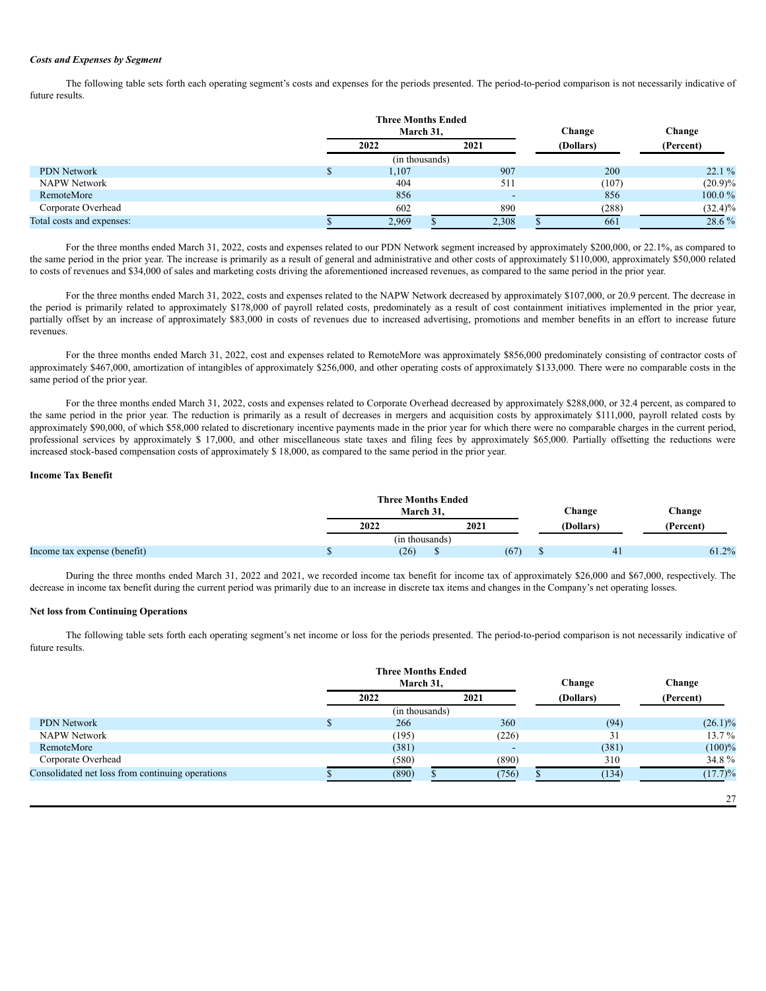# *Costs and Expenses by Segment*

The following table sets forth each operating segment's costs and expenses for the periods presented. The period-to-period comparison is not necessarily indicative of future results.

|                           | <b>Three Months Ended</b> |                |       |           |            |
|---------------------------|---------------------------|----------------|-------|-----------|------------|
|                           |                           | March 31.      |       | Change    | Change     |
|                           | 2021<br>2022              |                |       | (Dollars) | (Percent)  |
|                           |                           | (in thousands) |       |           |            |
| <b>PDN Network</b>        | 1,107                     |                | 907   | 200       | 22.1%      |
| <b>NAPW Network</b>       | 404                       |                | 511   | (107)     | $(20.9)\%$ |
| RemoteMore                | 856                       |                |       | 856       | 100.0%     |
| Corporate Overhead        | 602                       |                | 890   | (288)     | $(32.4)\%$ |
| Total costs and expenses: | 2,969                     |                | 2,308 | 661       | 28.6%      |

For the three months ended March 31, 2022, costs and expenses related to our PDN Network segment increased by approximately \$200,000, or 22.1%, as compared to the same period in the prior year. The increase is primarily as a result of general and administrative and other costs of approximately \$110,000, approximately \$50,000 related to costs of revenues and \$34,000 of sales and marketing costs driving the aforementioned increased revenues, as compared to the same period in the prior year.

For the three months ended March 31, 2022, costs and expenses related to the NAPW Network decreased by approximately \$107,000, or 20.9 percent. The decrease in the period is primarily related to approximately \$178,000 of payroll related costs, predominately as a result of cost containment initiatives implemented in the prior year, partially offset by an increase of approximately \$83,000 in costs of revenues due to increased advertising, promotions and member benefits in an effort to increase future revenues.

For the three months ended March 31, 2022, cost and expenses related to RemoteMore was approximately \$856,000 predominately consisting of contractor costs of approximately \$467,000, amortization of intangibles of approximately \$256,000, and other operating costs of approximately \$133,000. There were no comparable costs in the same period of the prior year.

For the three months ended March 31, 2022, costs and expenses related to Corporate Overhead decreased by approximately \$288,000, or 32.4 percent, as compared to the same period in the prior year. The reduction is primarily as a result of decreases in mergers and acquisition costs by approximately \$111,000, payroll related costs by approximately \$90,000, of which \$58,000 related to discretionary incentive payments made in the prior year for which there were no comparable charges in the current period, professional services by approximately \$ 17,000, and other miscellaneous state taxes and filing fees by approximately \$65,000. Partially offsetting the reductions were increased stock-based compensation costs of approximately \$ 18,000, as compared to the same period in the prior year.

## **Income Tax Benefit**

|                              | <b>Three Months Ended</b><br><b>March 31.</b> |                |      | <b>Change</b> |                | Change    |  |
|------------------------------|-----------------------------------------------|----------------|------|---------------|----------------|-----------|--|
|                              | 2022                                          |                | 2021 |               | (Dollars)      | (Percent) |  |
|                              |                                               | (in thousands) |      |               |                |           |  |
| Income tax expense (benefit) | (26)                                          |                | (67) |               | 4 <sub>1</sub> | 61.2%     |  |

During the three months ended March 31, 2022 and 2021, we recorded income tax benefit for income tax of approximately \$26,000 and \$67,000, respectively. The decrease in income tax benefit during the current period was primarily due to an increase in discrete tax items and changes in the Company's net operating losses.

# **Net loss from Continuing Operations**

The following table sets forth each operating segment's net income or loss for the periods presented. The period-to-period comparison is not necessarily indicative of future results.

|                                                  |              | <b>Three Months Ended</b><br>March 31, |           | Change    | Change     |
|--------------------------------------------------|--------------|----------------------------------------|-----------|-----------|------------|
|                                                  | 2021<br>2022 |                                        | (Dollars) | (Percent) |            |
|                                                  |              | (in thousands)                         |           |           |            |
| <b>PDN Network</b>                               |              | 266                                    | 360       | (94)      | $(26.1)\%$ |
| <b>NAPW Network</b>                              |              | (195)                                  | (226)     | 31        | $13.7\%$   |
| RemoteMore                                       |              | (381)                                  |           | (381)     | $(100)\%$  |
| Corporate Overhead                               |              | (580)                                  | (890)     | 310       | 34.8%      |
| Consolidated net loss from continuing operations |              | (890)                                  | (756)     | (134)     | (17.7)%    |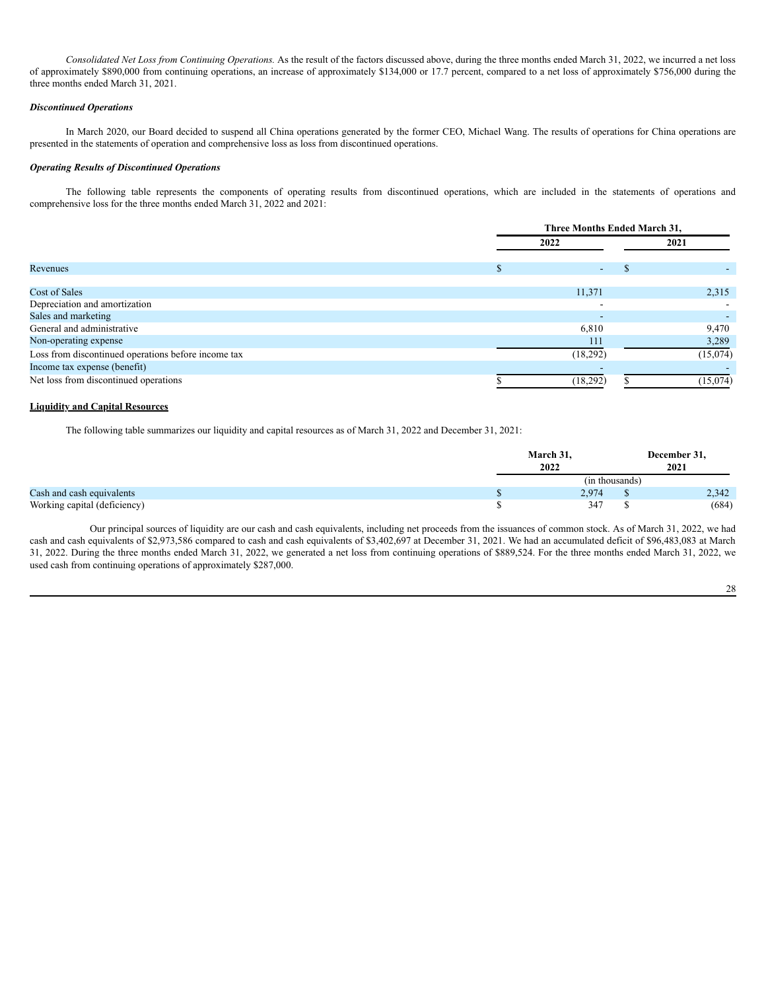*Consolidated Net Loss from Continuing Operations.* As the result of the factors discussed above, during the three months ended March 31, 2022, we incurred a net loss of approximately \$890,000 from continuing operations, an increase of approximately \$134,000 or 17.7 percent, compared to a net loss of approximately \$756,000 during the three months ended March 31, 2021.

## *Discontinued Operations*

In March 2020, our Board decided to suspend all China operations generated by the former CEO, Michael Wang. The results of operations for China operations are presented in the statements of operation and comprehensive loss as loss from discontinued operations.

#### *Operating Results of Discontinued Operations*

The following table represents the components of operating results from discontinued operations, which are included in the statements of operations and comprehensive loss for the three months ended March 31, 2022 and 2021:

|                                                     |      | Three Months Ended March 31, |  |          |  |
|-----------------------------------------------------|------|------------------------------|--|----------|--|
|                                                     | 2022 |                              |  |          |  |
| Revenues                                            |      | $\sim$                       |  |          |  |
| Cost of Sales                                       |      | 11,371                       |  | 2,315    |  |
| Depreciation and amortization                       |      |                              |  |          |  |
| Sales and marketing                                 |      |                              |  |          |  |
| General and administrative                          |      | 6,810                        |  | 9,470    |  |
| Non-operating expense                               |      | 111                          |  | 3,289    |  |
| Loss from discontinued operations before income tax |      | (18, 292)                    |  | (15,074) |  |
| Income tax expense (benefit)                        |      |                              |  |          |  |
| Net loss from discontinued operations               |      | (18, 292)                    |  | (15,074) |  |

# **Liquidity and Capital Resources**

The following table summarizes our liquidity and capital resources as of March 31, 2022 and December 31, 2021:

|                              |  | March 31,<br>2022 |  | December 31,<br>2021 |  |
|------------------------------|--|-------------------|--|----------------------|--|
|                              |  |                   |  |                      |  |
| Cash and cash equivalents    |  | 2,974             |  | 2,342                |  |
| Working capital (deficiency) |  | 347               |  | (684)                |  |

Our principal sources of liquidity are our cash and cash equivalents, including net proceeds from the issuances of common stock. As of March 31, 2022, we had cash and cash equivalents of \$2,973,586 compared to cash and cash equivalents of \$3,402,697 at December 31, 2021. We had an accumulated deficit of \$96,483,083 at March 31, 2022. During the three months ended March 31, 2022, we generated a net loss from continuing operations of \$889,524. For the three months ended March 31, 2022, we used cash from continuing operations of approximately \$287,000.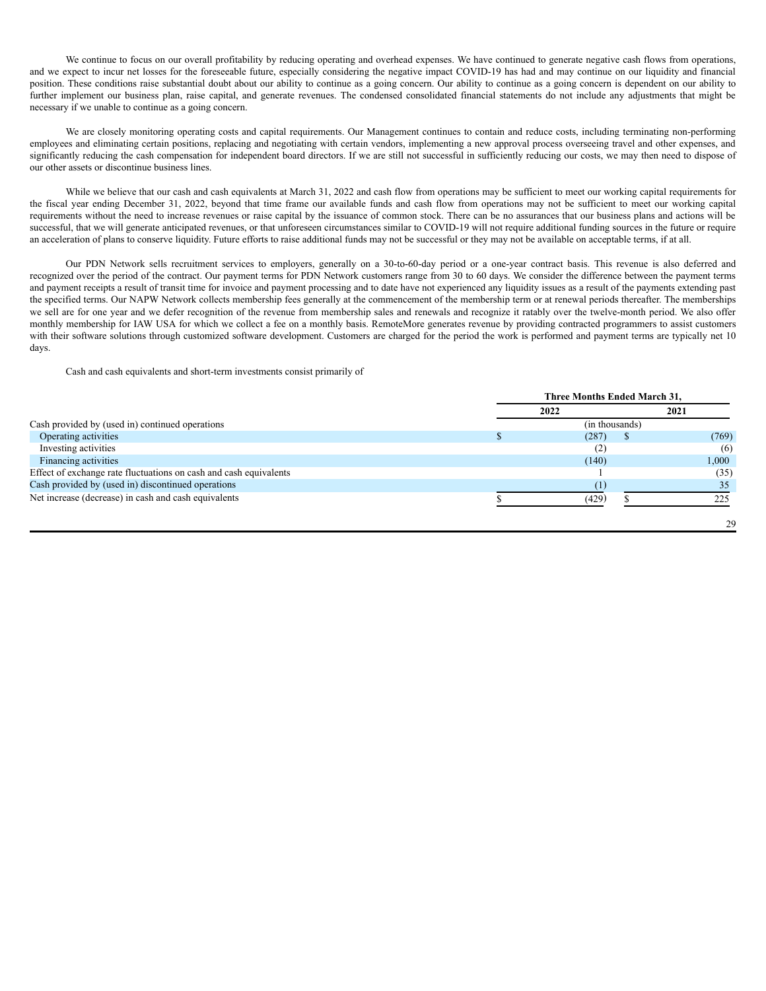We continue to focus on our overall profitability by reducing operating and overhead expenses. We have continued to generate negative cash flows from operations, and we expect to incur net losses for the foreseeable future, especially considering the negative impact COVID-19 has had and may continue on our liquidity and financial position. These conditions raise substantial doubt about our ability to continue as a going concern. Our ability to continue as a going concern is dependent on our ability to further implement our business plan, raise capital, and generate revenues. The condensed consolidated financial statements do not include any adjustments that might be necessary if we unable to continue as a going concern.

We are closely monitoring operating costs and capital requirements. Our Management continues to contain and reduce costs, including terminating non-performing employees and eliminating certain positions, replacing and negotiating with certain vendors, implementing a new approval process overseeing travel and other expenses, and significantly reducing the cash compensation for independent board directors. If we are still not successful in sufficiently reducing our costs, we may then need to dispose of our other assets or discontinue business lines.

While we believe that our cash and cash equivalents at March 31, 2022 and cash flow from operations may be sufficient to meet our working capital requirements for the fiscal year ending December 31, 2022, beyond that time frame our available funds and cash flow from operations may not be sufficient to meet our working capital requirements without the need to increase revenues or raise capital by the issuance of common stock. There can be no assurances that our business plans and actions will be successful, that we will generate anticipated revenues, or that unforeseen circumstances similar to COVID-19 will not require additional funding sources in the future or require an acceleration of plans to conserve liquidity. Future efforts to raise additional funds may not be successful or they may not be available on acceptable terms, if at all.

Our PDN Network sells recruitment services to employers, generally on a 30-to-60-day period or a one-year contract basis. This revenue is also deferred and recognized over the period of the contract. Our payment terms for PDN Network customers range from 30 to 60 days. We consider the difference between the payment terms and payment receipts a result of transit time for invoice and payment processing and to date have not experienced any liquidity issues as a result of the payments extending past the specified terms. Our NAPW Network collects membership fees generally at the commencement of the membership term or at renewal periods thereafter. The memberships we sell are for one year and we defer recognition of the revenue from membership sales and renewals and recognize it ratably over the twelve-month period. We also offer monthly membership for IAW USA for which we collect a fee on a monthly basis. RemoteMore generates revenue by providing contracted programmers to assist customers with their software solutions through customized software development. Customers are charged for the period the work is performed and payment terms are typically net 10 days.

Cash and cash equivalents and short-term investments consist primarily of

|                                                                   |      | Three Months Ended March 31, |       |  |  |  |
|-------------------------------------------------------------------|------|------------------------------|-------|--|--|--|
|                                                                   | 2022 |                              | 2021  |  |  |  |
| Cash provided by (used in) continued operations                   |      | (in thousands)               |       |  |  |  |
| Operating activities                                              |      | (287)                        | (769) |  |  |  |
| Investing activities                                              |      | (2)                          | (6)   |  |  |  |
| Financing activities                                              |      | (140)                        | 1,000 |  |  |  |
| Effect of exchange rate fluctuations on cash and cash equivalents |      |                              | (35)  |  |  |  |
| Cash provided by (used in) discontinued operations                |      | (1)                          |       |  |  |  |
| Net increase (decrease) in cash and cash equivalents              |      | (429)                        | 225   |  |  |  |
|                                                                   |      |                              | 29    |  |  |  |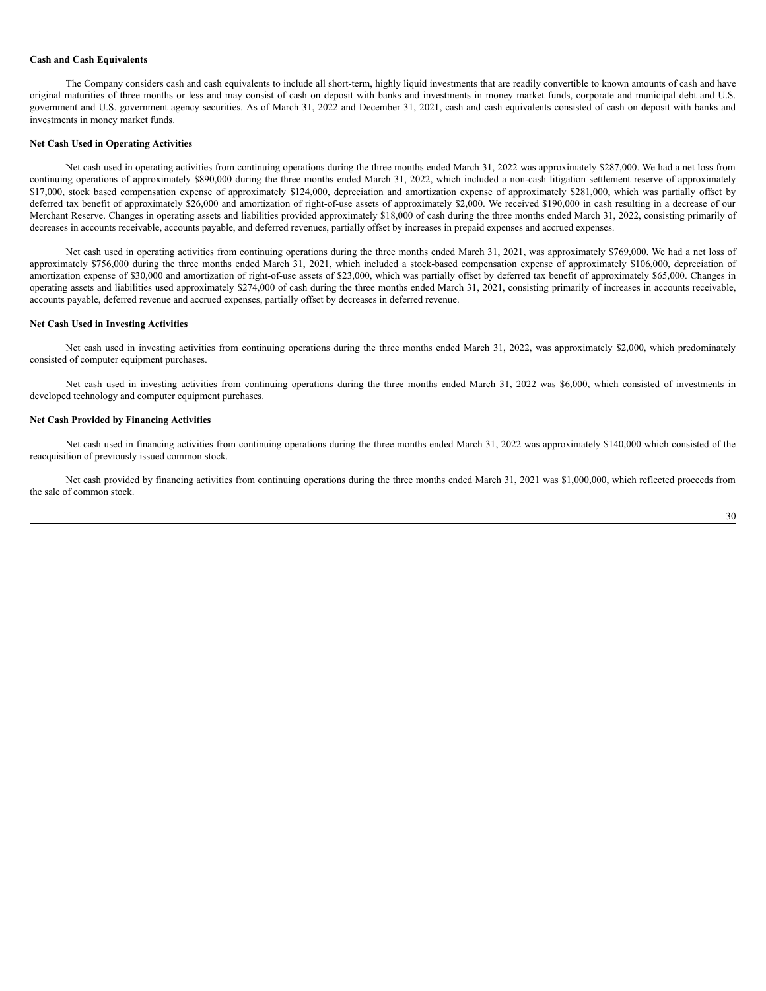#### **Cash and Cash Equivalents**

The Company considers cash and cash equivalents to include all short-term, highly liquid investments that are readily convertible to known amounts of cash and have original maturities of three months or less and may consist of cash on deposit with banks and investments in money market funds, corporate and municipal debt and U.S. government and U.S. government agency securities. As of March 31, 2022 and December 31, 2021, cash and cash equivalents consisted of cash on deposit with banks and investments in money market funds.

#### **Net Cash Used in Operating Activities**

Net cash used in operating activities from continuing operations during the three months ended March 31, 2022 was approximately \$287,000. We had a net loss from continuing operations of approximately \$890,000 during the three months ended March 31, 2022, which included a non-cash litigation settlement reserve of approximately \$17,000, stock based compensation expense of approximately \$124,000, depreciation and amortization expense of approximately \$281,000, which was partially offset by deferred tax benefit of approximately \$26,000 and amortization of right-of-use assets of approximately \$2,000. We received \$190,000 in cash resulting in a decrease of our Merchant Reserve. Changes in operating assets and liabilities provided approximately \$18,000 of cash during the three months ended March 31, 2022, consisting primarily of decreases in accounts receivable, accounts payable, and deferred revenues, partially offset by increases in prepaid expenses and accrued expenses.

Net cash used in operating activities from continuing operations during the three months ended March 31, 2021, was approximately \$769,000. We had a net loss of approximately \$756,000 during the three months ended March 31, 2021, which included a stock-based compensation expense of approximately \$106,000, depreciation of amortization expense of \$30,000 and amortization of right-of-use assets of \$23,000, which was partially offset by deferred tax benefit of approximately \$65,000. Changes in operating assets and liabilities used approximately \$274,000 of cash during the three months ended March 31, 2021, consisting primarily of increases in accounts receivable, accounts payable, deferred revenue and accrued expenses, partially offset by decreases in deferred revenue.

#### **Net Cash Used in Investing Activities**

Net cash used in investing activities from continuing operations during the three months ended March 31, 2022, was approximately \$2,000, which predominately consisted of computer equipment purchases.

Net cash used in investing activities from continuing operations during the three months ended March 31, 2022 was \$6,000, which consisted of investments in developed technology and computer equipment purchases.

## **Net Cash Provided by Financing Activities**

Net cash used in financing activities from continuing operations during the three months ended March 31, 2022 was approximately \$140,000 which consisted of the reacquisition of previously issued common stock.

Net cash provided by financing activities from continuing operations during the three months ended March 31, 2021 was \$1,000,000, which reflected proceeds from the sale of common stock.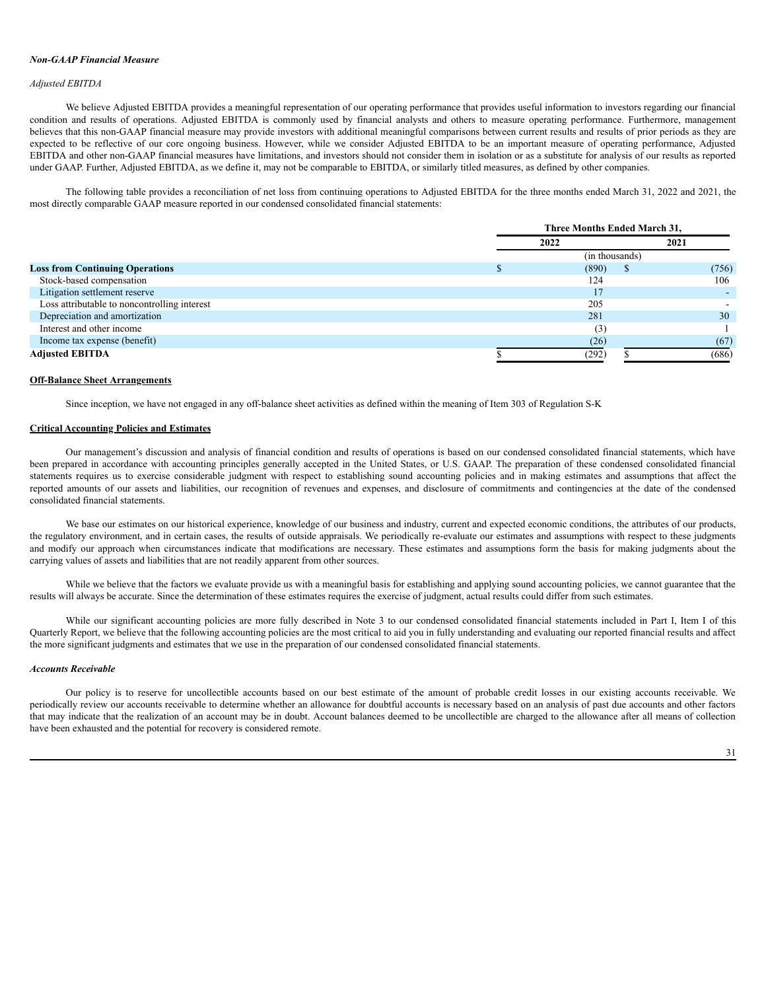#### *Non-GAAP Financial Measure*

## *Adjusted EBITDA*

We believe Adjusted EBITDA provides a meaningful representation of our operating performance that provides useful information to investors regarding our financial condition and results of operations. Adjusted EBITDA is commonly used by financial analysts and others to measure operating performance. Furthermore, management believes that this non-GAAP financial measure may provide investors with additional meaningful comparisons between current results and results of prior periods as they are expected to be reflective of our core ongoing business. However, while we consider Adjusted EBITDA to be an important measure of operating performance, Adjusted EBITDA and other non-GAAP financial measures have limitations, and investors should not consider them in isolation or as a substitute for analysis of our results as reported under GAAP. Further, Adjusted EBITDA, as we define it, may not be comparable to EBITDA, or similarly titled measures, as defined by other companies.

The following table provides a reconciliation of net loss from continuing operations to Adjusted EBITDA for the three months ended March 31, 2022 and 2021, the most directly comparable GAAP measure reported in our condensed consolidated financial statements:

|                                              |      | Three Months Ended March 31, |       |  |  |
|----------------------------------------------|------|------------------------------|-------|--|--|
|                                              | 2022 |                              | 2021  |  |  |
|                                              |      | (in thousands)               |       |  |  |
| <b>Loss from Continuing Operations</b>       |      | (890)<br>Ъ                   | (756) |  |  |
| Stock-based compensation                     |      | 124                          | 106   |  |  |
| Litigation settlement reserve                |      | 17                           |       |  |  |
| Loss attributable to noncontrolling interest |      | 205                          |       |  |  |
| Depreciation and amortization                |      | 281                          | 30    |  |  |
| Interest and other income                    |      | (3)                          |       |  |  |
| Income tax expense (benefit)                 |      | (26)                         | (67)  |  |  |
| <b>Adjusted EBITDA</b>                       |      | (292)                        | (686) |  |  |

#### **Off-Balance Sheet Arrangements**

Since inception, we have not engaged in any off-balance sheet activities as defined within the meaning of Item 303 of Regulation S-K

#### **Critical Accounting Policies and Estimates**

Our management's discussion and analysis of financial condition and results of operations is based on our condensed consolidated financial statements, which have been prepared in accordance with accounting principles generally accepted in the United States, or U.S. GAAP. The preparation of these condensed consolidated financial statements requires us to exercise considerable judgment with respect to establishing sound accounting policies and in making estimates and assumptions that affect the reported amounts of our assets and liabilities, our recognition of revenues and expenses, and disclosure of commitments and contingencies at the date of the condensed consolidated financial statements.

We base our estimates on our historical experience, knowledge of our business and industry, current and expected economic conditions, the attributes of our products, the regulatory environment, and in certain cases, the results of outside appraisals. We periodically re-evaluate our estimates and assumptions with respect to these judgments and modify our approach when circumstances indicate that modifications are necessary. These estimates and assumptions form the basis for making judgments about the carrying values of assets and liabilities that are not readily apparent from other sources.

While we believe that the factors we evaluate provide us with a meaningful basis for establishing and applying sound accounting policies, we cannot guarantee that the results will always be accurate. Since the determination of these estimates requires the exercise of judgment, actual results could differ from such estimates.

While our significant accounting policies are more fully described in Note 3 to our condensed consolidated financial statements included in Part I, Item I of this Quarterly Report, we believe that the following accounting policies are the most critical to aid you in fully understanding and evaluating our reported financial results and affect the more significant judgments and estimates that we use in the preparation of our condensed consolidated financial statements.

## *Accounts Receivable*

Our policy is to reserve for uncollectible accounts based on our best estimate of the amount of probable credit losses in our existing accounts receivable. We periodically review our accounts receivable to determine whether an allowance for doubtful accounts is necessary based on an analysis of past due accounts and other factors that may indicate that the realization of an account may be in doubt. Account balances deemed to be uncollectible are charged to the allowance after all means of collection have been exhausted and the potential for recovery is considered remote.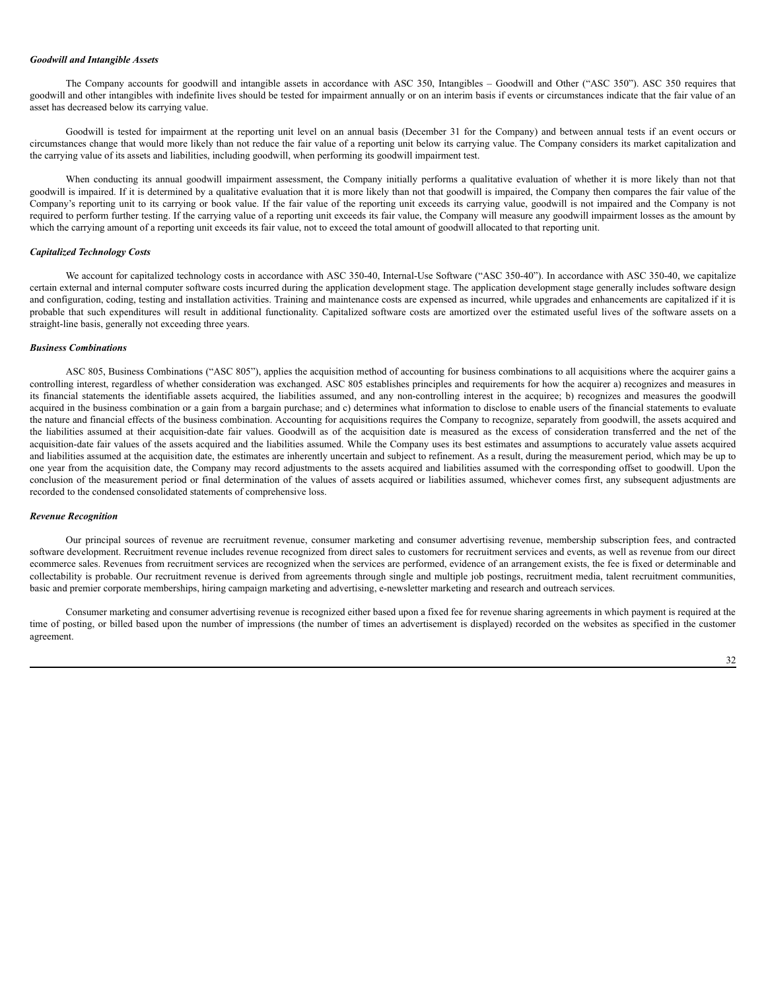#### *Goodwill and Intangible Assets*

The Company accounts for goodwill and intangible assets in accordance with ASC 350, Intangibles – Goodwill and Other ("ASC 350"). ASC 350 requires that goodwill and other intangibles with indefinite lives should be tested for impairment annually or on an interim basis if events or circumstances indicate that the fair value of an asset has decreased below its carrying value.

Goodwill is tested for impairment at the reporting unit level on an annual basis (December 31 for the Company) and between annual tests if an event occurs or circumstances change that would more likely than not reduce the fair value of a reporting unit below its carrying value. The Company considers its market capitalization and the carrying value of its assets and liabilities, including goodwill, when performing its goodwill impairment test.

When conducting its annual goodwill impairment assessment, the Company initially performs a qualitative evaluation of whether it is more likely than not that goodwill is impaired. If it is determined by a qualitative evaluation that it is more likely than not that goodwill is impaired, the Company then compares the fair value of the Company's reporting unit to its carrying or book value. If the fair value of the reporting unit exceeds its carrying value, goodwill is not impaired and the Company is not required to perform further testing. If the carrying value of a reporting unit exceeds its fair value, the Company will measure any goodwill impairment losses as the amount by which the carrying amount of a reporting unit exceeds its fair value, not to exceed the total amount of goodwill allocated to that reporting unit.

# *Capitalized Technology Costs*

We account for capitalized technology costs in accordance with ASC 350-40, Internal-Use Software ("ASC 350-40"). In accordance with ASC 350-40, we capitalize certain external and internal computer software costs incurred during the application development stage. The application development stage generally includes software design and configuration, coding, testing and installation activities. Training and maintenance costs are expensed as incurred, while upgrades and enhancements are capitalized if it is probable that such expenditures will result in additional functionality. Capitalized software costs are amortized over the estimated useful lives of the software assets on a straight-line basis, generally not exceeding three years.

#### *Business Combinations*

ASC 805, Business Combinations ("ASC 805"), applies the acquisition method of accounting for business combinations to all acquisitions where the acquirer gains a controlling interest, regardless of whether consideration was exchanged. ASC 805 establishes principles and requirements for how the acquirer a) recognizes and measures in its financial statements the identifiable assets acquired, the liabilities assumed, and any non-controlling interest in the acquiree; b) recognizes and measures the goodwill acquired in the business combination or a gain from a bargain purchase; and c) determines what information to disclose to enable users of the financial statements to evaluate the nature and financial effects of the business combination. Accounting for acquisitions requires the Company to recognize, separately from goodwill, the assets acquired and the liabilities assumed at their acquisition-date fair values. Goodwill as of the acquisition date is measured as the excess of consideration transferred and the net of the acquisition-date fair values of the assets acquired and the liabilities assumed. While the Company uses its best estimates and assumptions to accurately value assets acquired and liabilities assumed at the acquisition date, the estimates are inherently uncertain and subject to refinement. As a result, during the measurement period, which may be up to one year from the acquisition date, the Company may record adjustments to the assets acquired and liabilities assumed with the corresponding offset to goodwill. Upon the conclusion of the measurement period or final determination of the values of assets acquired or liabilities assumed, whichever comes first, any subsequent adjustments are recorded to the condensed consolidated statements of comprehensive loss.

#### *Revenue Recognition*

Our principal sources of revenue are recruitment revenue, consumer marketing and consumer advertising revenue, membership subscription fees, and contracted software development. Recruitment revenue includes revenue recognized from direct sales to customers for recruitment services and events, as well as revenue from our direct ecommerce sales. Revenues from recruitment services are recognized when the services are performed, evidence of an arrangement exists, the fee is fixed or determinable and collectability is probable. Our recruitment revenue is derived from agreements through single and multiple job postings, recruitment media, talent recruitment communities, basic and premier corporate memberships, hiring campaign marketing and advertising, e-newsletter marketing and research and outreach services.

Consumer marketing and consumer advertising revenue is recognized either based upon a fixed fee for revenue sharing agreements in which payment is required at the time of posting, or billed based upon the number of impressions (the number of times an advertisement is displayed) recorded on the websites as specified in the customer agreement.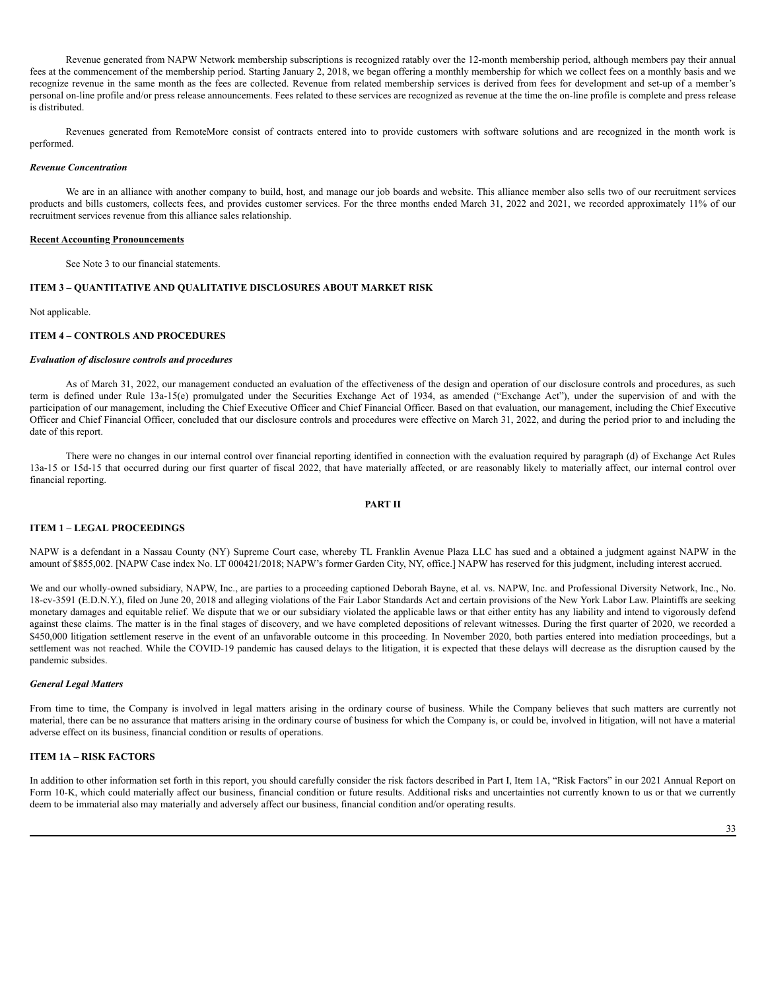Revenue generated from NAPW Network membership subscriptions is recognized ratably over the 12-month membership period, although members pay their annual fees at the commencement of the membership period. Starting January 2, 2018, we began offering a monthly membership for which we collect fees on a monthly basis and we recognize revenue in the same month as the fees are collected. Revenue from related membership services is derived from fees for development and set-up of a member's personal on-line profile and/or press release announcements. Fees related to these services are recognized as revenue at the time the on-line profile is complete and press release is distributed.

Revenues generated from RemoteMore consist of contracts entered into to provide customers with software solutions and are recognized in the month work is performed.

#### *Revenue Concentration*

We are in an alliance with another company to build, host, and manage our job boards and website. This alliance member also sells two of our recruitment services products and bills customers, collects fees, and provides customer services. For the three months ended March 31, 2022 and 2021, we recorded approximately 11% of our recruitment services revenue from this alliance sales relationship.

#### **Recent Accounting Pronouncements**

See Note 3 to our financial statements.

# <span id="page-33-0"></span>**ITEM 3 – QUANTITATIVE AND QUALITATIVE DISCLOSURES ABOUT MARKET RISK**

Not applicable.

#### <span id="page-33-1"></span>**ITEM 4 – CONTROLS AND PROCEDURES**

#### *Evaluation of disclosure controls and procedures*

As of March 31, 2022, our management conducted an evaluation of the effectiveness of the design and operation of our disclosure controls and procedures, as such term is defined under Rule 13a-15(e) promulgated under the Securities Exchange Act of 1934, as amended ("Exchange Act"), under the supervision of and with the participation of our management, including the Chief Executive Officer and Chief Financial Officer. Based on that evaluation, our management, including the Chief Executive Officer and Chief Financial Officer, concluded that our disclosure controls and procedures were effective on March 31, 2022, and during the period prior to and including the date of this report.

There were no changes in our internal control over financial reporting identified in connection with the evaluation required by paragraph (d) of Exchange Act Rules 13a-15 or 15d-15 that occurred during our first quarter of fiscal 2022, that have materially affected, or are reasonably likely to materially affect, our internal control over financial reporting.

## **PART II**

#### <span id="page-33-3"></span><span id="page-33-2"></span>**ITEM 1 – LEGAL PROCEEDINGS**

NAPW is a defendant in a Nassau County (NY) Supreme Court case, whereby TL Franklin Avenue Plaza LLC has sued and a obtained a judgment against NAPW in the amount of \$855,002. [NAPW Case index No. LT 000421/2018; NAPW's former Garden City, NY, office.] NAPW has reserved for this judgment, including interest accrued.

We and our wholly-owned subsidiary, NAPW, Inc., are parties to a proceeding captioned Deborah Bayne, et al. vs. NAPW, Inc. and Professional Diversity Network, Inc., No. 18-cv-3591 (E.D.N.Y.), filed on June 20, 2018 and alleging violations of the Fair Labor Standards Act and certain provisions of the New York Labor Law. Plaintiffs are seeking monetary damages and equitable relief. We dispute that we or our subsidiary violated the applicable laws or that either entity has any liability and intend to vigorously defend against these claims. The matter is in the final stages of discovery, and we have completed depositions of relevant witnesses. During the first quarter of 2020, we recorded a \$450,000 litigation settlement reserve in the event of an unfavorable outcome in this proceeding. In November 2020, both parties entered into mediation proceedings, but a settlement was not reached. While the COVID-19 pandemic has caused delays to the litigation, it is expected that these delays will decrease as the disruption caused by the pandemic subsides.

#### *General Legal Matters*

From time to time, the Company is involved in legal matters arising in the ordinary course of business. While the Company believes that such matters are currently not material, there can be no assurance that matters arising in the ordinary course of business for which the Company is, or could be, involved in litigation, will not have a material adverse effect on its business, financial condition or results of operations.

#### <span id="page-33-4"></span>**ITEM 1A – RISK FACTORS**

In addition to other information set forth in this report, you should carefully consider the risk factors described in Part I, Item 1A, "Risk Factors" in our 2021 Annual Report on Form 10-K, which could materially affect our business, financial condition or future results. Additional risks and uncertainties not currently known to us or that we currently deem to be immaterial also may materially and adversely affect our business, financial condition and/or operating results.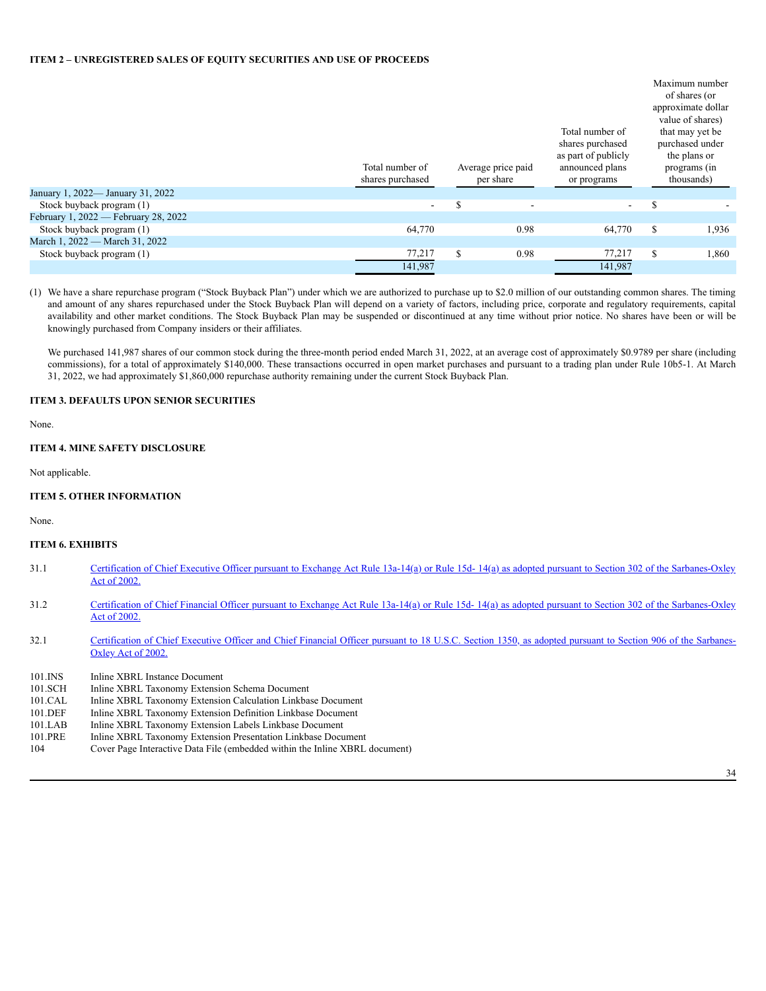#### <span id="page-34-0"></span>**ITEM 2 – UNREGISTERED SALES OF EQUITY SECURITIES AND USE OF PROCEEDS**

|                                      | Total number of<br>shares purchased |               | Average price paid<br>per share | Total number of<br>shares purchased<br>as part of publicly<br>announced plans<br>or programs |               | Maximum number<br>of shares (or<br>approximate dollar<br>value of shares)<br>that may yet be<br>purchased under<br>the plans or<br>programs (in<br>thousands) |
|--------------------------------------|-------------------------------------|---------------|---------------------------------|----------------------------------------------------------------------------------------------|---------------|---------------------------------------------------------------------------------------------------------------------------------------------------------------|
| January 1, 2022— January 31, 2022    |                                     |               |                                 |                                                                                              |               |                                                                                                                                                               |
| Stock buyback program (1)            | $\sim$                              | <sup>\$</sup> | $\qquad \qquad \blacksquare$    | $\sim$                                                                                       | <sup>\$</sup> |                                                                                                                                                               |
| February 1, 2022 — February 28, 2022 |                                     |               |                                 |                                                                                              |               |                                                                                                                                                               |
| Stock buyback program (1)            | 64,770                              |               | 0.98                            | 64,770                                                                                       | S             | 1,936                                                                                                                                                         |
| March 1, 2022 — March 31, 2022       |                                     |               |                                 |                                                                                              |               |                                                                                                                                                               |
| Stock buyback program (1)            | 77,217                              | <sup>\$</sup> | 0.98                            | 77,217                                                                                       | \$            | 1,860                                                                                                                                                         |
|                                      | 141,987                             |               |                                 | 141,987                                                                                      |               |                                                                                                                                                               |

(1) We have a share repurchase program ("Stock Buyback Plan") under which we are authorized to purchase up to \$2.0 million of our outstanding common shares. The timing and amount of any shares repurchased under the Stock Buyback Plan will depend on a variety of factors, including price, corporate and regulatory requirements, capital availability and other market conditions. The Stock Buyback Plan may be suspended or discontinued at any time without prior notice. No shares have been or will be knowingly purchased from Company insiders or their affiliates.

We purchased 141,987 shares of our common stock during the three-month period ended March 31, 2022, at an average cost of approximately \$0.9789 per share (including commissions), for a total of approximately \$140,000. These transactions occurred in open market purchases and pursuant to a trading plan under Rule 10b5-1. At March 31, 2022, we had approximately \$1,860,000 repurchase authority remaining under the current Stock Buyback Plan.

# <span id="page-34-1"></span>**ITEM 3. DEFAULTS UPON SENIOR SECURITIES**

None.

# <span id="page-34-2"></span>**ITEM 4. MINE SAFETY DISCLOSURE**

Not applicable.

# <span id="page-34-3"></span>**ITEM 5. OTHER INFORMATION**

None.

## <span id="page-34-4"></span>**ITEM 6. EXHIBITS**

- 31.1 Certification of Chief Executive Officer pursuant to Exchange Act Rule 13a-14(a) or Rule 15d- 14(a) as adopted pursuant to Section 302 of the [Sarbanes-Oxley](https://s3.amazonaws.com/content.stockpr.com/sec/0001493152-22-013792/ex31-1.htm) Act of 2002.
- 31.2 Certification of Chief Financial Officer pursuant to Exchange Act Rule 13a-14(a) or Rule 15d- 14(a) as adopted pursuant to Section 302 of the [Sarbanes-Oxley](https://s3.amazonaws.com/content.stockpr.com/sec/0001493152-22-013792/ex31-2.htm) Act of 2002.
- 32.1 [Certification](https://s3.amazonaws.com/content.stockpr.com/sec/0001493152-22-013792/ex32-1.htm) of Chief Executive Officer and Chief Financial Officer pursuant to 18 U.S.C. Section 1350, as adopted pursuant to Section 906 of the Sarbanes-Oxley Act of 2002.

101.INS Inline XBRL Instance Document

- 101.SCH Inline XBRL Taxonomy Extension Schema Document<br>101.CAL Inline XBRL Taxonomy Extension Calculation Linkba Inline XBRL Taxonomy Extension Calculation Linkbase Document
- 101.DEF Inline XBRL Taxonomy Extension Definition Linkbase Document
- 
- 101.LAB Inline XBRL Taxonomy Extension Labels Linkbase Document<br>101.PRE Inline XBRL Taxonomy Extension Presentation Linkbase Docu Inline XBRL Taxonomy Extension Presentation Linkbase Document
- 104 Cover Page Interactive Data File (embedded within the Inline XBRL document)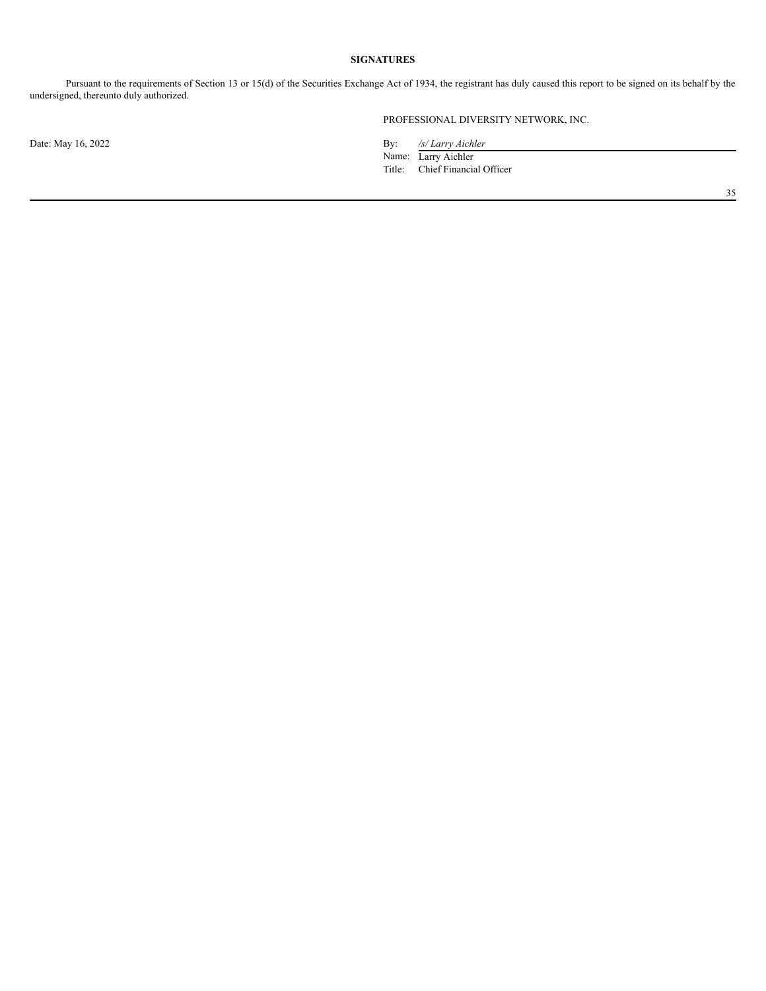# **SIGNATURES**

Pursuant to the requirements of Section 13 or 15(d) of the Securities Exchange Act of 1934, the registrant has duly caused this report to be signed on its behalf by the undersigned, thereunto duly authorized.

PROFESSIONAL DIVERSITY NETWORK, INC.

Date: May 16, 2022 By: */s/ Larry Aichler* Name: Larry Aichler Title: Chief Financial Officer

35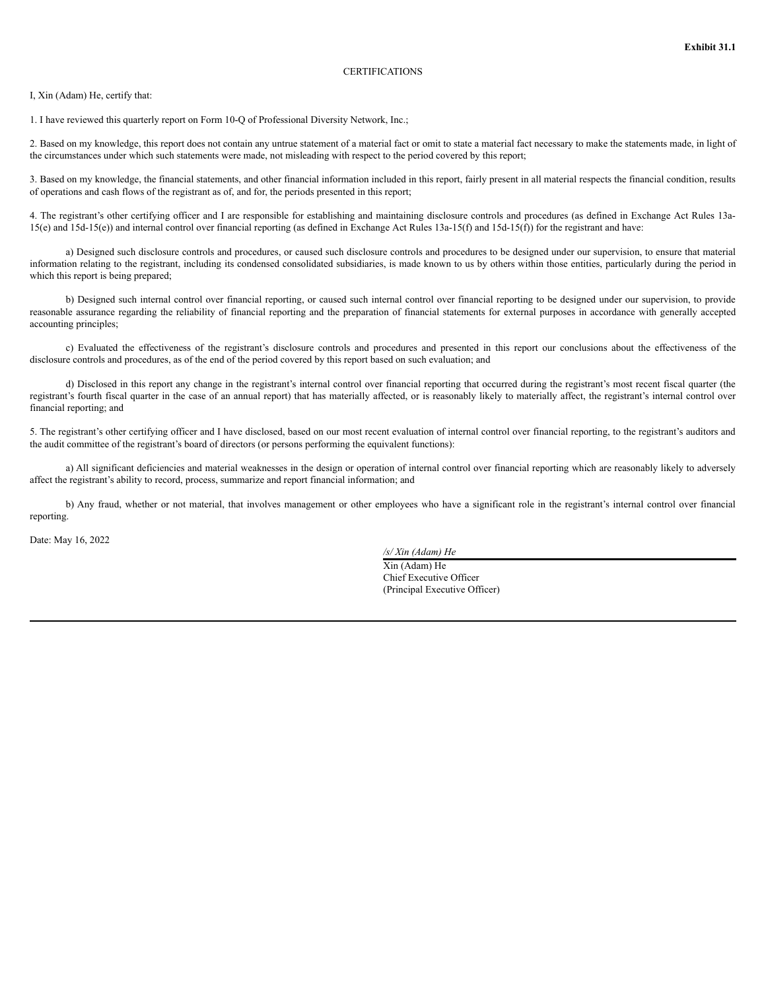## **CERTIFICATIONS**

#### I, Xin (Adam) He, certify that:

1. I have reviewed this quarterly report on Form 10-Q of Professional Diversity Network, Inc.;

2. Based on my knowledge, this report does not contain any untrue statement of a material fact or omit to state a material fact necessary to make the statements made, in light of the circumstances under which such statements were made, not misleading with respect to the period covered by this report;

3. Based on my knowledge, the financial statements, and other financial information included in this report, fairly present in all material respects the financial condition, results of operations and cash flows of the registrant as of, and for, the periods presented in this report;

4. The registrant's other certifying officer and I are responsible for establishing and maintaining disclosure controls and procedures (as defined in Exchange Act Rules 13a-15(e) and 15d-15(e)) and internal control over financial reporting (as defined in Exchange Act Rules 13a-15(f) and 15d-15(f)) for the registrant and have:

a) Designed such disclosure controls and procedures, or caused such disclosure controls and procedures to be designed under our supervision, to ensure that material information relating to the registrant, including its condensed consolidated subsidiaries, is made known to us by others within those entities, particularly during the period in which this report is being prepared;

b) Designed such internal control over financial reporting, or caused such internal control over financial reporting to be designed under our supervision, to provide reasonable assurance regarding the reliability of financial reporting and the preparation of financial statements for external purposes in accordance with generally accepted accounting principles;

c) Evaluated the effectiveness of the registrant's disclosure controls and procedures and presented in this report our conclusions about the effectiveness of the disclosure controls and procedures, as of the end of the period covered by this report based on such evaluation; and

d) Disclosed in this report any change in the registrant's internal control over financial reporting that occurred during the registrant's most recent fiscal quarter (the registrant's fourth fiscal quarter in the case of an annual report) that has materially affected, or is reasonably likely to materially affect, the registrant's internal control over financial reporting; and

5. The registrant's other certifying officer and I have disclosed, based on our most recent evaluation of internal control over financial reporting, to the registrant's auditors and the audit committee of the registrant's board of directors (or persons performing the equivalent functions):

a) All significant deficiencies and material weaknesses in the design or operation of internal control over financial reporting which are reasonably likely to adversely affect the registrant's ability to record, process, summarize and report financial information; and

b) Any fraud, whether or not material, that involves management or other employees who have a significant role in the registrant's internal control over financial reporting.

Date: May 16, 2022

*/s/ Xin (Adam) He*

Xin (Adam) He Chief Executive Officer (Principal Executive Officer)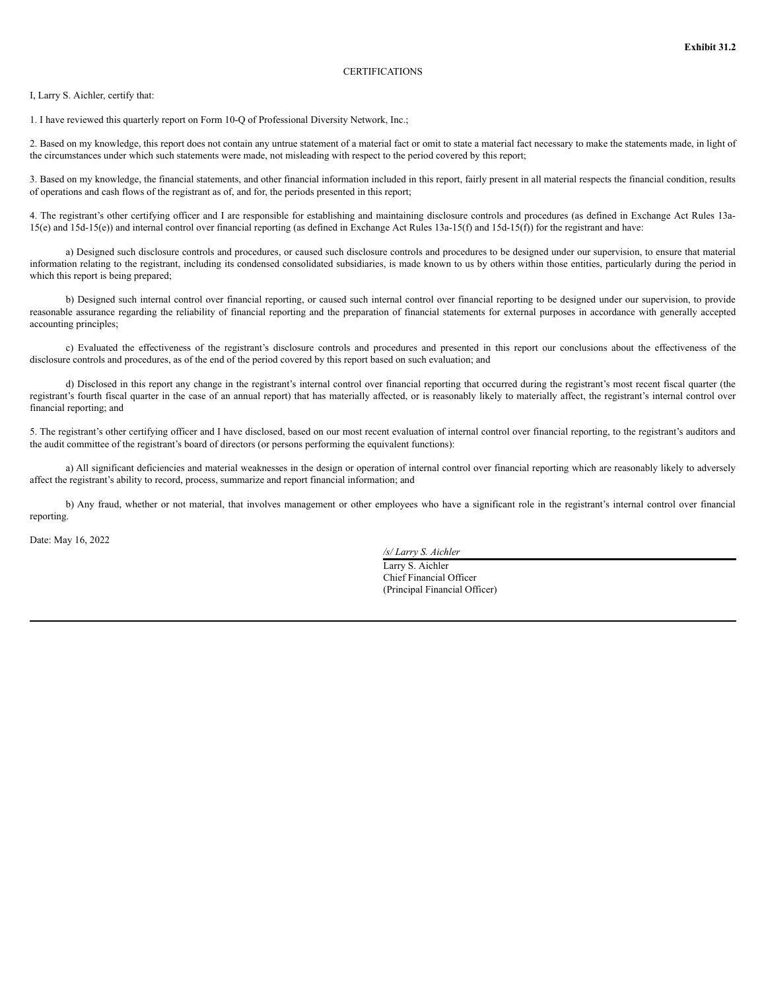## **CERTIFICATIONS**

I, Larry S. Aichler, certify that:

1. I have reviewed this quarterly report on Form 10-Q of Professional Diversity Network, Inc.;

2. Based on my knowledge, this report does not contain any untrue statement of a material fact or omit to state a material fact necessary to make the statements made, in light of the circumstances under which such statements were made, not misleading with respect to the period covered by this report;

3. Based on my knowledge, the financial statements, and other financial information included in this report, fairly present in all material respects the financial condition, results of operations and cash flows of the registrant as of, and for, the periods presented in this report;

4. The registrant's other certifying officer and I are responsible for establishing and maintaining disclosure controls and procedures (as defined in Exchange Act Rules 13a-15(e) and 15d-15(e)) and internal control over financial reporting (as defined in Exchange Act Rules 13a-15(f) and 15d-15(f)) for the registrant and have:

a) Designed such disclosure controls and procedures, or caused such disclosure controls and procedures to be designed under our supervision, to ensure that material information relating to the registrant, including its condensed consolidated subsidiaries, is made known to us by others within those entities, particularly during the period in which this report is being prepared;

b) Designed such internal control over financial reporting, or caused such internal control over financial reporting to be designed under our supervision, to provide reasonable assurance regarding the reliability of financial reporting and the preparation of financial statements for external purposes in accordance with generally accepted accounting principles;

c) Evaluated the effectiveness of the registrant's disclosure controls and procedures and presented in this report our conclusions about the effectiveness of the disclosure controls and procedures, as of the end of the period covered by this report based on such evaluation; and

d) Disclosed in this report any change in the registrant's internal control over financial reporting that occurred during the registrant's most recent fiscal quarter (the registrant's fourth fiscal quarter in the case of an annual report) that has materially affected, or is reasonably likely to materially affect, the registrant's internal control over financial reporting; and

5. The registrant's other certifying officer and I have disclosed, based on our most recent evaluation of internal control over financial reporting, to the registrant's auditors and the audit committee of the registrant's board of directors (or persons performing the equivalent functions):

a) All significant deficiencies and material weaknesses in the design or operation of internal control over financial reporting which are reasonably likely to adversely affect the registrant's ability to record, process, summarize and report financial information; and

b) Any fraud, whether or not material, that involves management or other employees who have a significant role in the registrant's internal control over financial reporting.

Date: May 16, 2022

*/s/ Larry S. Aichler*

Larry S. Aichler Chief Financial Officer (Principal Financial Officer)